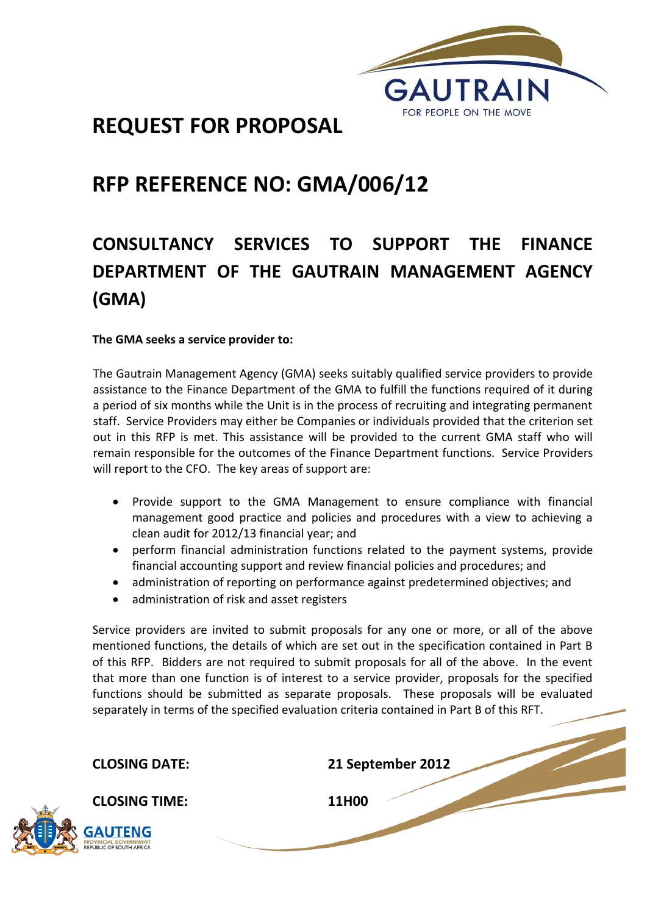

# **REQUEST FOR PROPOSAL**

# **RFP REFERENCE NO: GMA/006/12**

# **CONSULTANCY SERVICES TO SUPPORT THE FINANCE DEPARTMENT OF THE GAUTRAIN MANAGEMENT AGENCY (GMA)**

## **The GMA seeks a service provider to:**

The Gautrain Management Agency (GMA) seeks suitably qualified service providers to provide assistance to the Finance Department of the GMA to fulfill the functions required of it during a period of six months while the Unit is in the process of recruiting and integrating permanent staff. Service Providers may either be Companies or individuals provided that the criterion set out in this RFP is met. This assistance will be provided to the current GMA staff who will remain responsible for the outcomes of the Finance Department functions. Service Providers will report to the CFO. The key areas of support are:

- Provide support to the GMA Management to ensure compliance with financial management good practice and policies and procedures with a view to achieving a clean audit for 2012/13 financial year; and
- perform financial administration functions related to the payment systems, provide financial accounting support and review financial policies and procedures; and
- administration of reporting on performance against predetermined objectives; and
- administration of risk and asset registers

Service providers are invited to submit proposals for any one or more, or all of the above mentioned functions, the details of which are set out in the specification contained in Part B of this RFP. Bidders are not required to submit proposals for all of the above. In the event that more than one function is of interest to a service provider, proposals for the specified functions should be submitted as separate proposals. These proposals will be evaluated separately in terms of the specified evaluation criteria contained in Part B of this RFT.

**CLOSING DATE: 21 September 2012**

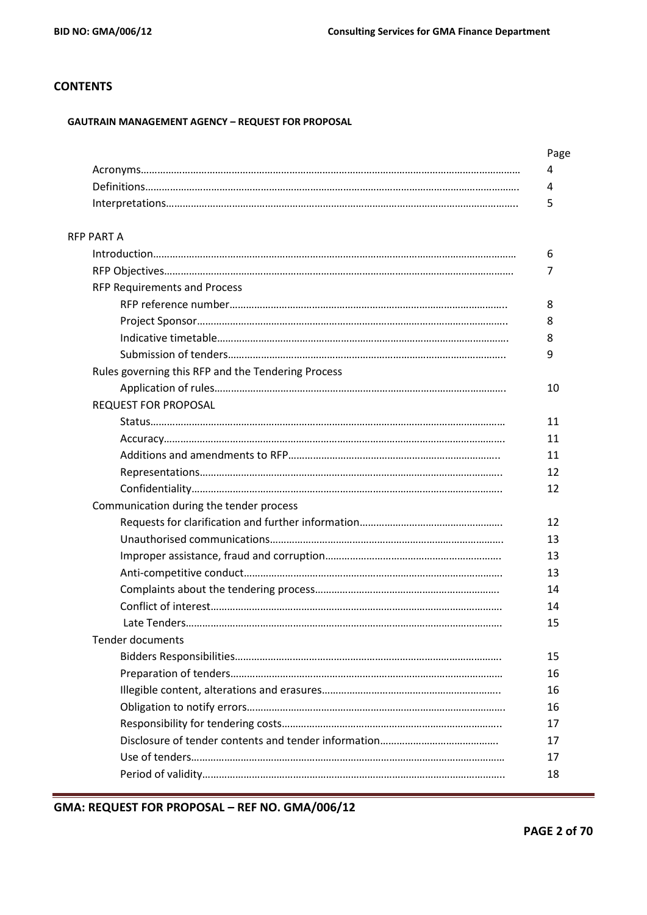## **CONTENTS**

#### **GAUTRAIN MANAGEMENT AGENCY – REQUEST FOR PROPOSAL**

|                                                    | Page |
|----------------------------------------------------|------|
|                                                    | 4    |
|                                                    | 4    |
|                                                    | 5    |
| RFP PART A                                         |      |
|                                                    | 6    |
|                                                    | 7    |
| <b>RFP Requirements and Process</b>                |      |
|                                                    | 8    |
|                                                    | 8    |
|                                                    | 8    |
|                                                    | 9    |
| Rules governing this RFP and the Tendering Process |      |
|                                                    | 10   |
| <b>REQUEST FOR PROPOSAL</b>                        |      |
|                                                    | 11   |
|                                                    | 11   |
|                                                    | 11   |
|                                                    | 12   |
|                                                    | 12   |
| Communication during the tender process            |      |
|                                                    | 12   |
|                                                    | 13   |
|                                                    | 13   |
|                                                    | 13   |
|                                                    | 14   |
|                                                    | 14   |
|                                                    | 15   |
| <b>Tender documents</b>                            |      |
|                                                    | 15   |
|                                                    | 16   |
|                                                    | 16   |
|                                                    | 16   |
|                                                    | 17   |
|                                                    | 17   |
|                                                    | 17   |
|                                                    | 18   |
|                                                    |      |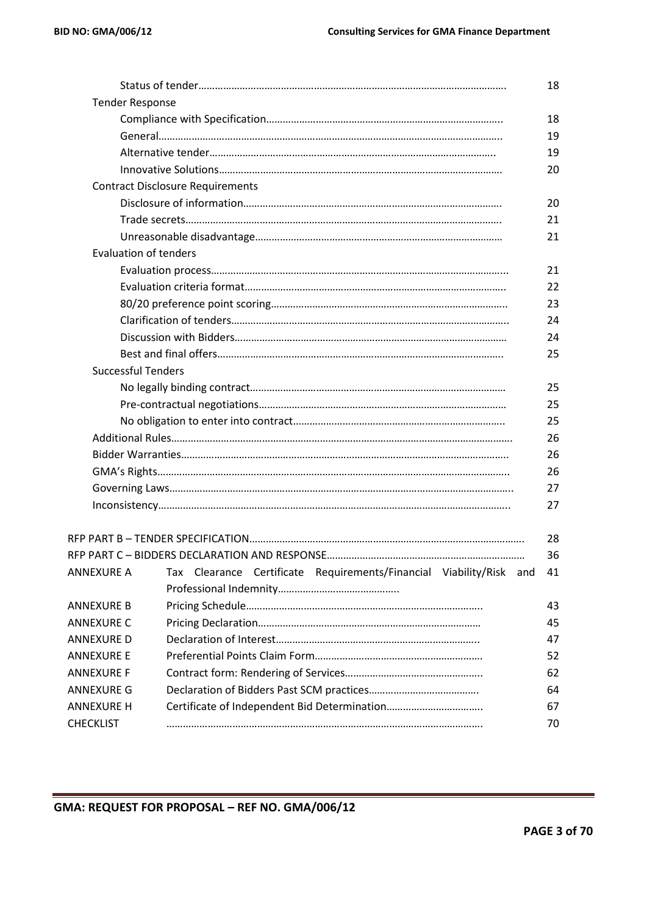|                              |                                                                     | 18 |
|------------------------------|---------------------------------------------------------------------|----|
| <b>Tender Response</b>       |                                                                     |    |
|                              |                                                                     | 18 |
|                              |                                                                     | 19 |
|                              |                                                                     | 19 |
|                              |                                                                     | 20 |
|                              | <b>Contract Disclosure Requirements</b>                             |    |
|                              |                                                                     | 20 |
|                              |                                                                     | 21 |
|                              |                                                                     | 21 |
| <b>Evaluation of tenders</b> |                                                                     |    |
|                              |                                                                     | 21 |
|                              |                                                                     | 22 |
|                              |                                                                     | 23 |
|                              |                                                                     | 24 |
|                              |                                                                     | 24 |
|                              |                                                                     | 25 |
| <b>Successful Tenders</b>    |                                                                     |    |
|                              |                                                                     | 25 |
|                              |                                                                     | 25 |
|                              |                                                                     | 25 |
|                              |                                                                     | 26 |
|                              |                                                                     | 26 |
|                              |                                                                     | 26 |
|                              |                                                                     | 27 |
|                              |                                                                     | 27 |
|                              |                                                                     |    |
|                              |                                                                     | 28 |
|                              |                                                                     | 36 |
| <b>ANNEXURE A</b>            | Tax Clearance Certificate Requirements/Financial Viability/Risk and | 41 |
|                              |                                                                     |    |
| ANNEXURE B                   |                                                                     | 43 |
| <b>ANNEXURE C</b>            |                                                                     | 45 |
| ANNEXURE D                   |                                                                     | 47 |
| ANNEXURE E                   |                                                                     | 52 |
| ANNEXURE F                   |                                                                     | 62 |
| ANNEXURE G                   |                                                                     | 64 |
| <b>ANNEXURE H</b>            |                                                                     | 67 |
| <b>CHECKLIST</b>             |                                                                     | 70 |
|                              |                                                                     |    |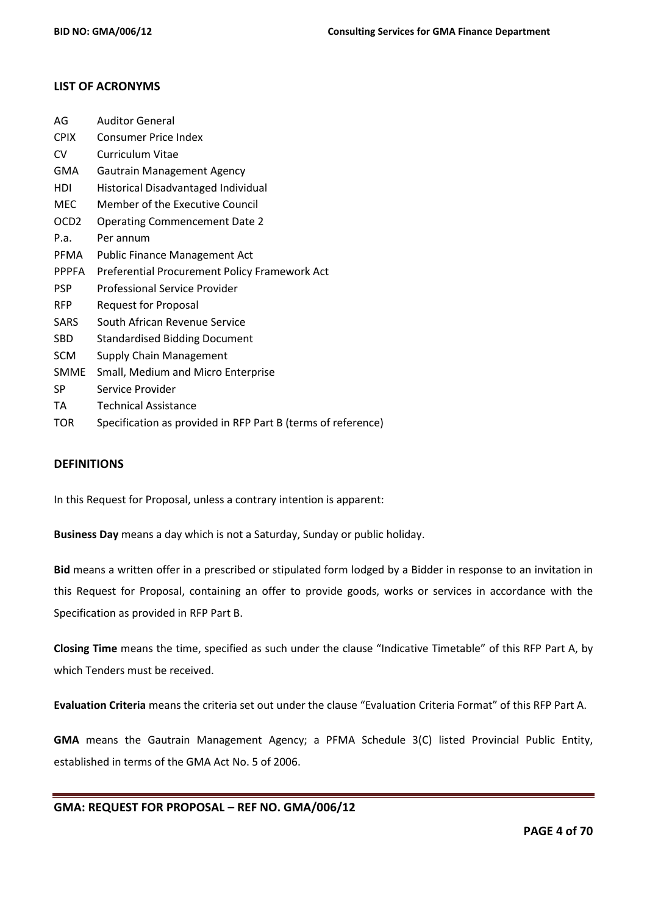## **LIST OF ACRONYMS**

| AG               | <b>Auditor General</b>                                       |
|------------------|--------------------------------------------------------------|
| <b>CPIX</b>      | <b>Consumer Price Index</b>                                  |
| CV               | Curriculum Vitae                                             |
| <b>GMA</b>       | <b>Gautrain Management Agency</b>                            |
| HDI              | Historical Disadvantaged Individual                          |
| <b>MEC</b>       | Member of the Executive Council                              |
| OCD <sub>2</sub> | <b>Operating Commencement Date 2</b>                         |
| P.a.             | Per annum                                                    |
| PFMA             | Public Finance Management Act                                |
| <b>PPPFA</b>     | Preferential Procurement Policy Framework Act                |
| <b>PSP</b>       | Professional Service Provider                                |
| <b>RFP</b>       | Request for Proposal                                         |
| <b>SARS</b>      | South African Revenue Service                                |
| <b>SBD</b>       | <b>Standardised Bidding Document</b>                         |
| <b>SCM</b>       | <b>Supply Chain Management</b>                               |
| <b>SMME</b>      | Small, Medium and Micro Enterprise                           |
| SP               | Service Provider                                             |
| TA               | <b>Technical Assistance</b>                                  |
| <b>TOR</b>       | Specification as provided in RFP Part B (terms of reference) |

## **DEFINITIONS**

In this Request for Proposal, unless a contrary intention is apparent:

**Business Day** means a day which is not a Saturday, Sunday or public holiday.

**Bid** means a written offer in a prescribed or stipulated form lodged by a Bidder in response to an invitation in this Request for Proposal, containing an offer to provide goods, works or services in accordance with the Specification as provided in RFP Part B.

**Closing Time** means the time, specified as such under the clause "Indicative Timetable" of this RFP Part A, by which Tenders must be received.

**Evaluation Criteria** means the criteria set out under the clause "Evaluation Criteria Format" of this RFP Part A.

**GMA** means the Gautrain Management Agency; a PFMA Schedule 3(C) listed Provincial Public Entity, established in terms of the GMA Act No. 5 of 2006.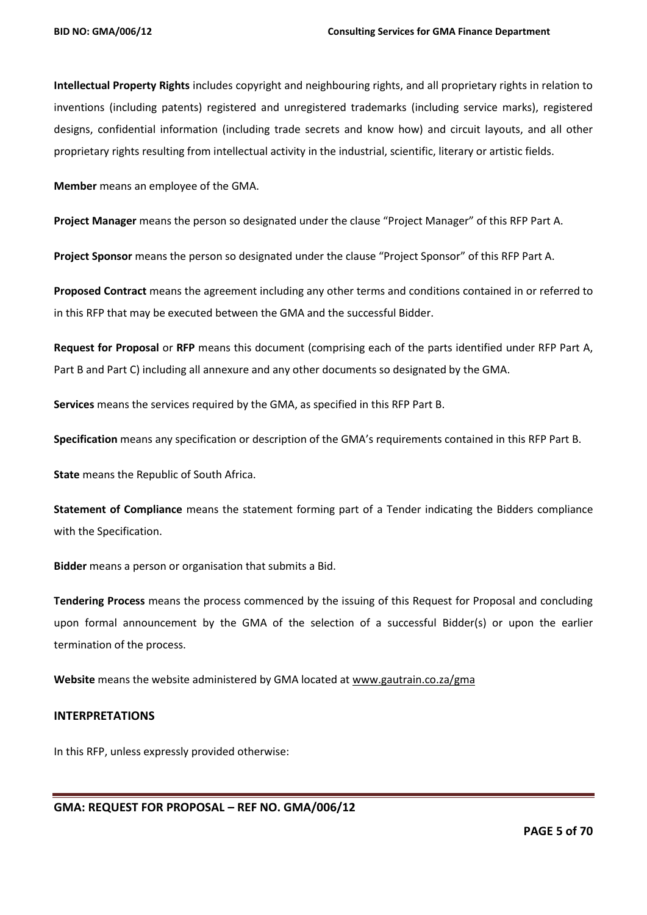**Intellectual Property Rights** includes copyright and neighbouring rights, and all proprietary rights in relation to inventions (including patents) registered and unregistered trademarks (including service marks), registered designs, confidential information (including trade secrets and know how) and circuit layouts, and all other proprietary rights resulting from intellectual activity in the industrial, scientific, literary or artistic fields.

**Member** means an employee of the GMA.

**Project Manager** means the person so designated under the clause "Project Manager" of this RFP Part A.

**Project Sponsor** means the person so designated under the clause "Project Sponsor" of this RFP Part A.

**Proposed Contract** means the agreement including any other terms and conditions contained in or referred to in this RFP that may be executed between the GMA and the successful Bidder.

**Request for Proposal** or **RFP** means this document (comprising each of the parts identified under RFP Part A, Part B and Part C) including all annexure and any other documents so designated by the GMA.

**Services** means the services required by the GMA, as specified in this RFP Part B.

**Specification** means any specification or description of the GMA's requirements contained in this RFP Part B.

**State** means the Republic of South Africa.

**Statement of Compliance** means the statement forming part of a Tender indicating the Bidders compliance with the Specification.

**Bidder** means a person or organisation that submits a Bid.

**Tendering Process** means the process commenced by the issuing of this Request for Proposal and concluding upon formal announcement by the GMA of the selection of a successful Bidder(s) or upon the earlier termination of the process.

**Website** means the website administered by GMA located at [www.gautrain.co.za/](http://www.gautrain.co.za/)gma

#### **INTERPRETATIONS**

In this RFP, unless expressly provided otherwise: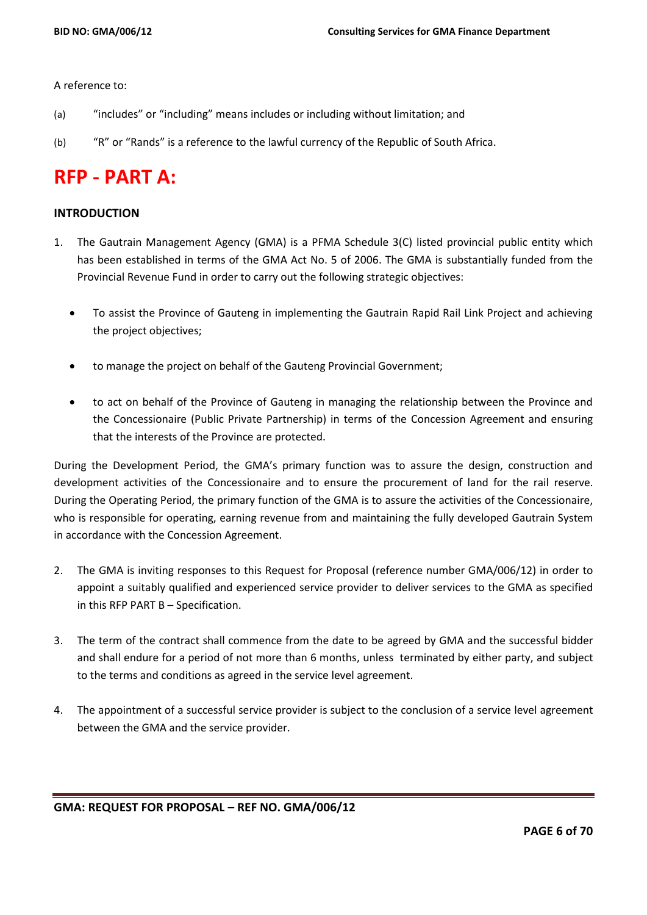A reference to:

- (a) "includes" or "including" means includes or including without limitation; and
- (b) "R" or "Rands" is a reference to the lawful currency of the Republic of South Africa.

# **RFP - PART A:**

## **INTRODUCTION**

- 1. The Gautrain Management Agency (GMA) is a PFMA Schedule 3(C) listed provincial public entity which has been established in terms of the GMA Act No. 5 of 2006. The GMA is substantially funded from the Provincial Revenue Fund in order to carry out the following strategic objectives:
	- To assist the Province of Gauteng in implementing the Gautrain Rapid Rail Link Project and achieving the project objectives;
	- to manage the project on behalf of the Gauteng Provincial Government;
	- to act on behalf of the Province of Gauteng in managing the relationship between the Province and the Concessionaire (Public Private Partnership) in terms of the Concession Agreement and ensuring that the interests of the Province are protected.

During the Development Period, the GMA's primary function was to assure the design, construction and development activities of the Concessionaire and to ensure the procurement of land for the rail reserve. During the Operating Period, the primary function of the GMA is to assure the activities of the Concessionaire, who is responsible for operating, earning revenue from and maintaining the fully developed Gautrain System in accordance with the Concession Agreement.

- 2. The GMA is inviting responses to this Request for Proposal (reference number GMA/006/12) in order to appoint a suitably qualified and experienced service provider to deliver services to the GMA as specified in this RFP PART B – Specification.
- 3. The term of the contract shall commence from the date to be agreed by GMA and the successful bidder and shall endure for a period of not more than 6 months, unless terminated by either party, and subject to the terms and conditions as agreed in the service level agreement.
- 4. The appointment of a successful service provider is subject to the conclusion of a service level agreement between the GMA and the service provider.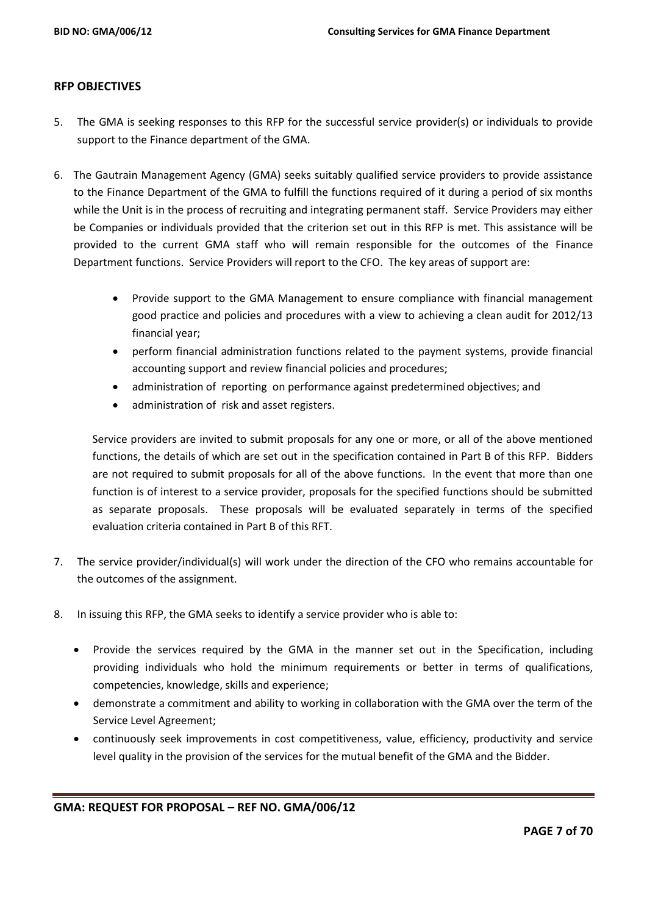## **RFP OBJECTIVES**

- 5. The GMA is seeking responses to this RFP for the successful service provider(s) or individuals to provide support to the Finance department of the GMA.
- 6. The Gautrain Management Agency (GMA) seeks suitably qualified service providers to provide assistance to the Finance Department of the GMA to fulfill the functions required of it during a period of six months while the Unit is in the process of recruiting and integrating permanent staff. Service Providers may either be Companies or individuals provided that the criterion set out in this RFP is met. This assistance will be provided to the current GMA staff who will remain responsible for the outcomes of the Finance Department functions. Service Providers will report to the CFO. The key areas of support are:
	- Provide support to the GMA Management to ensure compliance with financial management good practice and policies and procedures with a view to achieving a clean audit for 2012/13 financial year;
	- perform financial administration functions related to the payment systems, provide financial accounting support and review financial policies and procedures;
	- administration of reporting on performance against predetermined objectives; and
	- administration of risk and asset registers.

Service providers are invited to submit proposals for any one or more, or all of the above mentioned functions, the details of which are set out in the specification contained in Part B of this RFP. Bidders are not required to submit proposals for all of the above functions. In the event that more than one function is of interest to a service provider, proposals for the specified functions should be submitted as separate proposals. These proposals will be evaluated separately in terms of the specified evaluation criteria contained in Part B of this RFT.

- 7. The service provider/individual(s) will work under the direction of the CFO who remains accountable for the outcomes of the assignment.
- 8. In issuing this RFP, the GMA seeks to identify a service provider who is able to:
	- Provide the services required by the GMA in the manner set out in the Specification, including providing individuals who hold the minimum requirements or better in terms of qualifications, competencies, knowledge, skills and experience;
	- demonstrate a commitment and ability to working in collaboration with the GMA over the term of the Service Level Agreement;
	- continuously seek improvements in cost competitiveness, value, efficiency, productivity and service level quality in the provision of the services for the mutual benefit of the GMA and the Bidder.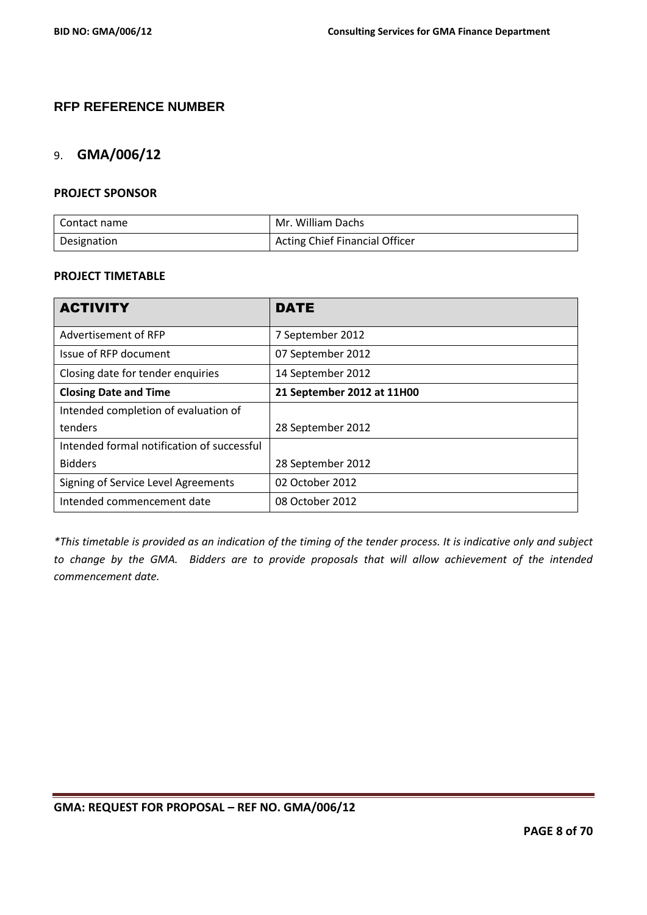# **RFP REFERENCE NUMBER**

## 9. **GMA/006/12**

## **PROJECT SPONSOR**

| Contact name | Mr. William Dachs                     |
|--------------|---------------------------------------|
| Designation  | <b>Acting Chief Financial Officer</b> |

## **PROJECT TIMETABLE**

| <b>ACTIVITY</b>                            | <b>DATE</b>                |  |  |
|--------------------------------------------|----------------------------|--|--|
| Advertisement of RFP                       | 7 September 2012           |  |  |
| Issue of RFP document                      | 07 September 2012          |  |  |
| Closing date for tender enquiries          | 14 September 2012          |  |  |
| <b>Closing Date and Time</b>               | 21 September 2012 at 11H00 |  |  |
| Intended completion of evaluation of       |                            |  |  |
| tenders                                    | 28 September 2012          |  |  |
| Intended formal notification of successful |                            |  |  |
| <b>Bidders</b>                             | 28 September 2012          |  |  |
| Signing of Service Level Agreements        | 02 October 2012            |  |  |
| Intended commencement date                 | 08 October 2012            |  |  |

*\*This timetable is provided as an indication of the timing of the tender process. It is indicative only and subject to change by the GMA. Bidders are to provide proposals that will allow achievement of the intended commencement date.*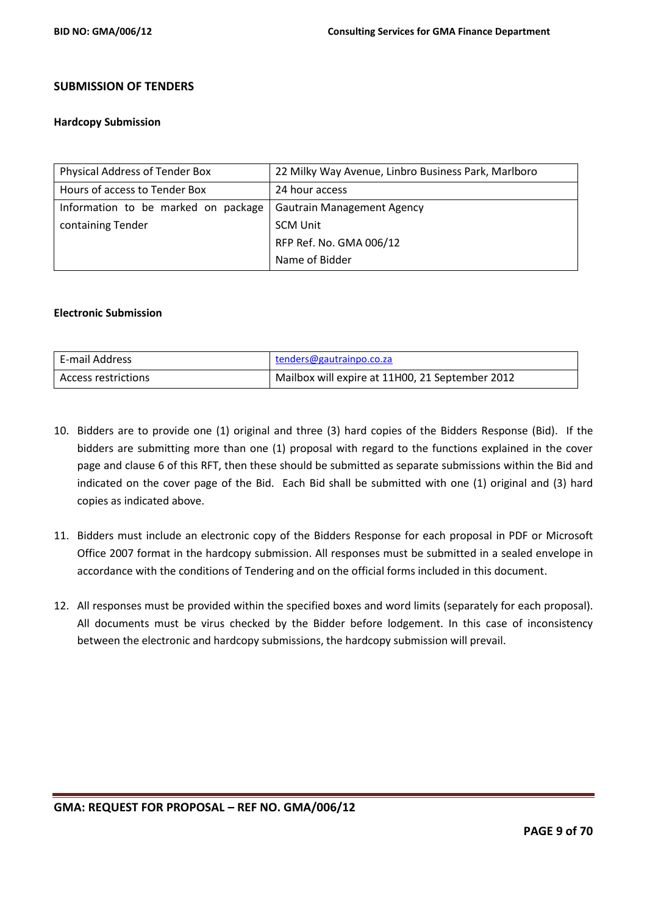## **SUBMISSION OF TENDERS**

#### **Hardcopy Submission**

| Physical Address of Tender Box      | 22 Milky Way Avenue, Linbro Business Park, Marlboro |  |  |
|-------------------------------------|-----------------------------------------------------|--|--|
| Hours of access to Tender Box       | 24 hour access                                      |  |  |
| Information to be marked on package | <b>Gautrain Management Agency</b>                   |  |  |
| containing Tender                   | <b>SCM Unit</b>                                     |  |  |
|                                     | RFP Ref. No. GMA 006/12                             |  |  |
|                                     | Name of Bidder                                      |  |  |

#### **Electronic Submission**

| E-mail Address      | tenders@gautrainpo.co.za                        |
|---------------------|-------------------------------------------------|
| Access restrictions | Mailbox will expire at 11H00, 21 September 2012 |

- 10. Bidders are to provide one (1) original and three (3) hard copies of the Bidders Response (Bid). If the bidders are submitting more than one (1) proposal with regard to the functions explained in the cover page and clause 6 of this RFT, then these should be submitted as separate submissions within the Bid and indicated on the cover page of the Bid. Each Bid shall be submitted with one (1) original and (3) hard copies as indicated above.
- 11. Bidders must include an electronic copy of the Bidders Response for each proposal in PDF or Microsoft Office 2007 format in the hardcopy submission. All responses must be submitted in a sealed envelope in accordance with the conditions of Tendering and on the official forms included in this document.
- 12. All responses must be provided within the specified boxes and word limits (separately for each proposal). All documents must be virus checked by the Bidder before lodgement. In this case of inconsistency between the electronic and hardcopy submissions, the hardcopy submission will prevail.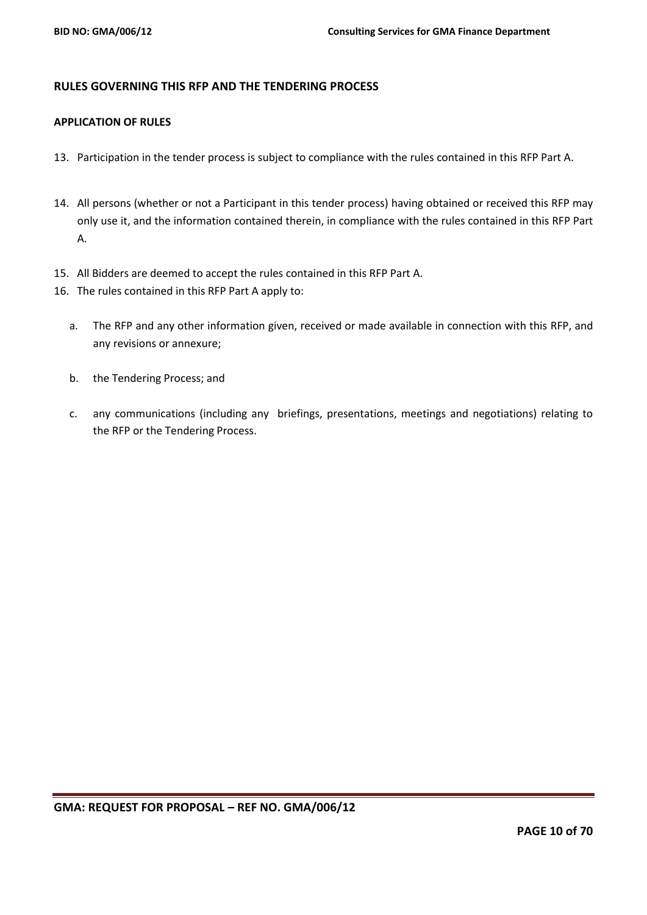## **RULES GOVERNING THIS RFP AND THE TENDERING PROCESS**

### **APPLICATION OF RULES**

- 13. Participation in the tender process is subject to compliance with the rules contained in this RFP Part A.
- 14. All persons (whether or not a Participant in this tender process) having obtained or received this RFP may only use it, and the information contained therein, in compliance with the rules contained in this RFP Part A.
- 15. All Bidders are deemed to accept the rules contained in this RFP Part A.
- 16. The rules contained in this RFP Part A apply to:
	- a. The RFP and any other information given, received or made available in connection with this RFP, and any revisions or annexure;
	- b. the Tendering Process; and
	- c. any communications (including any briefings, presentations, meetings and negotiations) relating to the RFP or the Tendering Process.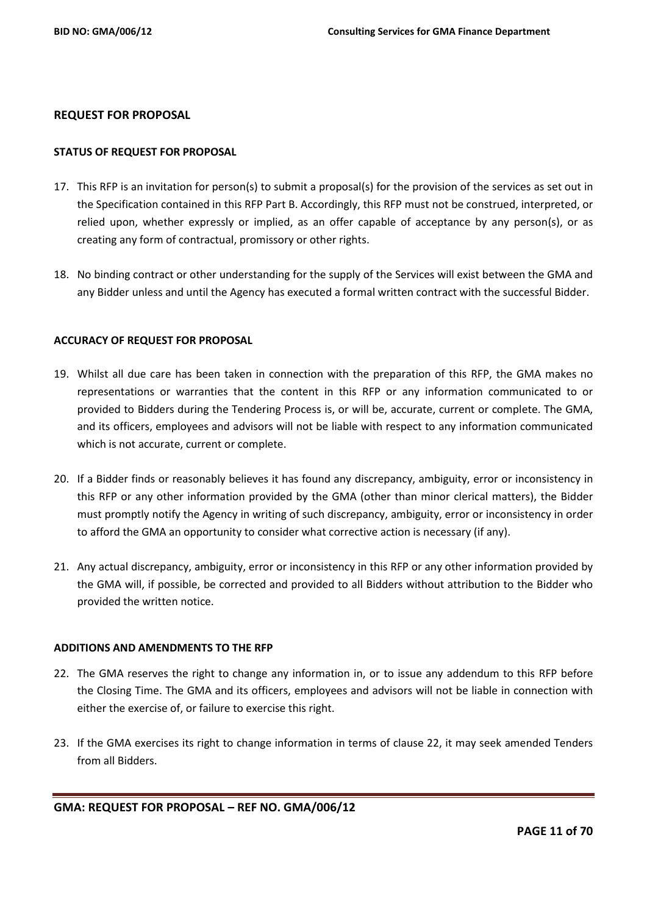#### **REQUEST FOR PROPOSAL**

#### **STATUS OF REQUEST FOR PROPOSAL**

- 17. This RFP is an invitation for person(s) to submit a proposal(s) for the provision of the services as set out in the Specification contained in this RFP Part B. Accordingly, this RFP must not be construed, interpreted, or relied upon, whether expressly or implied, as an offer capable of acceptance by any person(s), or as creating any form of contractual, promissory or other rights.
- 18. No binding contract or other understanding for the supply of the Services will exist between the GMA and any Bidder unless and until the Agency has executed a formal written contract with the successful Bidder.

#### **ACCURACY OF REQUEST FOR PROPOSAL**

- 19. Whilst all due care has been taken in connection with the preparation of this RFP, the GMA makes no representations or warranties that the content in this RFP or any information communicated to or provided to Bidders during the Tendering Process is, or will be, accurate, current or complete. The GMA, and its officers, employees and advisors will not be liable with respect to any information communicated which is not accurate, current or complete.
- 20. If a Bidder finds or reasonably believes it has found any discrepancy, ambiguity, error or inconsistency in this RFP or any other information provided by the GMA (other than minor clerical matters), the Bidder must promptly notify the Agency in writing of such discrepancy, ambiguity, error or inconsistency in order to afford the GMA an opportunity to consider what corrective action is necessary (if any).
- 21. Any actual discrepancy, ambiguity, error or inconsistency in this RFP or any other information provided by the GMA will, if possible, be corrected and provided to all Bidders without attribution to the Bidder who provided the written notice.

#### **ADDITIONS AND AMENDMENTS TO THE RFP**

- 22. The GMA reserves the right to change any information in, or to issue any addendum to this RFP before the Closing Time. The GMA and its officers, employees and advisors will not be liable in connection with either the exercise of, or failure to exercise this right.
- 23. If the GMA exercises its right to change information in terms of clause 22, it may seek amended Tenders from all Bidders.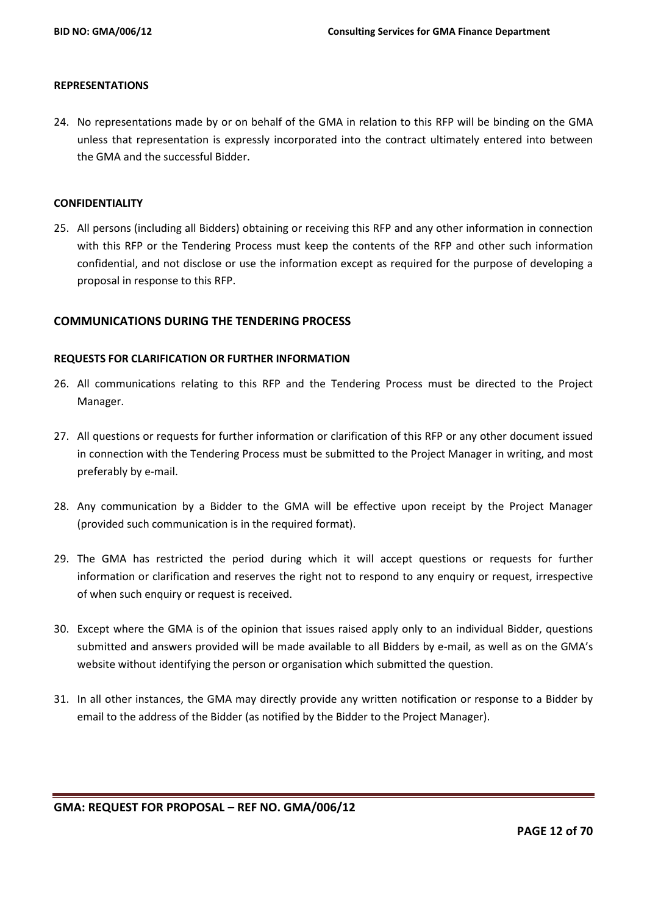#### **REPRESENTATIONS**

24. No representations made by or on behalf of the GMA in relation to this RFP will be binding on the GMA unless that representation is expressly incorporated into the contract ultimately entered into between the GMA and the successful Bidder.

#### **CONFIDENTIALITY**

25. All persons (including all Bidders) obtaining or receiving this RFP and any other information in connection with this RFP or the Tendering Process must keep the contents of the RFP and other such information confidential, and not disclose or use the information except as required for the purpose of developing a proposal in response to this RFP.

## **COMMUNICATIONS DURING THE TENDERING PROCESS**

#### **REQUESTS FOR CLARIFICATION OR FURTHER INFORMATION**

- 26. All communications relating to this RFP and the Tendering Process must be directed to the Project Manager.
- 27. All questions or requests for further information or clarification of this RFP or any other document issued in connection with the Tendering Process must be submitted to the Project Manager in writing, and most preferably by e-mail.
- 28. Any communication by a Bidder to the GMA will be effective upon receipt by the Project Manager (provided such communication is in the required format).
- 29. The GMA has restricted the period during which it will accept questions or requests for further information or clarification and reserves the right not to respond to any enquiry or request, irrespective of when such enquiry or request is received.
- 30. Except where the GMA is of the opinion that issues raised apply only to an individual Bidder, questions submitted and answers provided will be made available to all Bidders by e-mail, as well as on the GMA's website without identifying the person or organisation which submitted the question.
- 31. In all other instances, the GMA may directly provide any written notification or response to a Bidder by email to the address of the Bidder (as notified by the Bidder to the Project Manager).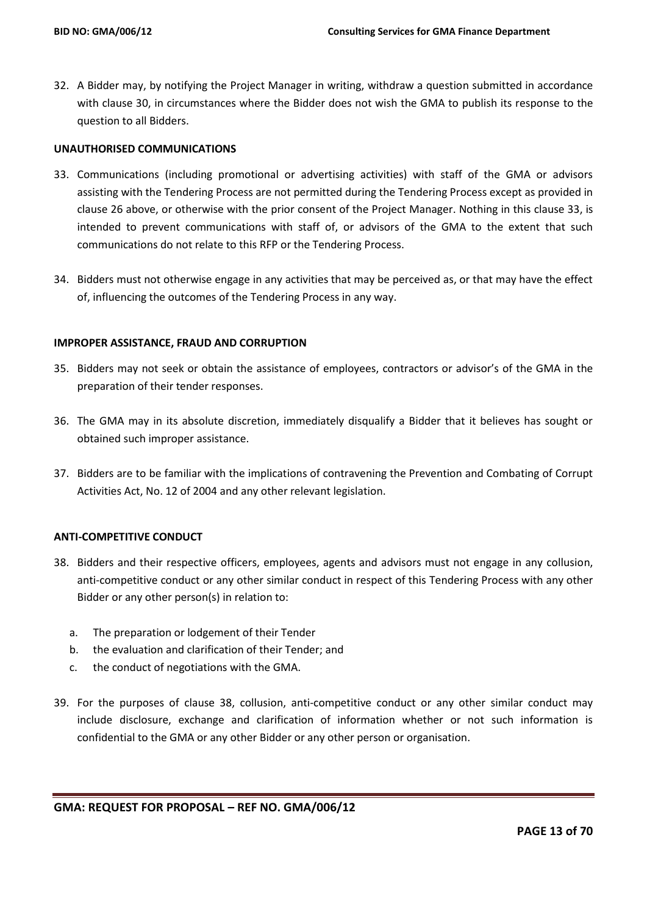32. A Bidder may, by notifying the Project Manager in writing, withdraw a question submitted in accordance with clause 30, in circumstances where the Bidder does not wish the GMA to publish its response to the question to all Bidders.

#### **UNAUTHORISED COMMUNICATIONS**

- 33. Communications (including promotional or advertising activities) with staff of the GMA or advisors assisting with the Tendering Process are not permitted during the Tendering Process except as provided in clause 26 above, or otherwise with the prior consent of the Project Manager. Nothing in this clause 33, is intended to prevent communications with staff of, or advisors of the GMA to the extent that such communications do not relate to this RFP or the Tendering Process.
- 34. Bidders must not otherwise engage in any activities that may be perceived as, or that may have the effect of, influencing the outcomes of the Tendering Process in any way.

#### **IMPROPER ASSISTANCE, FRAUD AND CORRUPTION**

- 35. Bidders may not seek or obtain the assistance of employees, contractors or advisor's of the GMA in the preparation of their tender responses.
- 36. The GMA may in its absolute discretion, immediately disqualify a Bidder that it believes has sought or obtained such improper assistance.
- 37. Bidders are to be familiar with the implications of contravening the Prevention and Combating of Corrupt Activities Act, No. 12 of 2004 and any other relevant legislation.

## **ANTI-COMPETITIVE CONDUCT**

- 38. Bidders and their respective officers, employees, agents and advisors must not engage in any collusion, anti-competitive conduct or any other similar conduct in respect of this Tendering Process with any other Bidder or any other person(s) in relation to:
	- a. The preparation or lodgement of their Tender
	- b. the evaluation and clarification of their Tender; and
	- c. the conduct of negotiations with the GMA.
- 39. For the purposes of clause 38, collusion, anti-competitive conduct or any other similar conduct may include disclosure, exchange and clarification of information whether or not such information is confidential to the GMA or any other Bidder or any other person or organisation.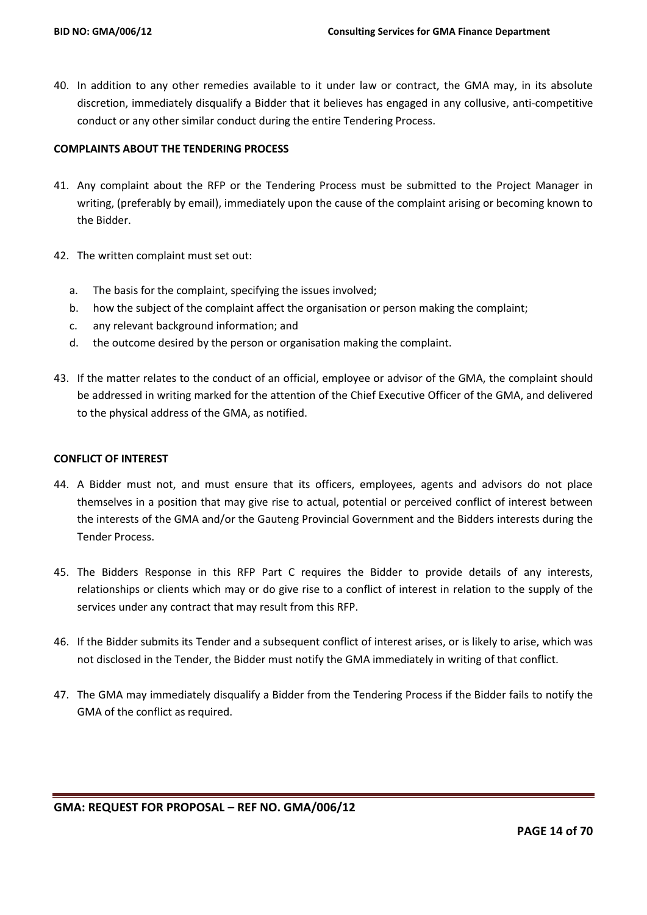40. In addition to any other remedies available to it under law or contract, the GMA may, in its absolute discretion, immediately disqualify a Bidder that it believes has engaged in any collusive, anti-competitive conduct or any other similar conduct during the entire Tendering Process.

## **COMPLAINTS ABOUT THE TENDERING PROCESS**

- 41. Any complaint about the RFP or the Tendering Process must be submitted to the Project Manager in writing, (preferably by email), immediately upon the cause of the complaint arising or becoming known to the Bidder.
- 42. The written complaint must set out:
	- a. The basis for the complaint, specifying the issues involved;
	- b. how the subject of the complaint affect the organisation or person making the complaint;
	- c. any relevant background information; and
	- d. the outcome desired by the person or organisation making the complaint.
- 43. If the matter relates to the conduct of an official, employee or advisor of the GMA, the complaint should be addressed in writing marked for the attention of the Chief Executive Officer of the GMA, and delivered to the physical address of the GMA, as notified.

#### **CONFLICT OF INTEREST**

- 44. A Bidder must not, and must ensure that its officers, employees, agents and advisors do not place themselves in a position that may give rise to actual, potential or perceived conflict of interest between the interests of the GMA and/or the Gauteng Provincial Government and the Bidders interests during the Tender Process.
- 45. The Bidders Response in this RFP Part C requires the Bidder to provide details of any interests, relationships or clients which may or do give rise to a conflict of interest in relation to the supply of the services under any contract that may result from this RFP.
- 46. If the Bidder submits its Tender and a subsequent conflict of interest arises, or is likely to arise, which was not disclosed in the Tender, the Bidder must notify the GMA immediately in writing of that conflict.
- 47. The GMA may immediately disqualify a Bidder from the Tendering Process if the Bidder fails to notify the GMA of the conflict as required.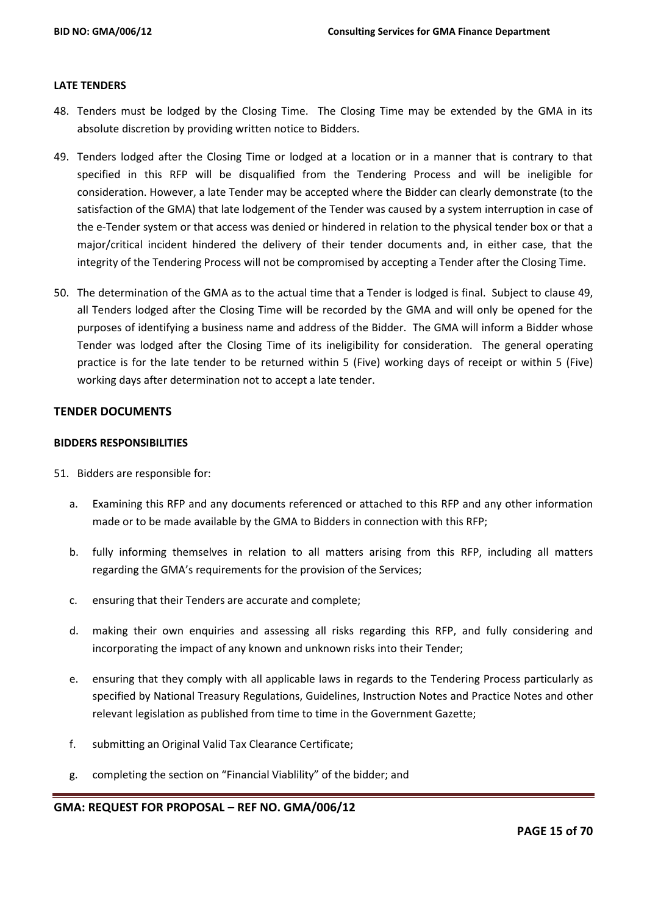#### **LATE TENDERS**

- 48. Tenders must be lodged by the Closing Time. The Closing Time may be extended by the GMA in its absolute discretion by providing written notice to Bidders.
- 49. Tenders lodged after the Closing Time or lodged at a location or in a manner that is contrary to that specified in this RFP will be disqualified from the Tendering Process and will be ineligible for consideration. However, a late Tender may be accepted where the Bidder can clearly demonstrate (to the satisfaction of the GMA) that late lodgement of the Tender was caused by a system interruption in case of the e-Tender system or that access was denied or hindered in relation to the physical tender box or that a major/critical incident hindered the delivery of their tender documents and, in either case, that the integrity of the Tendering Process will not be compromised by accepting a Tender after the Closing Time.
- 50. The determination of the GMA as to the actual time that a Tender is lodged is final. Subject to clause 49, all Tenders lodged after the Closing Time will be recorded by the GMA and will only be opened for the purposes of identifying a business name and address of the Bidder. The GMA will inform a Bidder whose Tender was lodged after the Closing Time of its ineligibility for consideration. The general operating practice is for the late tender to be returned within 5 (Five) working days of receipt or within 5 (Five) working days after determination not to accept a late tender.

## **TENDER DOCUMENTS**

#### **BIDDERS RESPONSIBILITIES**

- 51. Bidders are responsible for:
	- a. Examining this RFP and any documents referenced or attached to this RFP and any other information made or to be made available by the GMA to Bidders in connection with this RFP;
	- b. fully informing themselves in relation to all matters arising from this RFP, including all matters regarding the GMA's requirements for the provision of the Services;
	- c. ensuring that their Tenders are accurate and complete;
	- d. making their own enquiries and assessing all risks regarding this RFP, and fully considering and incorporating the impact of any known and unknown risks into their Tender;
	- e. ensuring that they comply with all applicable laws in regards to the Tendering Process particularly as specified by National Treasury Regulations, Guidelines, Instruction Notes and Practice Notes and other relevant legislation as published from time to time in the Government Gazette;
	- f. submitting an Original Valid Tax Clearance Certificate;
	- g. completing the section on "Financial Viablility" of the bidder; and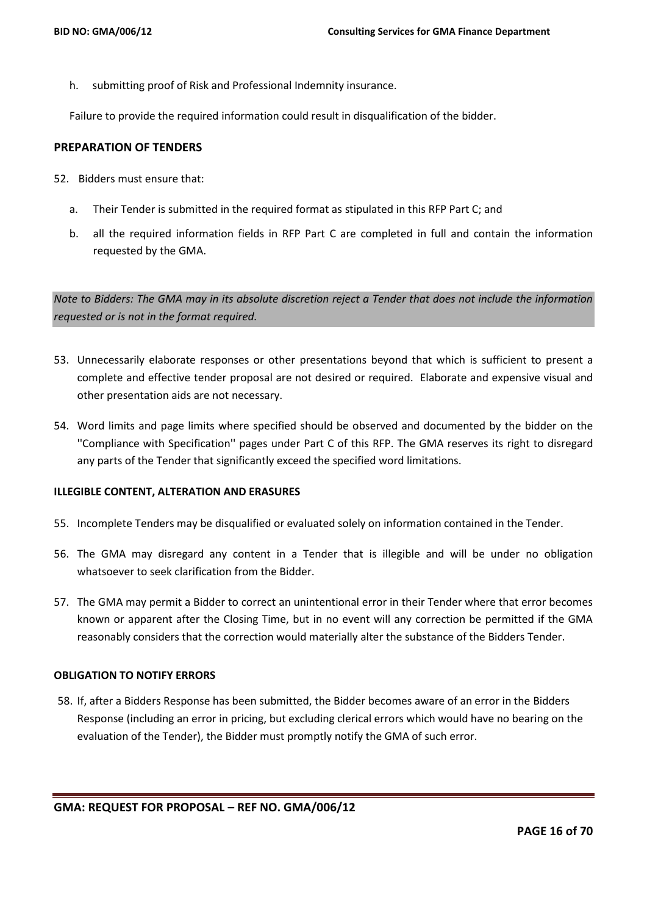h. submitting proof of Risk and Professional Indemnity insurance.

Failure to provide the required information could result in disqualification of the bidder.

### **PREPARATION OF TENDERS**

- 52. Bidders must ensure that:
	- a. Their Tender is submitted in the required format as stipulated in this RFP Part C; and
	- b. all the required information fields in RFP Part C are completed in full and contain the information requested by the GMA.

*Note to Bidders: The GMA may in its absolute discretion reject a Tender that does not include the information requested or is not in the format required.*

- 53. Unnecessarily elaborate responses or other presentations beyond that which is sufficient to present a complete and effective tender proposal are not desired or required. Elaborate and expensive visual and other presentation aids are not necessary.
- 54. Word limits and page limits where specified should be observed and documented by the bidder on the ''Compliance with Specification'' pages under Part C of this RFP. The GMA reserves its right to disregard any parts of the Tender that significantly exceed the specified word limitations.

## **ILLEGIBLE CONTENT, ALTERATION AND ERASURES**

- 55. Incomplete Tenders may be disqualified or evaluated solely on information contained in the Tender.
- 56. The GMA may disregard any content in a Tender that is illegible and will be under no obligation whatsoever to seek clarification from the Bidder.
- 57. The GMA may permit a Bidder to correct an unintentional error in their Tender where that error becomes known or apparent after the Closing Time, but in no event will any correction be permitted if the GMA reasonably considers that the correction would materially alter the substance of the Bidders Tender.

#### **OBLIGATION TO NOTIFY ERRORS**

58. If, after a Bidders Response has been submitted, the Bidder becomes aware of an error in the Bidders Response (including an error in pricing, but excluding clerical errors which would have no bearing on the evaluation of the Tender), the Bidder must promptly notify the GMA of such error.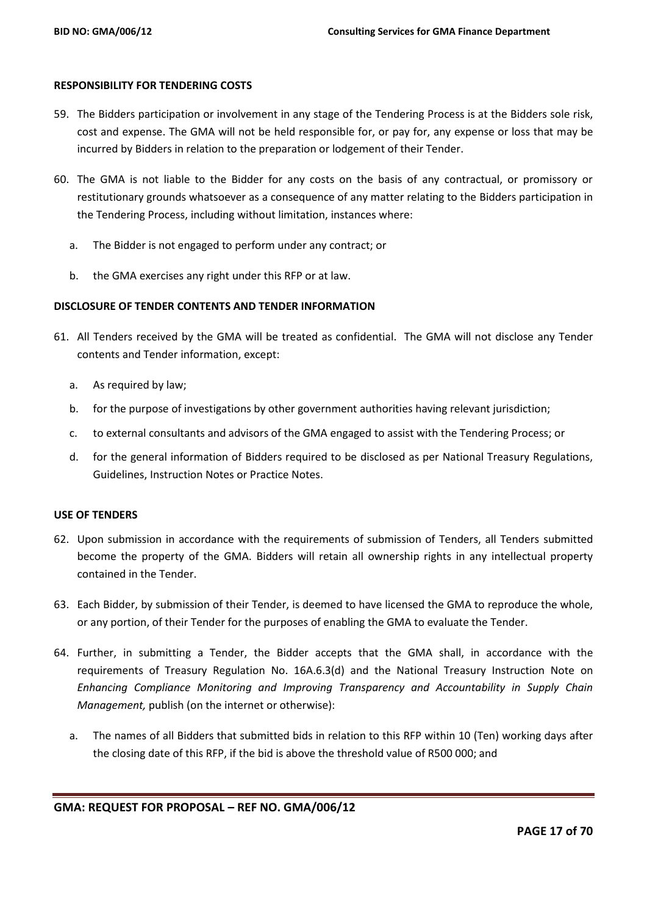#### **RESPONSIBILITY FOR TENDERING COSTS**

- 59. The Bidders participation or involvement in any stage of the Tendering Process is at the Bidders sole risk, cost and expense. The GMA will not be held responsible for, or pay for, any expense or loss that may be incurred by Bidders in relation to the preparation or lodgement of their Tender.
- 60. The GMA is not liable to the Bidder for any costs on the basis of any contractual, or promissory or restitutionary grounds whatsoever as a consequence of any matter relating to the Bidders participation in the Tendering Process, including without limitation, instances where:
	- a. The Bidder is not engaged to perform under any contract; or
	- b. the GMA exercises any right under this RFP or at law.

## **DISCLOSURE OF TENDER CONTENTS AND TENDER INFORMATION**

- 61. All Tenders received by the GMA will be treated as confidential. The GMA will not disclose any Tender contents and Tender information, except:
	- a. As required by law;
	- b. for the purpose of investigations by other government authorities having relevant jurisdiction;
	- c. to external consultants and advisors of the GMA engaged to assist with the Tendering Process; or
	- d. for the general information of Bidders required to be disclosed as per National Treasury Regulations, Guidelines, Instruction Notes or Practice Notes.

## **USE OF TENDERS**

- 62. Upon submission in accordance with the requirements of submission of Tenders, all Tenders submitted become the property of the GMA. Bidders will retain all ownership rights in any intellectual property contained in the Tender.
- 63. Each Bidder, by submission of their Tender, is deemed to have licensed the GMA to reproduce the whole, or any portion, of their Tender for the purposes of enabling the GMA to evaluate the Tender.
- 64. Further, in submitting a Tender, the Bidder accepts that the GMA shall, in accordance with the requirements of Treasury Regulation No. 16A.6.3(d) and the National Treasury Instruction Note on *Enhancing Compliance Monitoring and Improving Transparency and Accountability in Supply Chain Management,* publish (on the internet or otherwise):
	- a. The names of all Bidders that submitted bids in relation to this RFP within 10 (Ten) working days after the closing date of this RFP, if the bid is above the threshold value of R500 000; and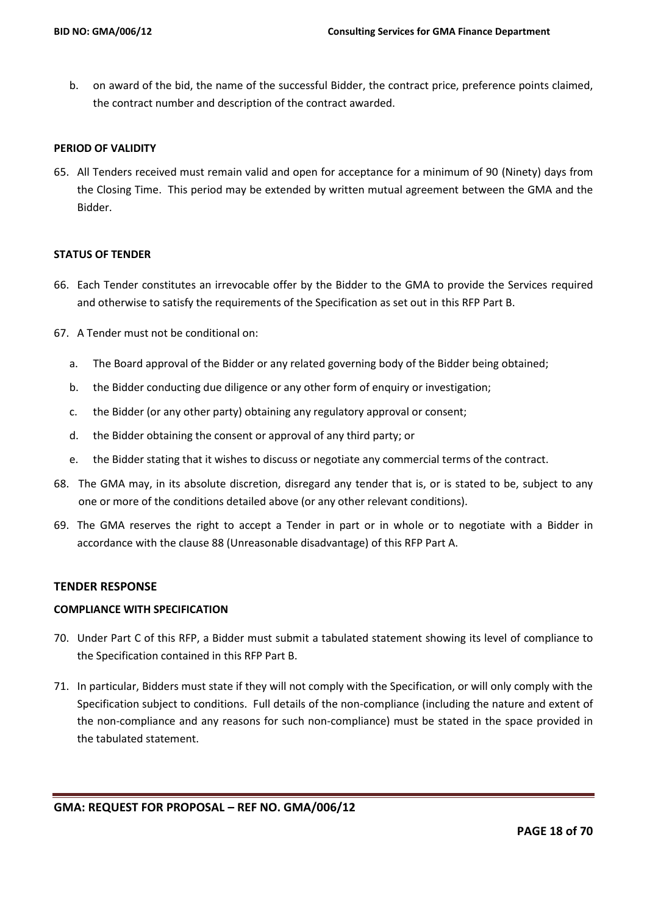b. on award of the bid, the name of the successful Bidder, the contract price, preference points claimed, the contract number and description of the contract awarded.

## **PERIOD OF VALIDITY**

65. All Tenders received must remain valid and open for acceptance for a minimum of 90 (Ninety) days from the Closing Time. This period may be extended by written mutual agreement between the GMA and the Bidder.

#### **STATUS OF TENDER**

- 66. Each Tender constitutes an irrevocable offer by the Bidder to the GMA to provide the Services required and otherwise to satisfy the requirements of the Specification as set out in this RFP Part B.
- 67. A Tender must not be conditional on:
	- a. The Board approval of the Bidder or any related governing body of the Bidder being obtained;
	- b. the Bidder conducting due diligence or any other form of enquiry or investigation;
	- c. the Bidder (or any other party) obtaining any regulatory approval or consent;
	- d. the Bidder obtaining the consent or approval of any third party; or
	- e. the Bidder stating that it wishes to discuss or negotiate any commercial terms of the contract.
- 68. The GMA may, in its absolute discretion, disregard any tender that is, or is stated to be, subject to any one or more of the conditions detailed above (or any other relevant conditions).
- 69. The GMA reserves the right to accept a Tender in part or in whole or to negotiate with a Bidder in accordance with the clause 88 (Unreasonable disadvantage) of this RFP Part A.

#### **TENDER RESPONSE**

#### **COMPLIANCE WITH SPECIFICATION**

- 70. Under Part C of this RFP, a Bidder must submit a tabulated statement showing its level of compliance to the Specification contained in this RFP Part B.
- 71. In particular, Bidders must state if they will not comply with the Specification, or will only comply with the Specification subject to conditions. Full details of the non-compliance (including the nature and extent of the non-compliance and any reasons for such non-compliance) must be stated in the space provided in the tabulated statement.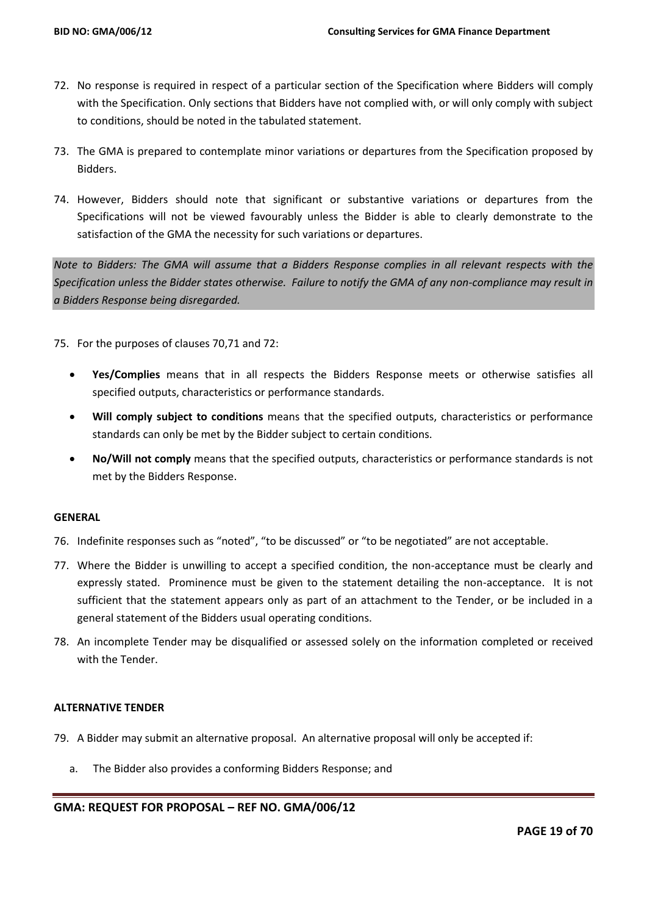- 72. No response is required in respect of a particular section of the Specification where Bidders will comply with the Specification. Only sections that Bidders have not complied with, or will only comply with subject to conditions, should be noted in the tabulated statement.
- 73. The GMA is prepared to contemplate minor variations or departures from the Specification proposed by Bidders.
- 74. However, Bidders should note that significant or substantive variations or departures from the Specifications will not be viewed favourably unless the Bidder is able to clearly demonstrate to the satisfaction of the GMA the necessity for such variations or departures.

*Note to Bidders: The GMA will assume that a Bidders Response complies in all relevant respects with the Specification unless the Bidder states otherwise. Failure to notify the GMA of any non-compliance may result in a Bidders Response being disregarded.*

75. For the purposes of clauses 70,71 and 72:

- **Yes/Complies** means that in all respects the Bidders Response meets or otherwise satisfies all specified outputs, characteristics or performance standards.
- **Will comply subject to conditions** means that the specified outputs, characteristics or performance standards can only be met by the Bidder subject to certain conditions.
- **No/Will not comply** means that the specified outputs, characteristics or performance standards is not met by the Bidders Response.

## **GENERAL**

- 76. Indefinite responses such as "noted", "to be discussed" or "to be negotiated" are not acceptable.
- 77. Where the Bidder is unwilling to accept a specified condition, the non-acceptance must be clearly and expressly stated. Prominence must be given to the statement detailing the non-acceptance. It is not sufficient that the statement appears only as part of an attachment to the Tender, or be included in a general statement of the Bidders usual operating conditions.
- 78. An incomplete Tender may be disqualified or assessed solely on the information completed or received with the Tender.

## **ALTERNATIVE TENDER**

- 79. A Bidder may submit an alternative proposal. An alternative proposal will only be accepted if:
	- a. The Bidder also provides a conforming Bidders Response; and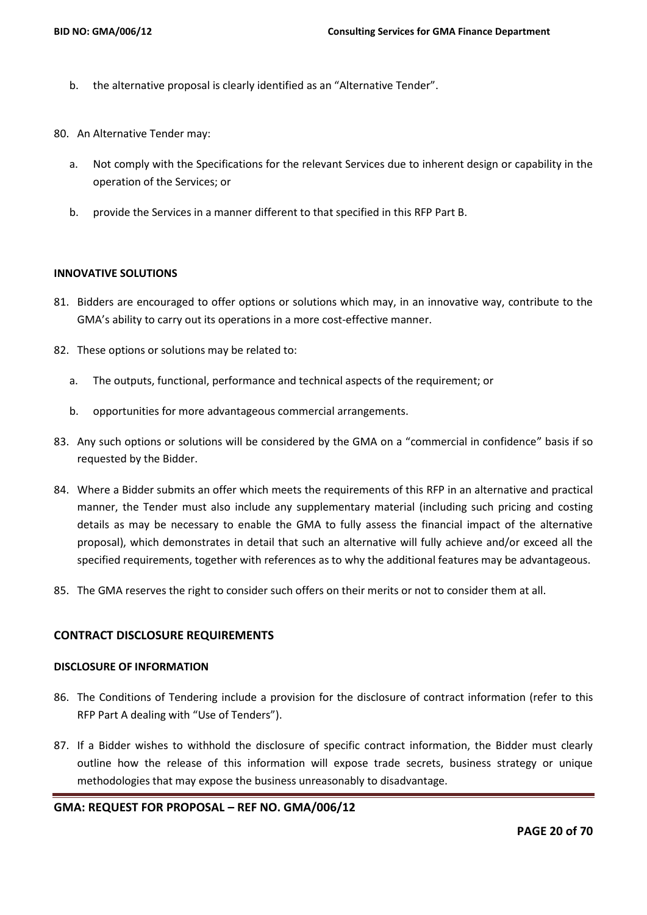- b. the alternative proposal is clearly identified as an "Alternative Tender".
- 80. An Alternative Tender may:
	- a. Not comply with the Specifications for the relevant Services due to inherent design or capability in the operation of the Services; or
	- b. provide the Services in a manner different to that specified in this RFP Part B.

## **INNOVATIVE SOLUTIONS**

- 81. Bidders are encouraged to offer options or solutions which may, in an innovative way, contribute to the GMA's ability to carry out its operations in a more cost-effective manner.
- 82. These options or solutions may be related to:
	- a. The outputs, functional, performance and technical aspects of the requirement; or
	- b. opportunities for more advantageous commercial arrangements.
- 83. Any such options or solutions will be considered by the GMA on a "commercial in confidence" basis if so requested by the Bidder.
- 84. Where a Bidder submits an offer which meets the requirements of this RFP in an alternative and practical manner, the Tender must also include any supplementary material (including such pricing and costing details as may be necessary to enable the GMA to fully assess the financial impact of the alternative proposal), which demonstrates in detail that such an alternative will fully achieve and/or exceed all the specified requirements, together with references as to why the additional features may be advantageous.
- 85. The GMA reserves the right to consider such offers on their merits or not to consider them at all.

## **CONTRACT DISCLOSURE REQUIREMENTS**

## **DISCLOSURE OF INFORMATION**

- 86. The Conditions of Tendering include a provision for the disclosure of contract information (refer to this RFP Part A dealing with "Use of Tenders").
- 87. If a Bidder wishes to withhold the disclosure of specific contract information, the Bidder must clearly outline how the release of this information will expose trade secrets, business strategy or unique methodologies that may expose the business unreasonably to disadvantage.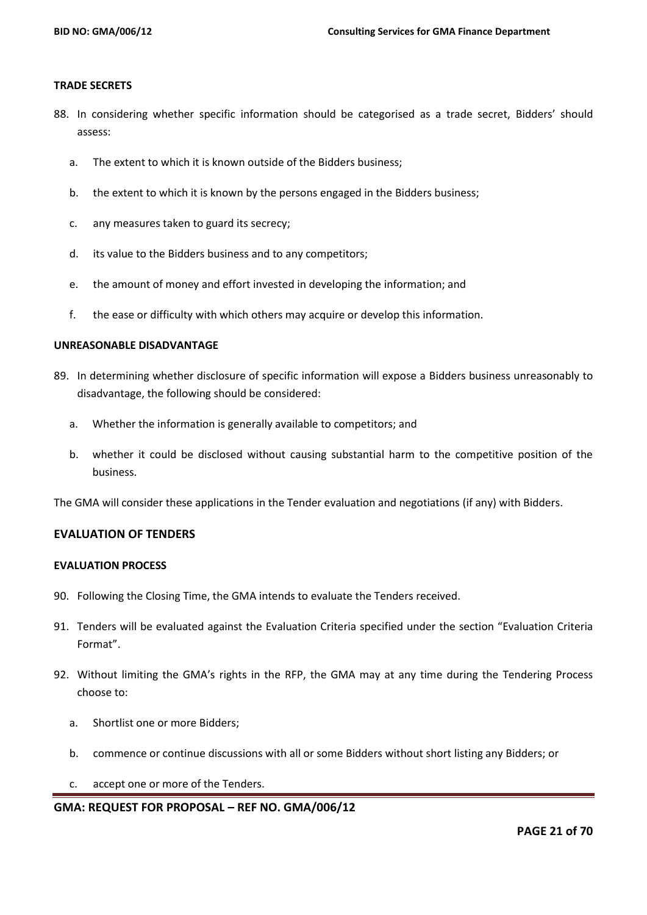#### **TRADE SECRETS**

- 88. In considering whether specific information should be categorised as a trade secret, Bidders' should assess:
	- a. The extent to which it is known outside of the Bidders business;
	- b. the extent to which it is known by the persons engaged in the Bidders business;
	- c. any measures taken to guard its secrecy;
	- d. its value to the Bidders business and to any competitors;
	- e. the amount of money and effort invested in developing the information; and
	- f. the ease or difficulty with which others may acquire or develop this information.

#### **UNREASONABLE DISADVANTAGE**

- 89. In determining whether disclosure of specific information will expose a Bidders business unreasonably to disadvantage, the following should be considered:
	- a. Whether the information is generally available to competitors; and
	- b. whether it could be disclosed without causing substantial harm to the competitive position of the business.

The GMA will consider these applications in the Tender evaluation and negotiations (if any) with Bidders.

#### **EVALUATION OF TENDERS**

## **EVALUATION PROCESS**

- 90. Following the Closing Time, the GMA intends to evaluate the Tenders received.
- 91. Tenders will be evaluated against the Evaluation Criteria specified under the section "Evaluation Criteria Format".
- 92. Without limiting the GMA's rights in the RFP, the GMA may at any time during the Tendering Process choose to:
	- a. Shortlist one or more Bidders;
	- b. commence or continue discussions with all or some Bidders without short listing any Bidders; or
	- c. accept one or more of the Tenders.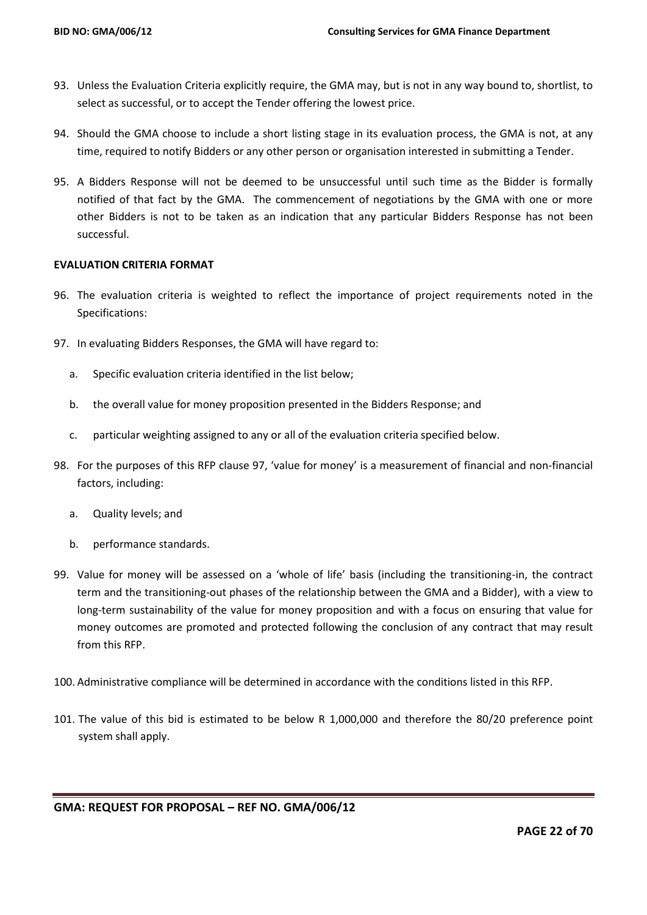- 93. Unless the Evaluation Criteria explicitly require, the GMA may, but is not in any way bound to, shortlist, to select as successful, or to accept the Tender offering the lowest price.
- 94. Should the GMA choose to include a short listing stage in its evaluation process, the GMA is not, at any time, required to notify Bidders or any other person or organisation interested in submitting a Tender.
- 95. A Bidders Response will not be deemed to be unsuccessful until such time as the Bidder is formally notified of that fact by the GMA. The commencement of negotiations by the GMA with one or more other Bidders is not to be taken as an indication that any particular Bidders Response has not been successful.

## **EVALUATION CRITERIA FORMAT**

- 96. The evaluation criteria is weighted to reflect the importance of project requirements noted in the Specifications:
- 97. In evaluating Bidders Responses, the GMA will have regard to:
	- a. Specific evaluation criteria identified in the list below;
	- b. the overall value for money proposition presented in the Bidders Response; and
	- c. particular weighting assigned to any or all of the evaluation criteria specified below.
- 98. For the purposes of this RFP clause 97, 'value for money' is a measurement of financial and non-financial factors, including:
	- a. Quality levels; and
	- b. performance standards.
- 99. Value for money will be assessed on a 'whole of life' basis (including the transitioning-in, the contract term and the transitioning-out phases of the relationship between the GMA and a Bidder), with a view to long-term sustainability of the value for money proposition and with a focus on ensuring that value for money outcomes are promoted and protected following the conclusion of any contract that may result from this RFP.
- 100. Administrative compliance will be determined in accordance with the conditions listed in this RFP.
- 101. The value of this bid is estimated to be below R 1,000,000 and therefore the 80/20 preference point system shall apply.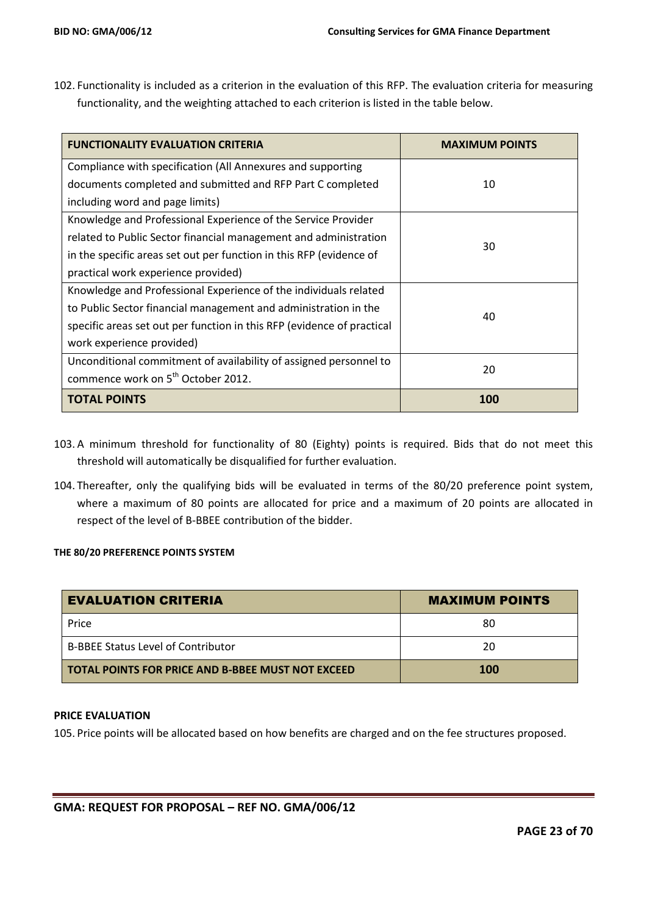102. Functionality is included as a criterion in the evaluation of this RFP. The evaluation criteria for measuring functionality, and the weighting attached to each criterion is listed in the table below.

| <b>FUNCTIONALITY EVALUATION CRITERIA</b>                               | <b>MAXIMUM POINTS</b> |  |
|------------------------------------------------------------------------|-----------------------|--|
| Compliance with specification (All Annexures and supporting            |                       |  |
| documents completed and submitted and RFP Part C completed             | 10                    |  |
| including word and page limits)                                        |                       |  |
| Knowledge and Professional Experience of the Service Provider          |                       |  |
| related to Public Sector financial management and administration       |                       |  |
| in the specific areas set out per function in this RFP (evidence of    | 30                    |  |
| practical work experience provided)                                    |                       |  |
| Knowledge and Professional Experience of the individuals related       |                       |  |
| to Public Sector financial management and administration in the        |                       |  |
| specific areas set out per function in this RFP (evidence of practical | 40                    |  |
| work experience provided)                                              |                       |  |
| Unconditional commitment of availability of assigned personnel to      | 20                    |  |
| commence work on 5 <sup>th</sup> October 2012.                         |                       |  |
| <b>TOTAL POINTS</b>                                                    | 100                   |  |

- 103. A minimum threshold for functionality of 80 (Eighty) points is required. Bids that do not meet this threshold will automatically be disqualified for further evaluation.
- 104. Thereafter, only the qualifying bids will be evaluated in terms of the 80/20 preference point system, where a maximum of 80 points are allocated for price and a maximum of 20 points are allocated in respect of the level of B-BBEE contribution of the bidder.

#### **THE 80/20 PREFERENCE POINTS SYSTEM**

| <b>EVALUATION CRITERIA</b>                        | <b>MAXIMUM POINTS</b> |  |  |
|---------------------------------------------------|-----------------------|--|--|
| Price                                             | 80                    |  |  |
| <b>B-BBEE Status Level of Contributor</b>         | 20                    |  |  |
| TOTAL POINTS FOR PRICE AND B-BBEE MUST NOT EXCEED | <b>100</b>            |  |  |

## **PRICE EVALUATION**

105. Price points will be allocated based on how benefits are charged and on the fee structures proposed.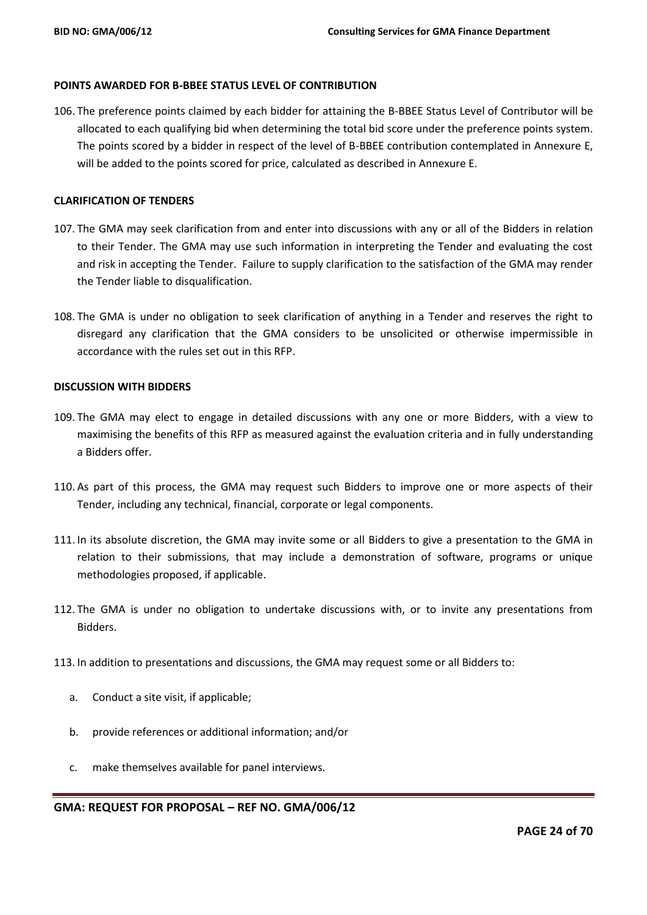#### **POINTS AWARDED FOR B-BBEE STATUS LEVEL OF CONTRIBUTION**

106. The preference points claimed by each bidder for attaining the B-BBEE Status Level of Contributor will be allocated to each qualifying bid when determining the total bid score under the preference points system. The points scored by a bidder in respect of the level of B-BBEE contribution contemplated in Annexure E, will be added to the points scored for price, calculated as described in Annexure E.

## **CLARIFICATION OF TENDERS**

- 107. The GMA may seek clarification from and enter into discussions with any or all of the Bidders in relation to their Tender. The GMA may use such information in interpreting the Tender and evaluating the cost and risk in accepting the Tender. Failure to supply clarification to the satisfaction of the GMA may render the Tender liable to disqualification.
- 108. The GMA is under no obligation to seek clarification of anything in a Tender and reserves the right to disregard any clarification that the GMA considers to be unsolicited or otherwise impermissible in accordance with the rules set out in this RFP.

#### **DISCUSSION WITH BIDDERS**

- 109. The GMA may elect to engage in detailed discussions with any one or more Bidders, with a view to maximising the benefits of this RFP as measured against the evaluation criteria and in fully understanding a Bidders offer.
- 110. As part of this process, the GMA may request such Bidders to improve one or more aspects of their Tender, including any technical, financial, corporate or legal components.
- 111. In its absolute discretion, the GMA may invite some or all Bidders to give a presentation to the GMA in relation to their submissions, that may include a demonstration of software, programs or unique methodologies proposed, if applicable.
- 112. The GMA is under no obligation to undertake discussions with, or to invite any presentations from Bidders.
- 113. In addition to presentations and discussions, the GMA may request some or all Bidders to:
	- a. Conduct a site visit, if applicable;
	- b. provide references or additional information; and/or
	- c. make themselves available for panel interviews.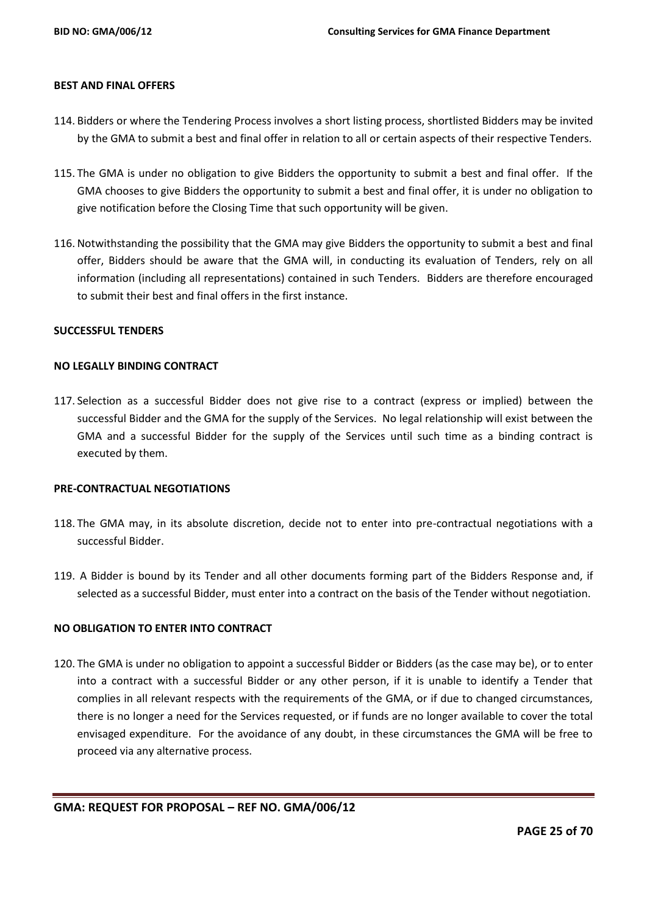#### **BEST AND FINAL OFFERS**

- 114. Bidders or where the Tendering Process involves a short listing process, shortlisted Bidders may be invited by the GMA to submit a best and final offer in relation to all or certain aspects of their respective Tenders.
- 115. The GMA is under no obligation to give Bidders the opportunity to submit a best and final offer. If the GMA chooses to give Bidders the opportunity to submit a best and final offer, it is under no obligation to give notification before the Closing Time that such opportunity will be given.
- 116. Notwithstanding the possibility that the GMA may give Bidders the opportunity to submit a best and final offer, Bidders should be aware that the GMA will, in conducting its evaluation of Tenders, rely on all information (including all representations) contained in such Tenders. Bidders are therefore encouraged to submit their best and final offers in the first instance.

#### **SUCCESSFUL TENDERS**

#### **NO LEGALLY BINDING CONTRACT**

117. Selection as a successful Bidder does not give rise to a contract (express or implied) between the successful Bidder and the GMA for the supply of the Services. No legal relationship will exist between the GMA and a successful Bidder for the supply of the Services until such time as a binding contract is executed by them.

#### **PRE-CONTRACTUAL NEGOTIATIONS**

- 118. The GMA may, in its absolute discretion, decide not to enter into pre-contractual negotiations with a successful Bidder.
- 119. A Bidder is bound by its Tender and all other documents forming part of the Bidders Response and, if selected as a successful Bidder, must enter into a contract on the basis of the Tender without negotiation.

## **NO OBLIGATION TO ENTER INTO CONTRACT**

120. The GMA is under no obligation to appoint a successful Bidder or Bidders (as the case may be), or to enter into a contract with a successful Bidder or any other person, if it is unable to identify a Tender that complies in all relevant respects with the requirements of the GMA, or if due to changed circumstances, there is no longer a need for the Services requested, or if funds are no longer available to cover the total envisaged expenditure. For the avoidance of any doubt, in these circumstances the GMA will be free to proceed via any alternative process.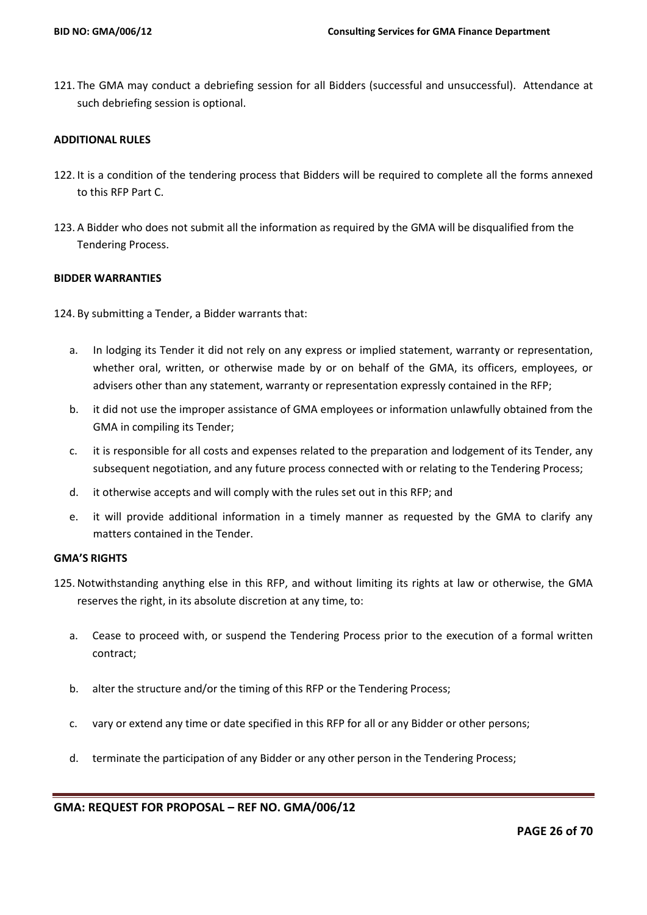121. The GMA may conduct a debriefing session for all Bidders (successful and unsuccessful). Attendance at such debriefing session is optional.

## **ADDITIONAL RULES**

- 122. It is a condition of the tendering process that Bidders will be required to complete all the forms annexed to this RFP Part C.
- 123. A Bidder who does not submit all the information as required by the GMA will be disqualified from the Tendering Process.

## **BIDDER WARRANTIES**

124. By submitting a Tender, a Bidder warrants that:

- a. In lodging its Tender it did not rely on any express or implied statement, warranty or representation, whether oral, written, or otherwise made by or on behalf of the GMA, its officers, employees, or advisers other than any statement, warranty or representation expressly contained in the RFP;
- b. it did not use the improper assistance of GMA employees or information unlawfully obtained from the GMA in compiling its Tender;
- c. it is responsible for all costs and expenses related to the preparation and lodgement of its Tender, any subsequent negotiation, and any future process connected with or relating to the Tendering Process;
- d. it otherwise accepts and will comply with the rules set out in this RFP; and
- e. it will provide additional information in a timely manner as requested by the GMA to clarify any matters contained in the Tender.

#### **GMA'S RIGHTS**

- 125. Notwithstanding anything else in this RFP, and without limiting its rights at law or otherwise, the GMA reserves the right, in its absolute discretion at any time, to:
	- a. Cease to proceed with, or suspend the Tendering Process prior to the execution of a formal written contract;
	- b. alter the structure and/or the timing of this RFP or the Tendering Process;
	- c. vary or extend any time or date specified in this RFP for all or any Bidder or other persons;
	- d. terminate the participation of any Bidder or any other person in the Tendering Process;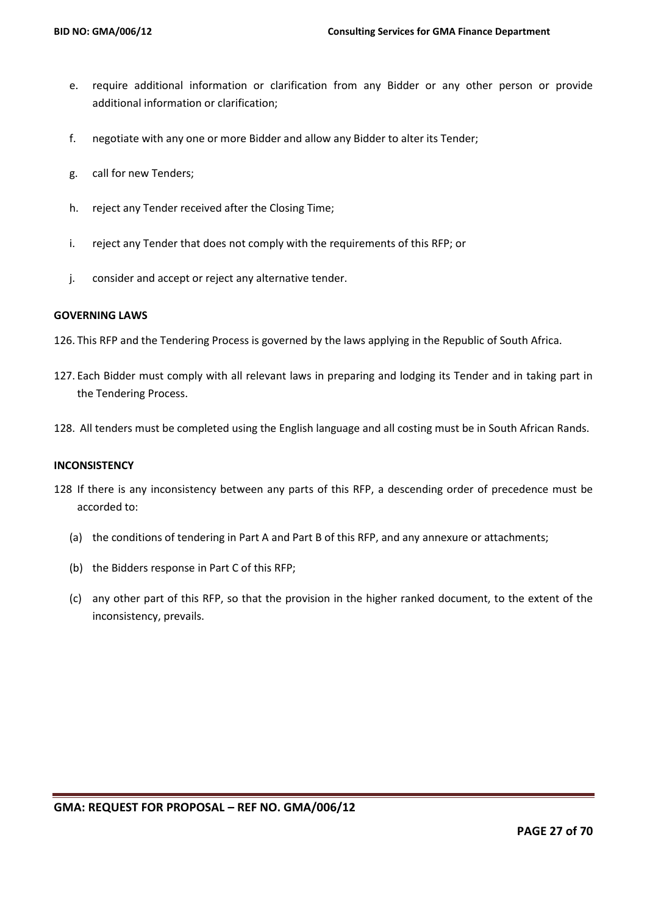- e. require additional information or clarification from any Bidder or any other person or provide additional information or clarification;
- f. negotiate with any one or more Bidder and allow any Bidder to alter its Tender;
- g. call for new Tenders;
- h. reject any Tender received after the Closing Time;
- i. reject any Tender that does not comply with the requirements of this RFP; or
- j. consider and accept or reject any alternative tender.

## **GOVERNING LAWS**

- 126. This RFP and the Tendering Process is governed by the laws applying in the Republic of South Africa.
- 127. Each Bidder must comply with all relevant laws in preparing and lodging its Tender and in taking part in the Tendering Process.
- 128. All tenders must be completed using the English language and all costing must be in South African Rands.

#### **INCONSISTENCY**

- 128 If there is any inconsistency between any parts of this RFP, a descending order of precedence must be accorded to:
	- (a) the conditions of tendering in Part A and Part B of this RFP, and any annexure or attachments;
	- (b) the Bidders response in Part C of this RFP;
	- (c) any other part of this RFP, so that the provision in the higher ranked document, to the extent of the inconsistency, prevails.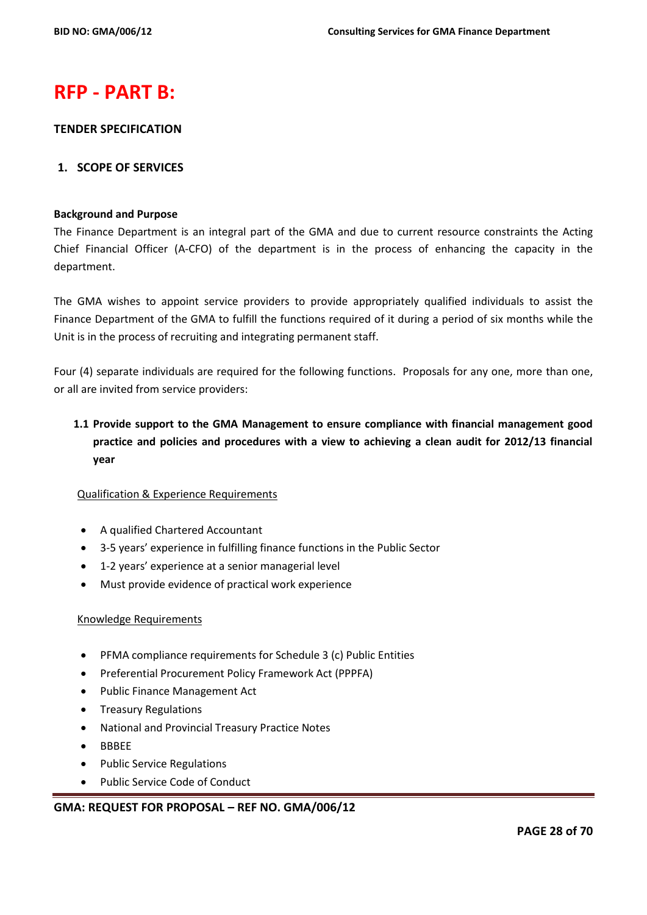# **RFP - PART B:**

## **TENDER SPECIFICATION**

## **1. SCOPE OF SERVICES**

#### **Background and Purpose**

The Finance Department is an integral part of the GMA and due to current resource constraints the Acting Chief Financial Officer (A-CFO) of the department is in the process of enhancing the capacity in the department.

The GMA wishes to appoint service providers to provide appropriately qualified individuals to assist the Finance Department of the GMA to fulfill the functions required of it during a period of six months while the Unit is in the process of recruiting and integrating permanent staff.

Four (4) separate individuals are required for the following functions. Proposals for any one, more than one, or all are invited from service providers:

# **1.1 Provide support to the GMA Management to ensure compliance with financial management good practice and policies and procedures with a view to achieving a clean audit for 2012/13 financial year**

## Qualification & Experience Requirements

- A qualified Chartered Accountant
- 3-5 years' experience in fulfilling finance functions in the Public Sector
- 1-2 years' experience at a senior managerial level
- Must provide evidence of practical work experience

#### Knowledge Requirements

- PFMA compliance requirements for Schedule 3 (c) Public Entities
- Preferential Procurement Policy Framework Act (PPPFA)
- Public Finance Management Act
- Treasury Regulations
- National and Provincial Treasury Practice Notes
- BBBEE
- Public Service Regulations
- Public Service Code of Conduct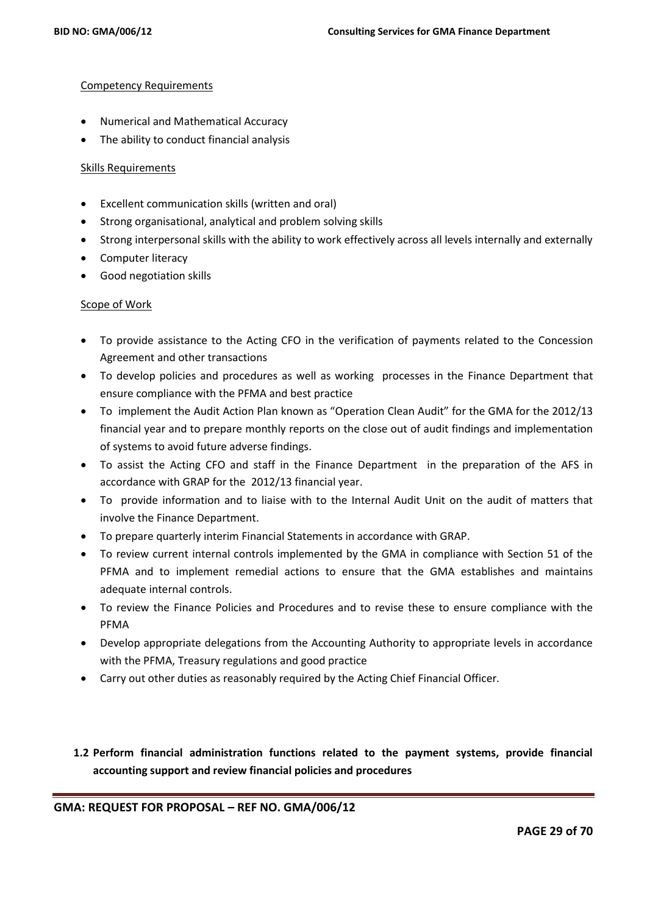## Competency Requirements

- Numerical and Mathematical Accuracy
- The ability to conduct financial analysis

## Skills Requirements

- Excellent communication skills (written and oral)
- Strong organisational, analytical and problem solving skills
- Strong interpersonal skills with the ability to work effectively across all levels internally and externally
- Computer literacy
- Good negotiation skills

## Scope of Work

- To provide assistance to the Acting CFO in the verification of payments related to the Concession Agreement and other transactions
- To develop policies and procedures as well as working processes in the Finance Department that ensure compliance with the PFMA and best practice
- To implement the Audit Action Plan known as "Operation Clean Audit" for the GMA for the 2012/13 financial year and to prepare monthly reports on the close out of audit findings and implementation of systems to avoid future adverse findings.
- To assist the Acting CFO and staff in the Finance Department in the preparation of the AFS in accordance with GRAP for the 2012/13 financial year.
- To provide information and to liaise with to the Internal Audit Unit on the audit of matters that involve the Finance Department.
- To prepare quarterly interim Financial Statements in accordance with GRAP.
- To review current internal controls implemented by the GMA in compliance with Section 51 of the PFMA and to implement remedial actions to ensure that the GMA establishes and maintains adequate internal controls.
- To review the Finance Policies and Procedures and to revise these to ensure compliance with the PFMA
- Develop appropriate delegations from the Accounting Authority to appropriate levels in accordance with the PFMA, Treasury regulations and good practice
- Carry out other duties as reasonably required by the Acting Chief Financial Officer.
- **1.2 Perform financial administration functions related to the payment systems, provide financial accounting support and review financial policies and procedures**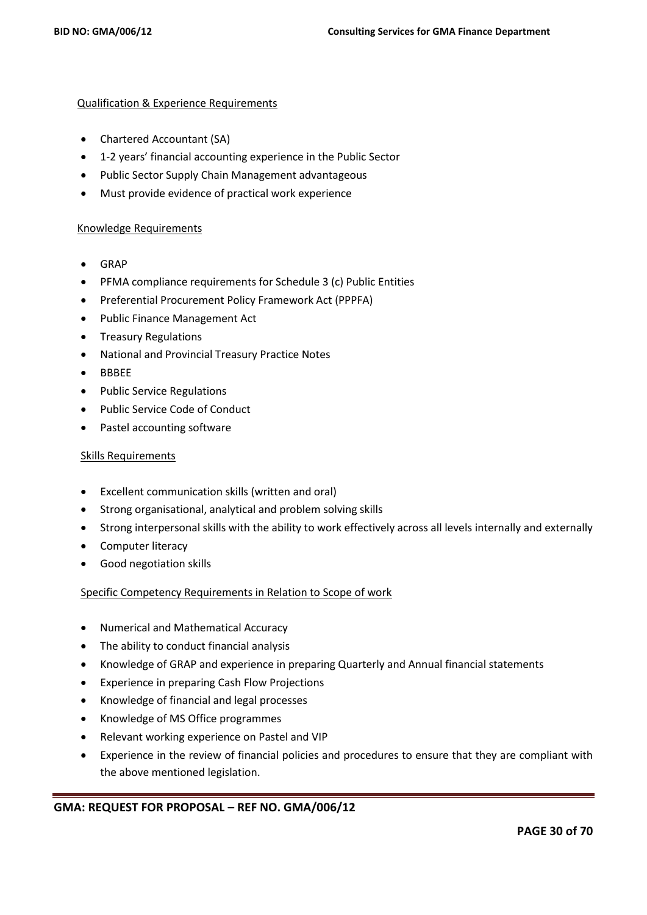### Qualification & Experience Requirements

- Chartered Accountant (SA)
- 1-2 years' financial accounting experience in the Public Sector
- Public Sector Supply Chain Management advantageous
- Must provide evidence of practical work experience

### Knowledge Requirements

- GRAP
- PFMA compliance requirements for Schedule 3 (c) Public Entities
- Preferential Procurement Policy Framework Act (PPPFA)
- Public Finance Management Act
- **•** Treasury Regulations
- National and Provincial Treasury Practice Notes
- BBBEE
- Public Service Regulations
- Public Service Code of Conduct
- Pastel accounting software

### Skills Requirements

- Excellent communication skills (written and oral)
- Strong organisational, analytical and problem solving skills
- Strong interpersonal skills with the ability to work effectively across all levels internally and externally
- Computer literacy
- Good negotiation skills

## Specific Competency Requirements in Relation to Scope of work

- Numerical and Mathematical Accuracy
- The ability to conduct financial analysis
- Knowledge of GRAP and experience in preparing Quarterly and Annual financial statements
- Experience in preparing Cash Flow Projections
- Knowledge of financial and legal processes
- Knowledge of MS Office programmes
- Relevant working experience on Pastel and VIP
- Experience in the review of financial policies and procedures to ensure that they are compliant with the above mentioned legislation.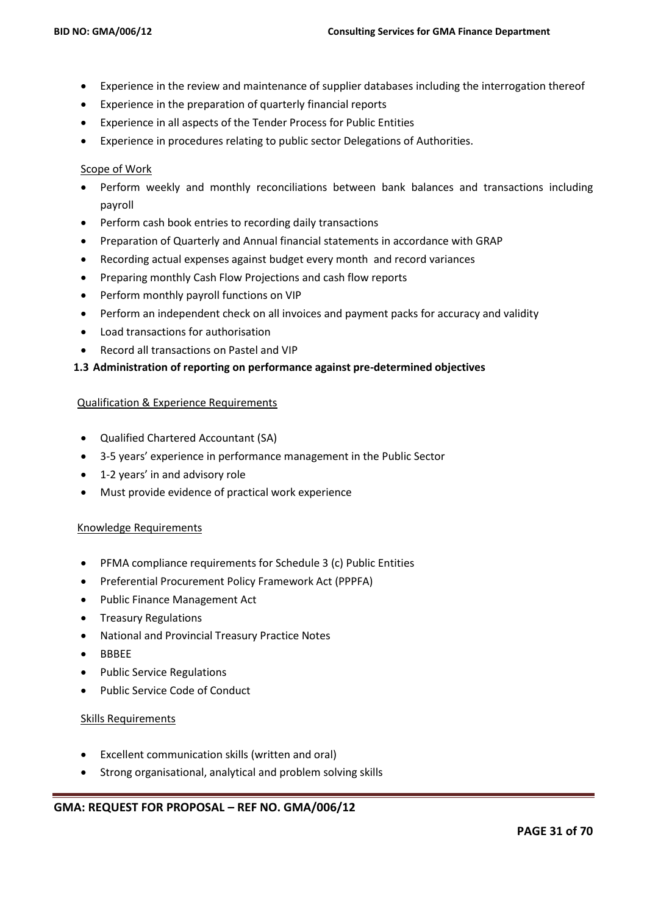- Experience in the review and maintenance of supplier databases including the interrogation thereof
- Experience in the preparation of quarterly financial reports
- Experience in all aspects of the Tender Process for Public Entities
- Experience in procedures relating to public sector Delegations of Authorities.

## Scope of Work

- Perform weekly and monthly reconciliations between bank balances and transactions including payroll
- Perform cash book entries to recording daily transactions
- Preparation of Quarterly and Annual financial statements in accordance with GRAP
- Recording actual expenses against budget every month and record variances
- Preparing monthly Cash Flow Projections and cash flow reports
- Perform monthly payroll functions on VIP
- Perform an independent check on all invoices and payment packs for accuracy and validity
- Load transactions for authorisation
- Record all transactions on Pastel and VIP

## **1.3 Administration of reporting on performance against pre-determined objectives**

## Qualification & Experience Requirements

- Qualified Chartered Accountant (SA)
- 3-5 years' experience in performance management in the Public Sector
- 1-2 years' in and advisory role
- Must provide evidence of practical work experience

## Knowledge Requirements

- PFMA compliance requirements for Schedule 3 (c) Public Entities
- Preferential Procurement Policy Framework Act (PPPFA)
- Public Finance Management Act
- **•** Treasury Regulations
- National and Provincial Treasury Practice Notes
- BBBEE
- Public Service Regulations
- Public Service Code of Conduct

## Skills Requirements

- Excellent communication skills (written and oral)
- Strong organisational, analytical and problem solving skills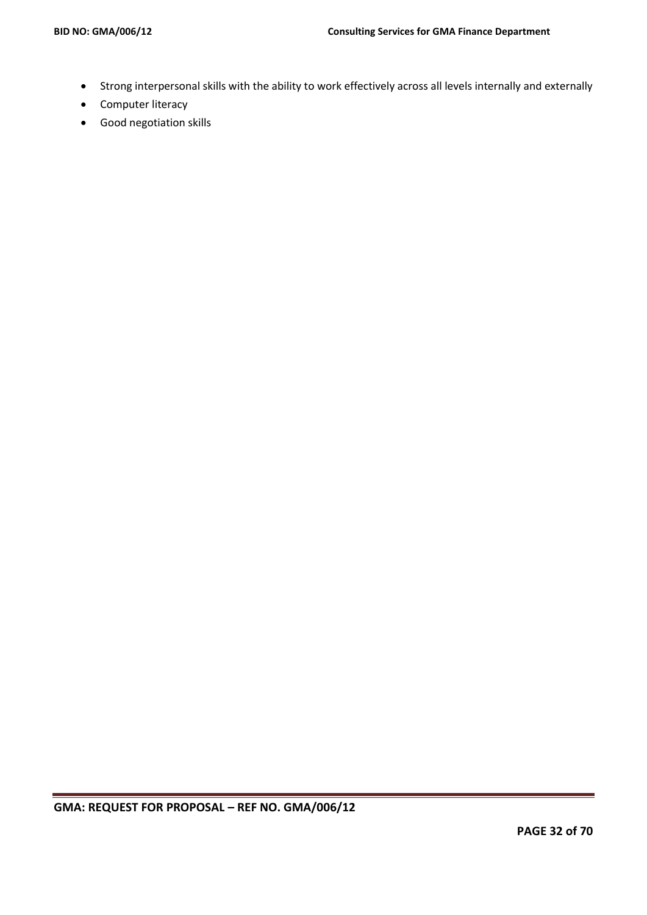- Strong interpersonal skills with the ability to work effectively across all levels internally and externally
- Computer literacy
- Good negotiation skills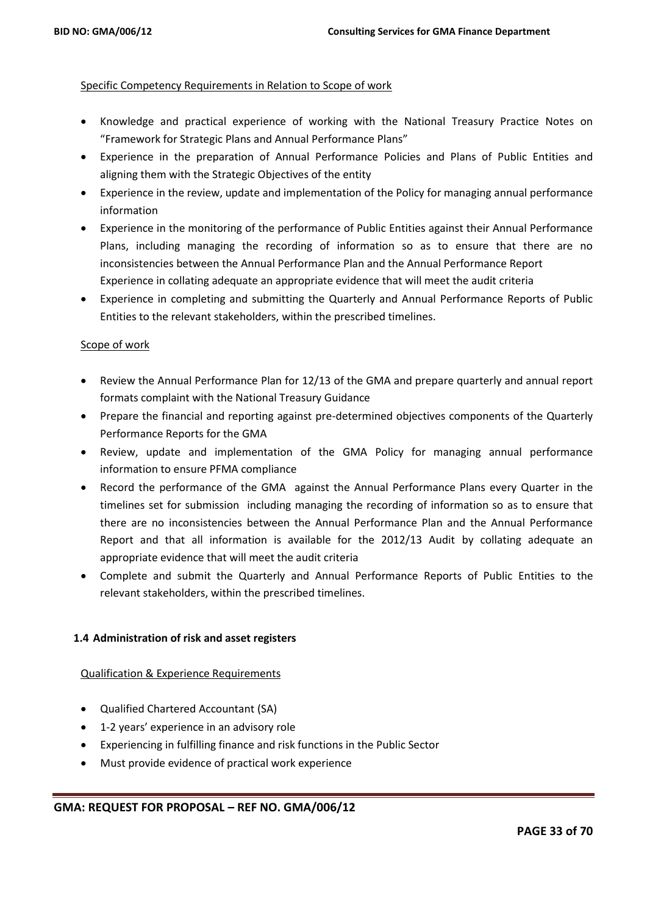## Specific Competency Requirements in Relation to Scope of work

- Knowledge and practical experience of working with the National Treasury Practice Notes on "Framework for Strategic Plans and Annual Performance Plans"
- Experience in the preparation of Annual Performance Policies and Plans of Public Entities and aligning them with the Strategic Objectives of the entity
- Experience in the review, update and implementation of the Policy for managing annual performance information
- Experience in the monitoring of the performance of Public Entities against their Annual Performance Plans, including managing the recording of information so as to ensure that there are no inconsistencies between the Annual Performance Plan and the Annual Performance Report Experience in collating adequate an appropriate evidence that will meet the audit criteria
- Experience in completing and submitting the Quarterly and Annual Performance Reports of Public Entities to the relevant stakeholders, within the prescribed timelines.

## Scope of work

- Review the Annual Performance Plan for 12/13 of the GMA and prepare quarterly and annual report formats complaint with the National Treasury Guidance
- Prepare the financial and reporting against pre-determined objectives components of the Quarterly Performance Reports for the GMA
- Review, update and implementation of the GMA Policy for managing annual performance information to ensure PFMA compliance
- Record the performance of the GMA against the Annual Performance Plans every Quarter in the timelines set for submission including managing the recording of information so as to ensure that there are no inconsistencies between the Annual Performance Plan and the Annual Performance Report and that all information is available for the 2012/13 Audit by collating adequate an appropriate evidence that will meet the audit criteria
- Complete and submit the Quarterly and Annual Performance Reports of Public Entities to the relevant stakeholders, within the prescribed timelines.

## **1.4 Administration of risk and asset registers**

## Qualification & Experience Requirements

- Qualified Chartered Accountant (SA)
- 1-2 years' experience in an advisory role
- Experiencing in fulfilling finance and risk functions in the Public Sector
- Must provide evidence of practical work experience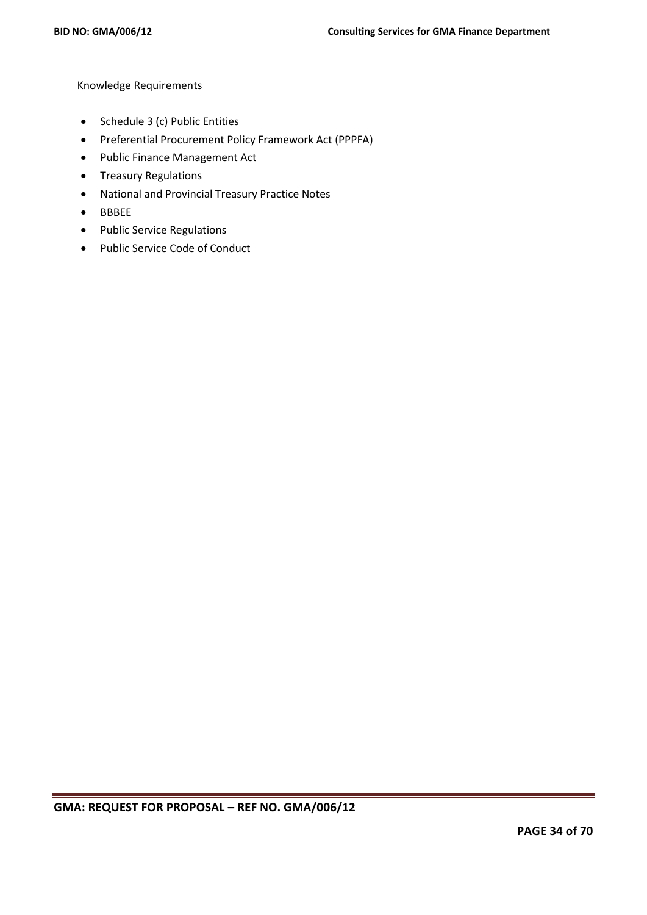## Knowledge Requirements

- Schedule 3 (c) Public Entities
- Preferential Procurement Policy Framework Act (PPPFA)
- Public Finance Management Act
- **•** Treasury Regulations
- National and Provincial Treasury Practice Notes
- BBBEE
- Public Service Regulations
- Public Service Code of Conduct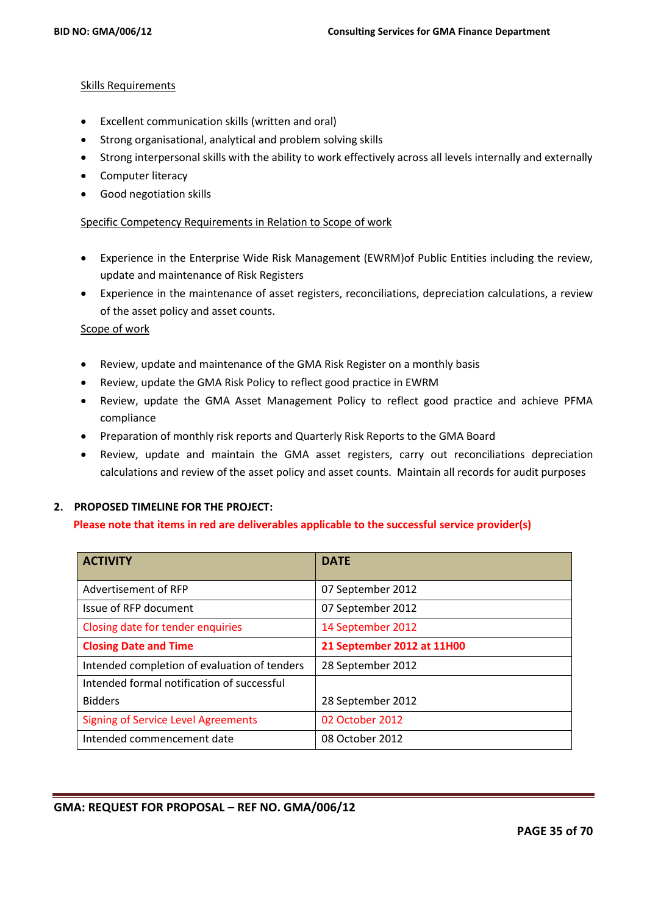## Skills Requirements

- Excellent communication skills (written and oral)
- Strong organisational, analytical and problem solving skills
- Strong interpersonal skills with the ability to work effectively across all levels internally and externally
- Computer literacy
- Good negotiation skills

## Specific Competency Requirements in Relation to Scope of work

- Experience in the Enterprise Wide Risk Management (EWRM)of Public Entities including the review, update and maintenance of Risk Registers
- Experience in the maintenance of asset registers, reconciliations, depreciation calculations, a review of the asset policy and asset counts.

#### Scope of work

- Review, update and maintenance of the GMA Risk Register on a monthly basis
- Review, update the GMA Risk Policy to reflect good practice in EWRM
- Review, update the GMA Asset Management Policy to reflect good practice and achieve PFMA compliance
- Preparation of monthly risk reports and Quarterly Risk Reports to the GMA Board
- Review, update and maintain the GMA asset registers, carry out reconciliations depreciation calculations and review of the asset policy and asset counts. Maintain all records for audit purposes

## **2. PROPOSED TIMELINE FOR THE PROJECT:**

## **Please note that items in red are deliverables applicable to the successful service provider(s)**

| <b>ACTIVITY</b>                              | <b>DATE</b>                |
|----------------------------------------------|----------------------------|
| Advertisement of RFP                         | 07 September 2012          |
| Issue of RFP document                        | 07 September 2012          |
| Closing date for tender enquiries            | 14 September 2012          |
| <b>Closing Date and Time</b>                 | 21 September 2012 at 11H00 |
| Intended completion of evaluation of tenders | 28 September 2012          |
| Intended formal notification of successful   |                            |
| <b>Bidders</b>                               | 28 September 2012          |
| <b>Signing of Service Level Agreements</b>   | 02 October 2012            |
| Intended commencement date                   | 08 October 2012            |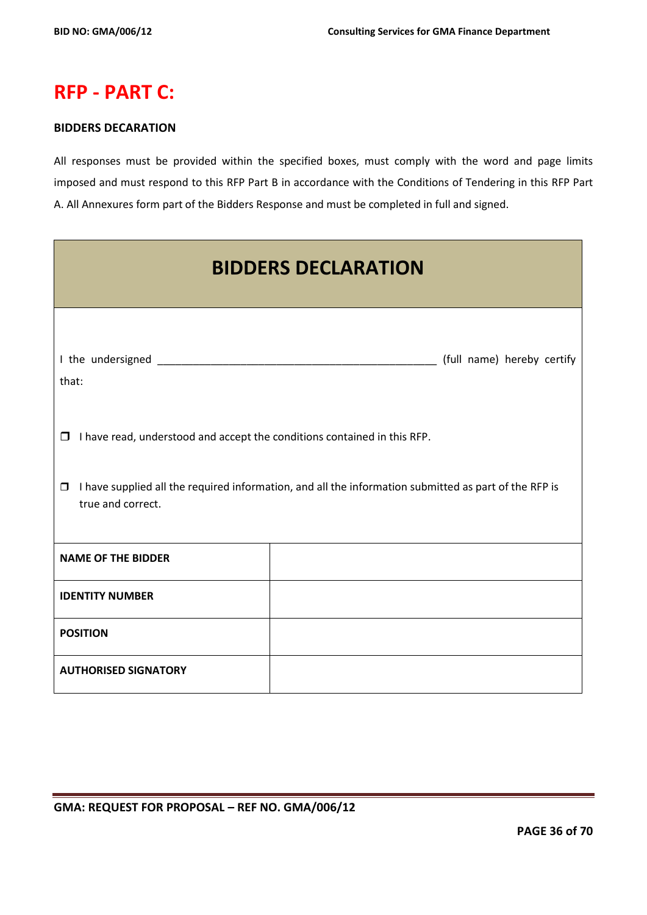# **RFP - PART C:**

## **BIDDERS DECARATION**

All responses must be provided within the specified boxes, must comply with the word and page limits imposed and must respond to this RFP Part B in accordance with the Conditions of Tendering in this RFP Part A. All Annexures form part of the Bidders Response and must be completed in full and signed.

| <b>BIDDERS DECLARATION</b>                                                                                                           |  |  |  |  |
|--------------------------------------------------------------------------------------------------------------------------------------|--|--|--|--|
| that:                                                                                                                                |  |  |  |  |
| I have read, understood and accept the conditions contained in this RFP.<br>$\Box$                                                   |  |  |  |  |
| I have supplied all the required information, and all the information submitted as part of the RFP is<br>$\Box$<br>true and correct. |  |  |  |  |
| <b>NAME OF THE BIDDER</b>                                                                                                            |  |  |  |  |
| <b>IDENTITY NUMBER</b>                                                                                                               |  |  |  |  |
| <b>POSITION</b>                                                                                                                      |  |  |  |  |
| <b>AUTHORISED SIGNATORY</b>                                                                                                          |  |  |  |  |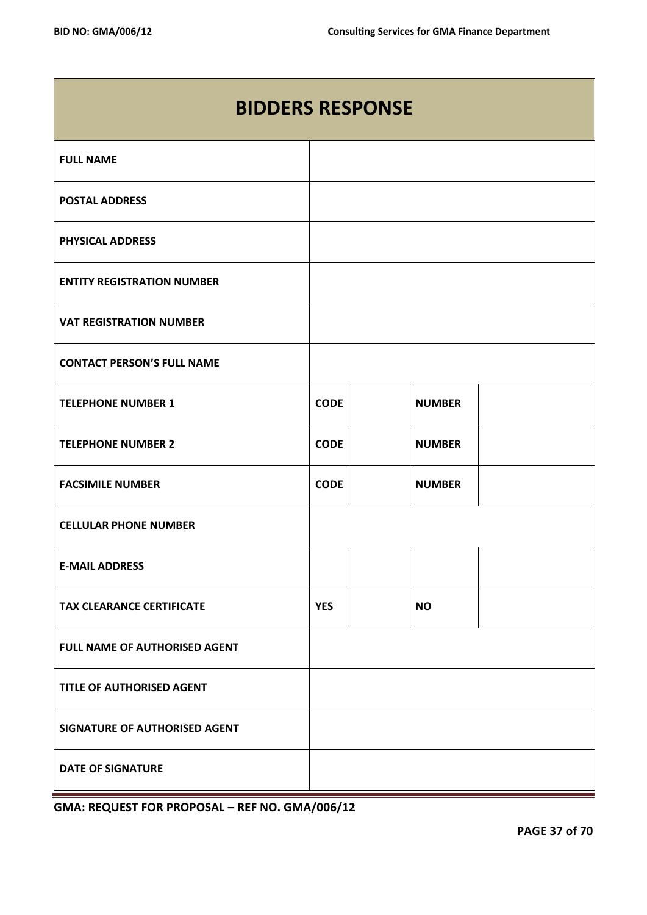| <b>BIDDERS RESPONSE</b>           |             |  |               |  |
|-----------------------------------|-------------|--|---------------|--|
| <b>FULL NAME</b>                  |             |  |               |  |
| <b>POSTAL ADDRESS</b>             |             |  |               |  |
| <b>PHYSICAL ADDRESS</b>           |             |  |               |  |
| <b>ENTITY REGISTRATION NUMBER</b> |             |  |               |  |
| <b>VAT REGISTRATION NUMBER</b>    |             |  |               |  |
| <b>CONTACT PERSON'S FULL NAME</b> |             |  |               |  |
| <b>TELEPHONE NUMBER 1</b>         | <b>CODE</b> |  | <b>NUMBER</b> |  |
| <b>TELEPHONE NUMBER 2</b>         | <b>CODE</b> |  | <b>NUMBER</b> |  |
| <b>FACSIMILE NUMBER</b>           | <b>CODE</b> |  | <b>NUMBER</b> |  |
| <b>CELLULAR PHONE NUMBER</b>      |             |  |               |  |
| <b>E-MAIL ADDRESS</b>             |             |  |               |  |
| <b>TAX CLEARANCE CERTIFICATE</b>  | <b>YES</b>  |  | <b>NO</b>     |  |
| FULL NAME OF AUTHORISED AGENT     |             |  |               |  |
| TITLE OF AUTHORISED AGENT         |             |  |               |  |
| SIGNATURE OF AUTHORISED AGENT     |             |  |               |  |
| <b>DATE OF SIGNATURE</b>          |             |  |               |  |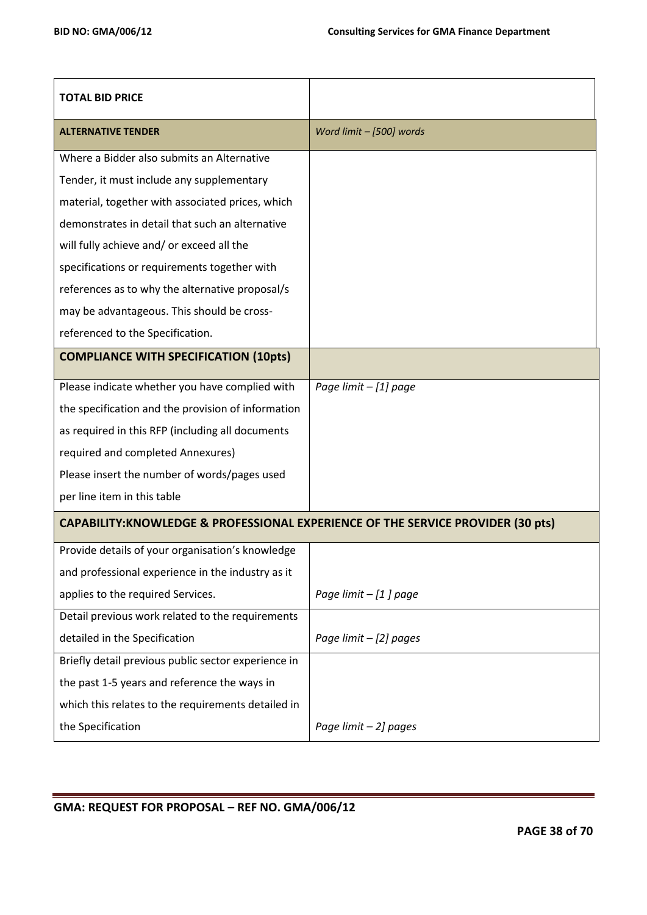| <b>TOTAL BID PRICE</b>                                                           |                          |
|----------------------------------------------------------------------------------|--------------------------|
| <b>ALTERNATIVE TENDER</b>                                                        | Word limit - [500] words |
| Where a Bidder also submits an Alternative                                       |                          |
| Tender, it must include any supplementary                                        |                          |
| material, together with associated prices, which                                 |                          |
| demonstrates in detail that such an alternative                                  |                          |
| will fully achieve and/ or exceed all the                                        |                          |
| specifications or requirements together with                                     |                          |
| references as to why the alternative proposal/s                                  |                          |
| may be advantageous. This should be cross-                                       |                          |
| referenced to the Specification.                                                 |                          |
| <b>COMPLIANCE WITH SPECIFICATION (10pts)</b>                                     |                          |
| Please indicate whether you have complied with                                   | Page limit - [1] page    |
| the specification and the provision of information                               |                          |
| as required in this RFP (including all documents                                 |                          |
| required and completed Annexures)                                                |                          |
| Please insert the number of words/pages used                                     |                          |
| per line item in this table                                                      |                          |
| CAPABILITY: KNOWLEDGE & PROFESSIONAL EXPERIENCE OF THE SERVICE PROVIDER (30 pts) |                          |
| Provide details of your organisation's knowledge                                 |                          |
| and professional experience in the industry as it                                |                          |
| applies to the required Services.                                                | Page limit $-$ [1] page  |
| Detail previous work related to the requirements                                 |                          |
| detailed in the Specification                                                    | Page limit $-$ [2] pages |
| Briefly detail previous public sector experience in                              |                          |
| the past 1-5 years and reference the ways in                                     |                          |
| which this relates to the requirements detailed in                               |                          |
| the Specification                                                                | Page limit - 2] pages    |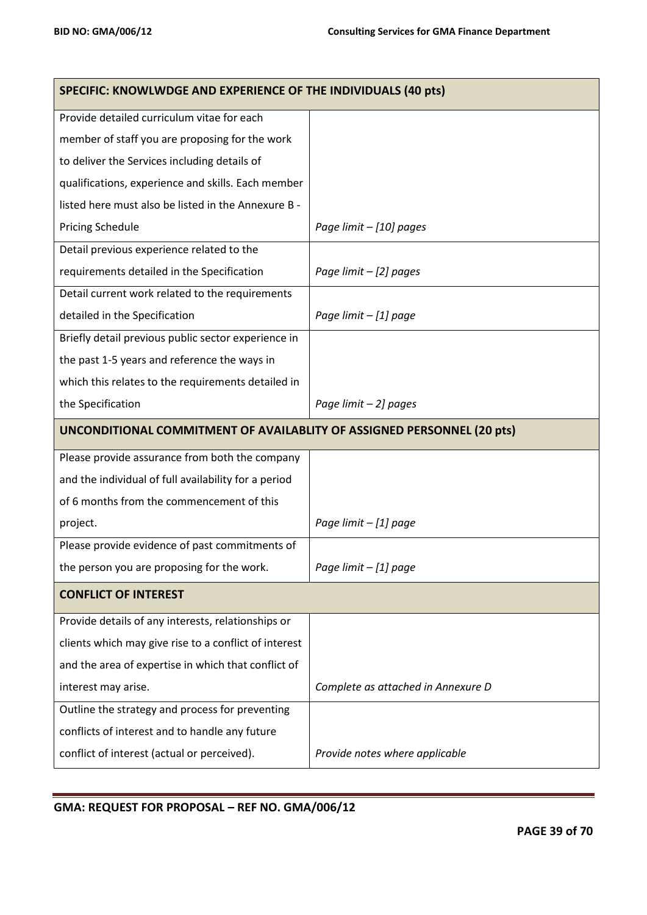| SPECIFIC: KNOWLWDGE AND EXPERIENCE OF THE INDIVIDUALS (40 pts) |                                                                               |  |  |
|----------------------------------------------------------------|-------------------------------------------------------------------------------|--|--|
| Provide detailed curriculum vitae for each                     |                                                                               |  |  |
| member of staff you are proposing for the work                 |                                                                               |  |  |
| to deliver the Services including details of                   |                                                                               |  |  |
| qualifications, experience and skills. Each member             |                                                                               |  |  |
| listed here must also be listed in the Annexure B -            |                                                                               |  |  |
| <b>Pricing Schedule</b>                                        | Page limit - [10] pages                                                       |  |  |
| Detail previous experience related to the                      |                                                                               |  |  |
| requirements detailed in the Specification                     | Page limit - [2] pages                                                        |  |  |
| Detail current work related to the requirements                |                                                                               |  |  |
| detailed in the Specification                                  | Page limit - [1] page                                                         |  |  |
| Briefly detail previous public sector experience in            |                                                                               |  |  |
| the past 1-5 years and reference the ways in                   |                                                                               |  |  |
| which this relates to the requirements detailed in             |                                                                               |  |  |
| the Specification                                              | Page limit - 2] pages                                                         |  |  |
|                                                                |                                                                               |  |  |
|                                                                | <b>UNCONDITIONAL COMMITMENT OF AVAILABLITY OF ASSIGNED PERSONNEL (20 pts)</b> |  |  |
| Please provide assurance from both the company                 |                                                                               |  |  |
| and the individual of full availability for a period           |                                                                               |  |  |
| of 6 months from the commencement of this                      |                                                                               |  |  |
| project.                                                       | Page limit - [1] page                                                         |  |  |
| Please provide evidence of past commitments of                 |                                                                               |  |  |
| the person you are proposing for the work.                     | Page limit - [1] page                                                         |  |  |
| <b>CONFLICT OF INTEREST</b>                                    |                                                                               |  |  |
| Provide details of any interests, relationships or             |                                                                               |  |  |
| clients which may give rise to a conflict of interest          |                                                                               |  |  |
| and the area of expertise in which that conflict of            |                                                                               |  |  |
| interest may arise.                                            | Complete as attached in Annexure D                                            |  |  |
| Outline the strategy and process for preventing                |                                                                               |  |  |
| conflicts of interest and to handle any future                 |                                                                               |  |  |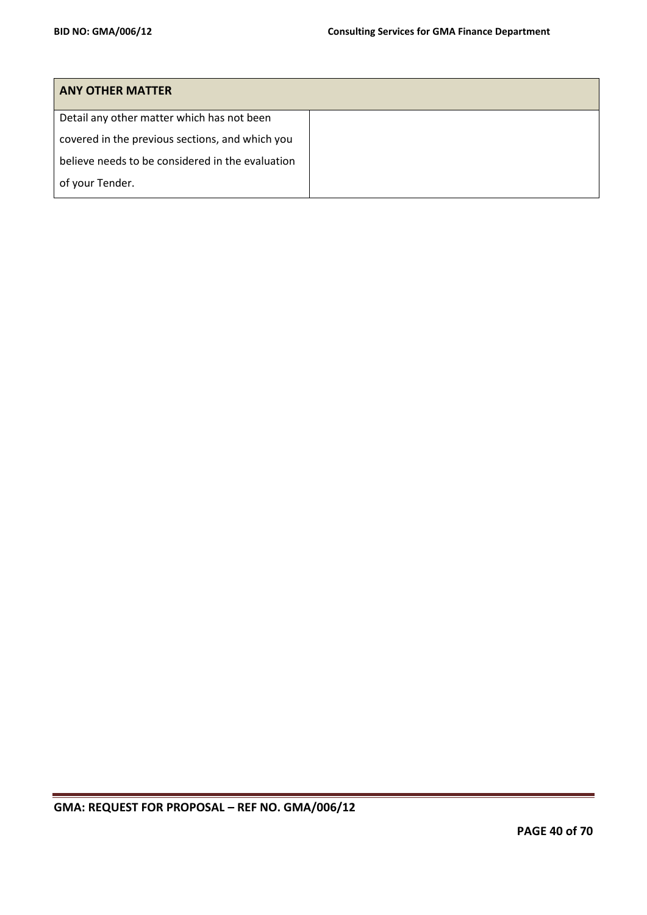| <b>ANY OTHER MATTER</b>                          |  |
|--------------------------------------------------|--|
| Detail any other matter which has not been       |  |
| covered in the previous sections, and which you  |  |
| believe needs to be considered in the evaluation |  |
| of your Tender.                                  |  |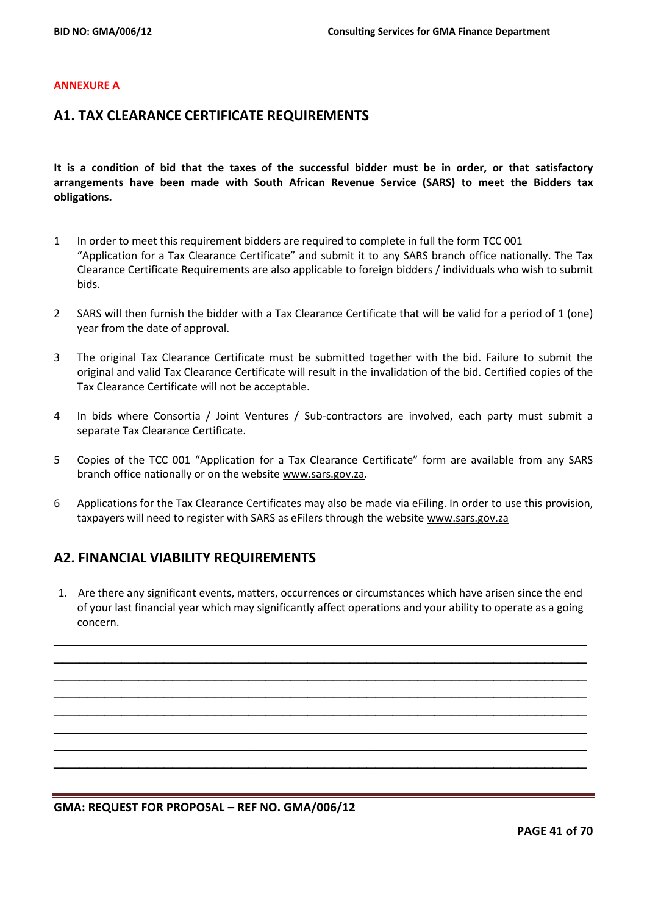#### **ANNEXURE A**

## **A1. TAX CLEARANCE CERTIFICATE REQUIREMENTS**

**It is a condition of bid that the taxes of the successful bidder must be in order, or that satisfactory arrangements have been made with South African Revenue Service (SARS) to meet the Bidders tax obligations.**

- 1 In order to meet this requirement bidders are required to complete in full the form TCC 001 "Application for a Tax Clearance Certificate" and submit it to any SARS branch office nationally. The Tax Clearance Certificate Requirements are also applicable to foreign bidders / individuals who wish to submit bids.
- 2 SARS will then furnish the bidder with a Tax Clearance Certificate that will be valid for a period of 1 (one) year from the date of approval.
- 3 The original Tax Clearance Certificate must be submitted together with the bid. Failure to submit the original and valid Tax Clearance Certificate will result in the invalidation of the bid. Certified copies of the Tax Clearance Certificate will not be acceptable.
- 4 In bids where Consortia / Joint Ventures / Sub-contractors are involved, each party must submit a separate Tax Clearance Certificate.
- 5 Copies of the TCC 001 "Application for a Tax Clearance Certificate" form are available from any SARS branch office nationally or on the website [www.sars.gov.za.](http://www.sars.gov.za/)
- 6 Applications for the Tax Clearance Certificates may also be made via eFiling. In order to use this provision, taxpayers will need to register with SARS as eFilers through the website [www.sars.gov.za](http://www.sars.gov.za/)

## **A2. FINANCIAL VIABILITY REQUIREMENTS**

1. Are there any significant events, matters, occurrences or circumstances which have arisen since the end of your last financial year which may significantly affect operations and your ability to operate as a going concern.

\_\_\_\_\_\_\_\_\_\_\_\_\_\_\_\_\_\_\_\_\_\_\_\_\_\_\_\_\_\_\_\_\_\_\_\_\_\_\_\_\_\_\_\_\_\_\_\_\_\_\_\_\_\_\_\_\_\_\_\_\_\_\_ \_\_\_\_\_\_\_\_\_\_\_\_\_\_\_\_\_\_\_\_\_\_\_\_\_\_\_\_\_\_\_\_\_\_\_\_\_\_\_\_\_\_\_\_\_\_\_\_\_\_\_\_\_\_\_\_\_\_\_\_\_\_\_ \_\_\_\_\_\_\_\_\_\_\_\_\_\_\_\_\_\_\_\_\_\_\_\_\_\_\_\_\_\_\_\_\_\_\_\_\_\_\_\_\_\_\_\_\_\_\_\_\_\_\_\_\_\_\_\_\_\_\_\_\_\_\_ \_\_\_\_\_\_\_\_\_\_\_\_\_\_\_\_\_\_\_\_\_\_\_\_\_\_\_\_\_\_\_\_\_\_\_\_\_\_\_\_\_\_\_\_\_\_\_\_\_\_\_\_\_\_\_\_\_\_\_\_\_\_\_ \_\_\_\_\_\_\_\_\_\_\_\_\_\_\_\_\_\_\_\_\_\_\_\_\_\_\_\_\_\_\_\_\_\_\_\_\_\_\_\_\_\_\_\_\_\_\_\_\_\_\_\_\_\_\_\_\_\_\_\_\_\_\_ \_\_\_\_\_\_\_\_\_\_\_\_\_\_\_\_\_\_\_\_\_\_\_\_\_\_\_\_\_\_\_\_\_\_\_\_\_\_\_\_\_\_\_\_\_\_\_\_\_\_\_\_\_\_\_\_\_\_\_\_\_\_\_ \_\_\_\_\_\_\_\_\_\_\_\_\_\_\_\_\_\_\_\_\_\_\_\_\_\_\_\_\_\_\_\_\_\_\_\_\_\_\_\_\_\_\_\_\_\_\_\_\_\_\_\_\_\_\_\_\_\_\_\_\_\_\_ \_\_\_\_\_\_\_\_\_\_\_\_\_\_\_\_\_\_\_\_\_\_\_\_\_\_\_\_\_\_\_\_\_\_\_\_\_\_\_\_\_\_\_\_\_\_\_\_\_\_\_\_\_\_\_\_\_\_\_\_\_\_\_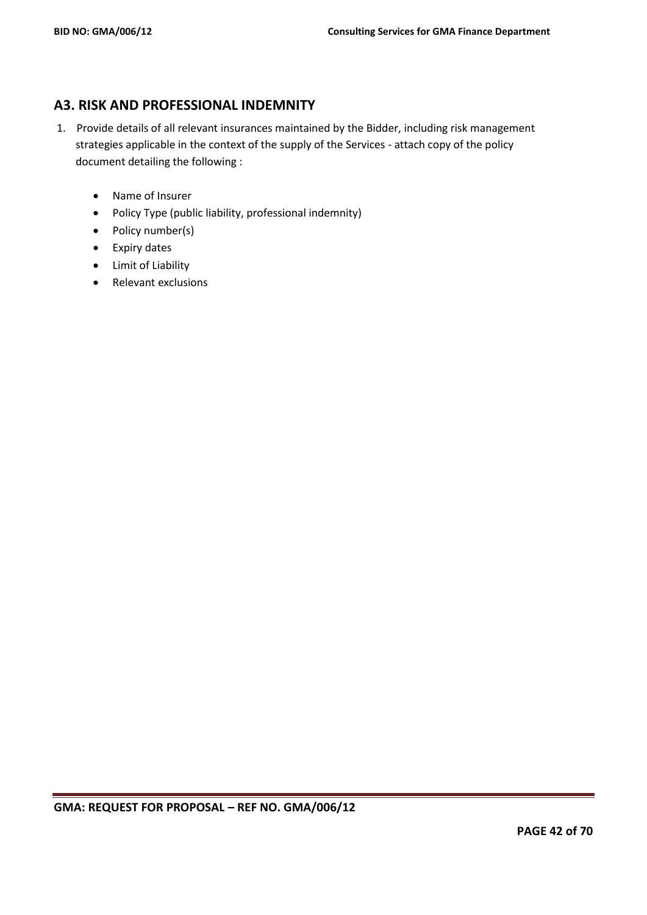# **A3. RISK AND PROFESSIONAL INDEMNITY**

- 1. Provide details of all relevant insurances maintained by the Bidder, including risk management strategies applicable in the context of the supply of the Services - attach copy of the policy document detailing the following :
	- Name of Insurer
	- Policy Type (public liability, professional indemnity)
	- Policy number(s)
	- Expiry dates
	- Limit of Liability
	- Relevant exclusions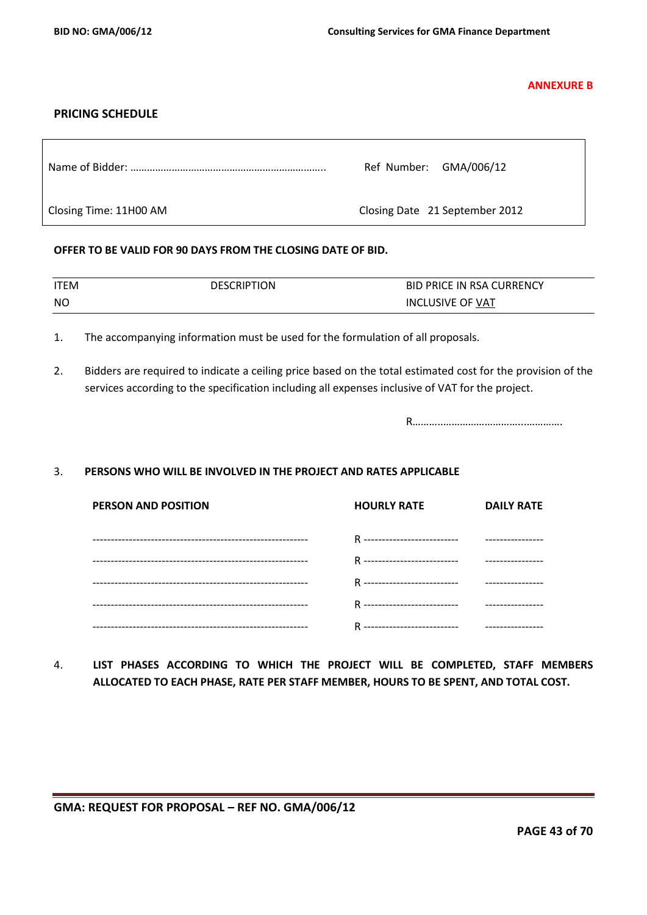**ANNEXURE B**

## **PRICING SCHEDULE**

|                        | Ref Number: GMA/006/12         |
|------------------------|--------------------------------|
| Closing Time: 11H00 AM | Closing Date 21 September 2012 |

#### **OFFER TO BE VALID FOR 90 DAYS FROM THE CLOSING DATE OF BID.**

| ITEM | <b>DESCRIPTION</b> | <b>BID PRICE IN RSA CURRENCY</b> |
|------|--------------------|----------------------------------|
| NO.  |                    | <b>INCLUSIVE OF VAT</b>          |

- 1. The accompanying information must be used for the formulation of all proposals.
- 2. Bidders are required to indicate a ceiling price based on the total estimated cost for the provision of the services according to the specification including all expenses inclusive of VAT for the project.

R………..………………………...………….

## 3. **PERSONS WHO WILL BE INVOLVED IN THE PROJECT AND RATES APPLICABLE**

| PERSON AND POSITION | <b>HOURLY RATE</b> | <b>DAILY RATE</b> |
|---------------------|--------------------|-------------------|
|                     |                    |                   |
|                     |                    |                   |
|                     |                    |                   |
|                     |                    |                   |
|                     |                    |                   |

4. **LIST PHASES ACCORDING TO WHICH THE PROJECT WILL BE COMPLETED, STAFF MEMBERS ALLOCATED TO EACH PHASE, RATE PER STAFF MEMBER, HOURS TO BE SPENT, AND TOTAL COST.**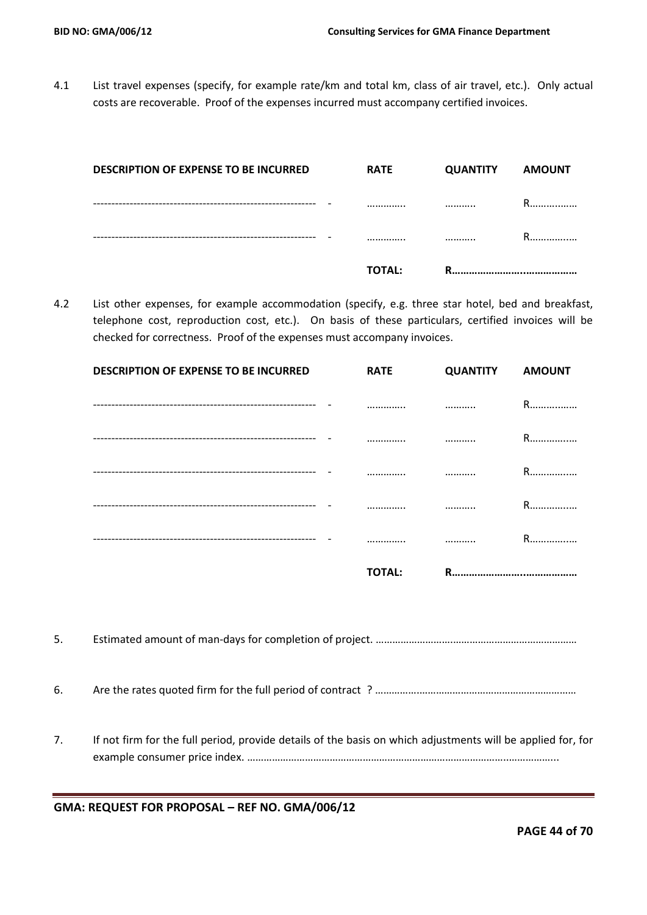4.1 List travel expenses (specify, for example rate/km and total km, class of air travel, etc.). Only actual costs are recoverable. Proof of the expenses incurred must accompany certified invoices.

| <b>DESCRIPTION OF EXPENSE TO BE INCURRED</b> | <b>RATE</b>   | <b>QUANTITY</b> | <b>AMOUNT</b> |
|----------------------------------------------|---------------|-----------------|---------------|
|                                              | <br>          |                 | R             |
|                                              | <br>.         |                 | R             |
|                                              | <b>TOTAL:</b> | R               |               |

4.2 List other expenses, for example accommodation (specify, e.g. three star hotel, bed and breakfast, telephone cost, reproduction cost, etc.). On basis of these particulars, certified invoices will be checked for correctness. Proof of the expenses must accompany invoices.

| <b>DESCRIPTION OF EXPENSE TO BE INCURRED</b> | <b>RATE</b>   | <b>QUANTITY AMOUNT</b> |             |
|----------------------------------------------|---------------|------------------------|-------------|
|                                              |               |                        | R           |
|                                              |               |                        | R           |
|                                              |               |                        | $R_{\cdot}$ |
|                                              |               |                        | R.          |
|                                              |               |                        | R           |
|                                              | <b>TOTAL:</b> | R.                     |             |

5. Estimated amount of man-days for completion of project. ……………………….………………………………………

6. Are the rates quoted firm for the full period of contract ? ………………………………………………………………

7. If not firm for the full period, provide details of the basis on which adjustments will be applied for, for example consumer price index. …………………………………………………………………………………..……………...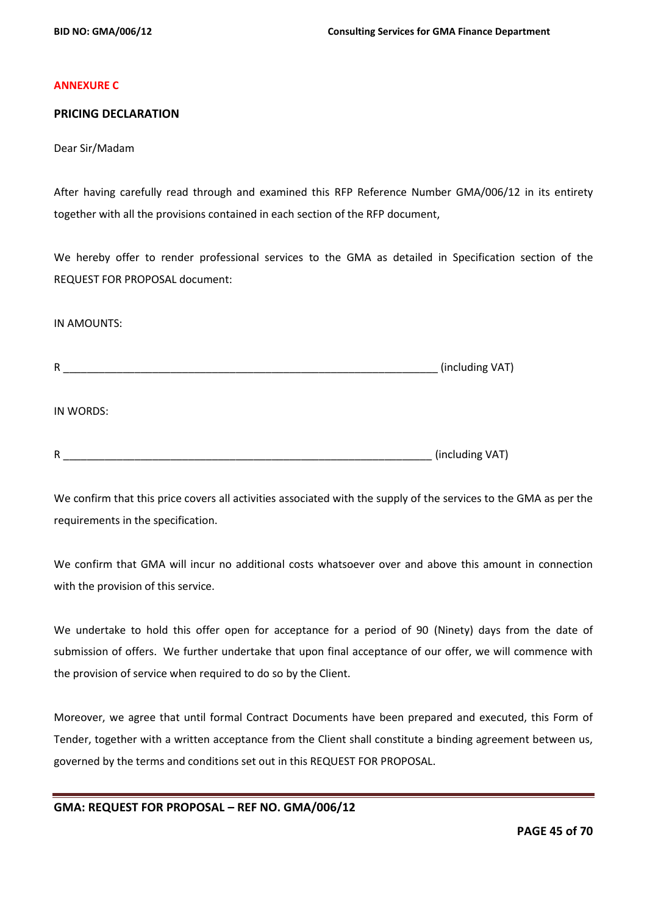#### **ANNEXURE C**

#### **PRICING DECLARATION**

Dear Sir/Madam

After having carefully read through and examined this RFP Reference Number GMA/006/12 in its entirety together with all the provisions contained in each section of the RFP document,

We hereby offer to render professional services to the GMA as detailed in Specification section of the REQUEST FOR PROPOSAL document:

#### IN AMOUNTS:

R \_\_\_\_\_\_\_\_\_\_\_\_\_\_\_\_\_\_\_\_\_\_\_\_\_\_\_\_\_\_\_\_\_\_\_\_\_\_\_\_\_\_\_\_\_\_\_\_\_\_\_\_\_\_\_\_\_\_\_\_\_\_\_ (including VAT)

IN WORDS:

R \_\_\_\_\_\_\_\_\_\_\_\_\_\_\_\_\_\_\_\_\_\_\_\_\_\_\_\_\_\_\_\_\_\_\_\_\_\_\_\_\_\_\_\_\_\_\_\_\_\_\_\_\_\_\_\_\_\_\_\_\_\_ (including VAT)

We confirm that this price covers all activities associated with the supply of the services to the GMA as per the requirements in the specification.

We confirm that GMA will incur no additional costs whatsoever over and above this amount in connection with the provision of this service.

We undertake to hold this offer open for acceptance for a period of 90 (Ninety) days from the date of submission of offers. We further undertake that upon final acceptance of our offer, we will commence with the provision of service when required to do so by the Client.

Moreover, we agree that until formal Contract Documents have been prepared and executed, this Form of Tender, together with a written acceptance from the Client shall constitute a binding agreement between us, governed by the terms and conditions set out in this REQUEST FOR PROPOSAL.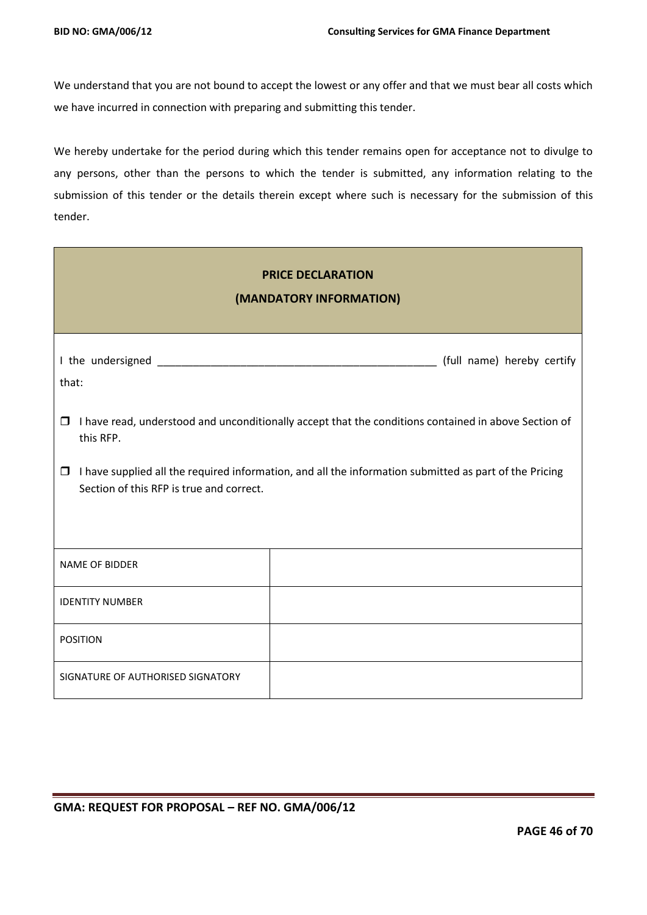We understand that you are not bound to accept the lowest or any offer and that we must bear all costs which we have incurred in connection with preparing and submitting this tender.

We hereby undertake for the period during which this tender remains open for acceptance not to divulge to any persons, other than the persons to which the tender is submitted, any information relating to the submission of this tender or the details therein except where such is necessary for the submission of this tender.

| <b>PRICE DECLARATION</b><br>(MANDATORY INFORMATION)                                                                                                          |                                                                                                      |  |  |
|--------------------------------------------------------------------------------------------------------------------------------------------------------------|------------------------------------------------------------------------------------------------------|--|--|
| that:                                                                                                                                                        | (full name) hereby certify                                                                           |  |  |
| $\Box$<br>this RFP.                                                                                                                                          | I have read, understood and unconditionally accept that the conditions contained in above Section of |  |  |
| I have supplied all the required information, and all the information submitted as part of the Pricing<br>$\Box$<br>Section of this RFP is true and correct. |                                                                                                      |  |  |
| <b>NAME OF BIDDER</b>                                                                                                                                        |                                                                                                      |  |  |
| <b>IDENTITY NUMBER</b>                                                                                                                                       |                                                                                                      |  |  |
| <b>POSITION</b>                                                                                                                                              |                                                                                                      |  |  |
| SIGNATURE OF AUTHORISED SIGNATORY                                                                                                                            |                                                                                                      |  |  |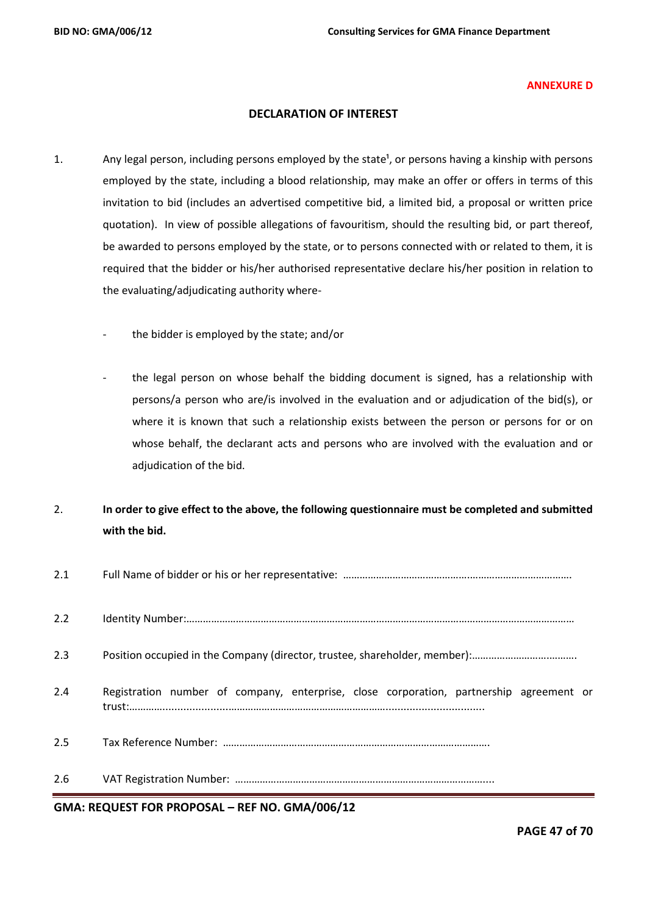#### **ANNEXURE D**

## **DECLARATION OF INTEREST**

- 1. Any legal person, including persons employed by the state<sup>1</sup>, or persons having a kinship with persons employed by the state, including a blood relationship, may make an offer or offers in terms of this invitation to bid (includes an advertised competitive bid, a limited bid, a proposal or written price quotation). In view of possible allegations of favouritism, should the resulting bid, or part thereof, be awarded to persons employed by the state, or to persons connected with or related to them, it is required that the bidder or his/her authorised representative declare his/her position in relation to the evaluating/adjudicating authority where
	- the bidder is employed by the state; and/or
	- the legal person on whose behalf the bidding document is signed, has a relationship with persons/a person who are/is involved in the evaluation and or adjudication of the bid(s), or where it is known that such a relationship exists between the person or persons for or on whose behalf, the declarant acts and persons who are involved with the evaluation and or adjudication of the bid.
- 2. **In order to give effect to the above, the following questionnaire must be completed and submitted with the bid.**

| 2.1 |                                                                                         |
|-----|-----------------------------------------------------------------------------------------|
| 2.2 |                                                                                         |
| 2.3 |                                                                                         |
| 2.4 | Registration number of company, enterprise, close corporation, partnership agreement or |
| 2.5 |                                                                                         |
| 2.6 |                                                                                         |

**GMA: REQUEST FOR PROPOSAL – REF NO. GMA/006/12**

**PAGE 47 of 70**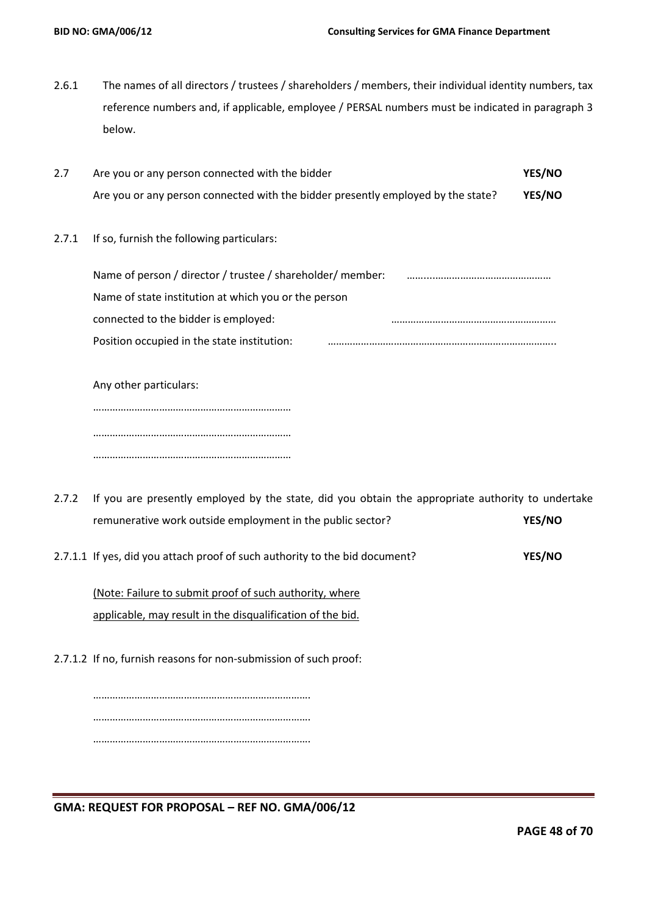- 2.6.1 The names of all directors / trustees / shareholders / members, their individual identity numbers, tax reference numbers and, if applicable, employee / PERSAL numbers must be indicated in paragraph 3 below.
- 2.7 Are you or any person connected with the bidder **YES/NO** Are you or any person connected with the bidder presently employed by the state? **YES/NO**
- 2.7.1 If so, furnish the following particulars:

| Name of person / director / trustee / shareholder/ member: |
|------------------------------------------------------------|
| Name of state institution at which you or the person       |
|                                                            |
|                                                            |
|                                                            |

Any other particulars: ……………………………………………………………… ……………………………………………………………… ………………………………………………………………

- 2.7.2 If you are presently employed by the state, did you obtain the appropriate authority to undertake remunerative work outside employment in the public sector? **YES/NO**
- 2.7.1.1 If yes, did you attach proof of such authority to the bid document? **YES/NO**

(Note: Failure to submit proof of such authority, where applicable, may result in the disqualification of the bid.

2.7.1.2 If no, furnish reasons for non-submission of such proof:

……………………………………………………………………. ……………………………………………………………………. …………………………………………………………………….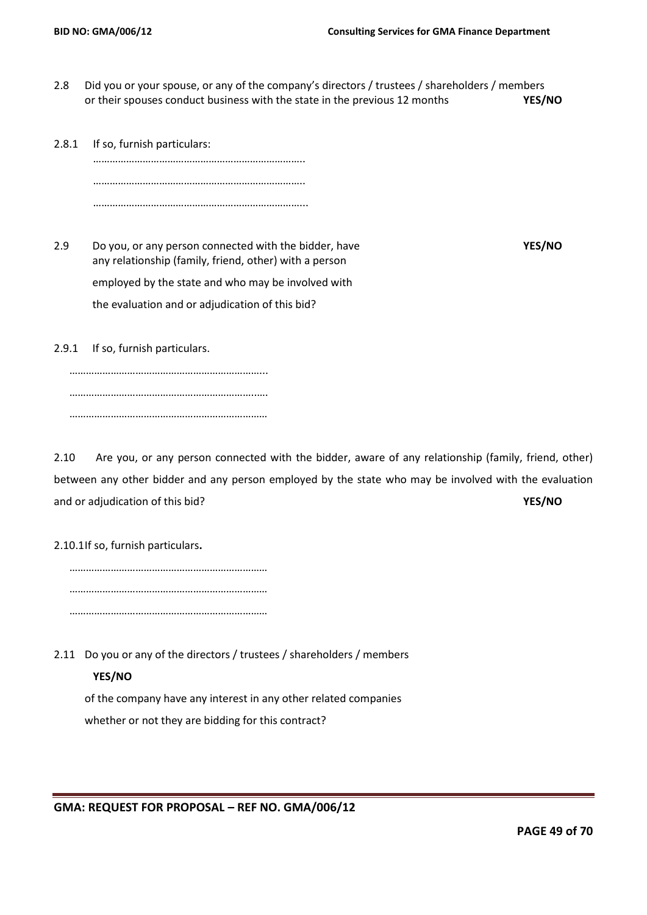- 2.8 Did you or your spouse, or any of the company's directors / trustees / shareholders / members or their spouses conduct business with the state in the previous 12 months **YES/NO**
- 2.8.1 If so, furnish particulars: ………………………………………………………………….. …………………………………………………………………… …………………………………………………………………...

2.9 Do you, or any person connected with the bidder, have **YES/NO** any relationship (family, friend, other) with a person employed by the state and who may be involved with the evaluation and or adjudication of this bid?

2.9.1 If so, furnish particulars.

……………………………………………………………... …………………………………………………………..…. ………………………………………………………………

2.10 Are you, or any person connected with the bidder, aware of any relationship (family, friend, other) between any other bidder and any person employed by the state who may be involved with the evaluation and or adjudication of this bid? **YES/NO**

2.10.1If so, furnish particulars**.**

……………………………………………………………… ……………………………………………………………… ………………………………………………………………

2.11 Do you or any of the directors / trustees / shareholders / members

## **YES/NO**

of the company have any interest in any other related companies whether or not they are bidding for this contract?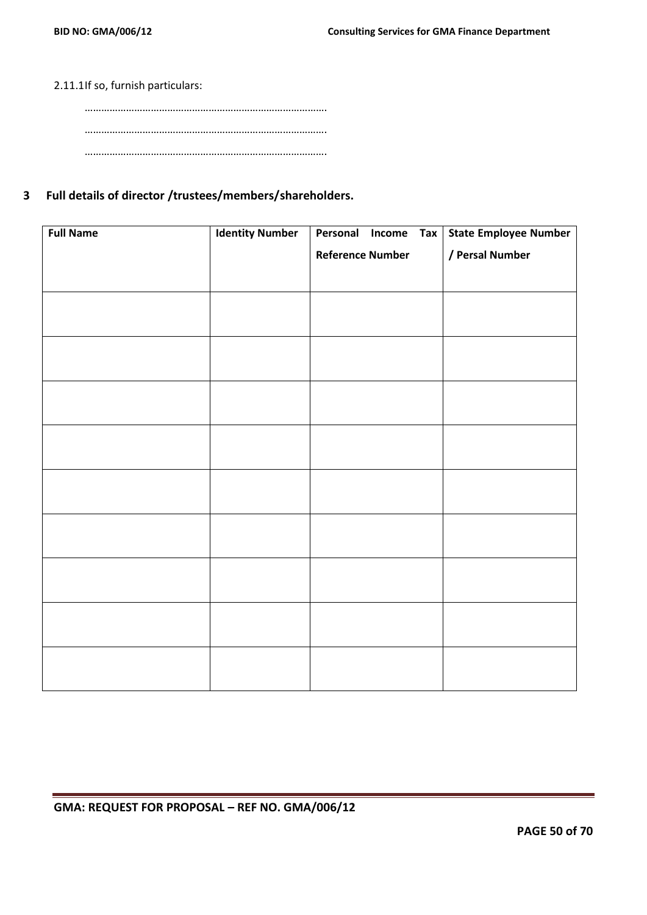## 2.11.1If so, furnish particulars:

## **3 Full details of director /trustees/members/shareholders.**

| <b>Full Name</b> | <b>Identity Number</b> | Personal                | Income | Tax | <b>State Employee Number</b> |
|------------------|------------------------|-------------------------|--------|-----|------------------------------|
|                  |                        | <b>Reference Number</b> |        |     | / Persal Number              |
|                  |                        |                         |        |     |                              |
|                  |                        |                         |        |     |                              |
|                  |                        |                         |        |     |                              |
|                  |                        |                         |        |     |                              |
|                  |                        |                         |        |     |                              |
|                  |                        |                         |        |     |                              |
|                  |                        |                         |        |     |                              |
|                  |                        |                         |        |     |                              |
|                  |                        |                         |        |     |                              |
|                  |                        |                         |        |     |                              |
|                  |                        |                         |        |     |                              |
|                  |                        |                         |        |     |                              |
|                  |                        |                         |        |     |                              |
|                  |                        |                         |        |     |                              |
|                  |                        |                         |        |     |                              |
|                  |                        |                         |        |     |                              |
|                  |                        |                         |        |     |                              |
|                  |                        |                         |        |     |                              |
|                  |                        |                         |        |     |                              |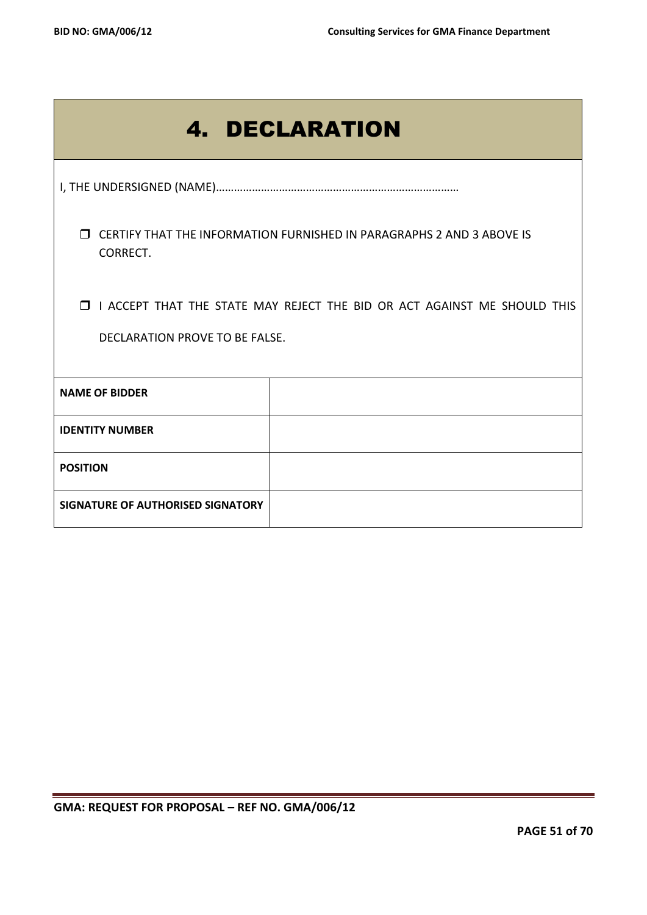| <b>4. DECLARATION</b>                                                                                        |  |  |  |  |
|--------------------------------------------------------------------------------------------------------------|--|--|--|--|
|                                                                                                              |  |  |  |  |
| <b>J CERTIFY THAT THE INFORMATION FURNISHED IN PARAGRAPHS 2 AND 3 ABOVE IS</b><br>CORRECT.                   |  |  |  |  |
| I I ACCEPT THAT THE STATE MAY REJECT THE BID OR ACT AGAINST ME SHOULD THIS<br>DECLARATION PROVE TO BE FALSE. |  |  |  |  |
| <b>NAME OF BIDDER</b>                                                                                        |  |  |  |  |
|                                                                                                              |  |  |  |  |
| <b>IDENTITY NUMBER</b>                                                                                       |  |  |  |  |
| <b>POSITION</b>                                                                                              |  |  |  |  |
| SIGNATURE OF AUTHORISED SIGNATORY                                                                            |  |  |  |  |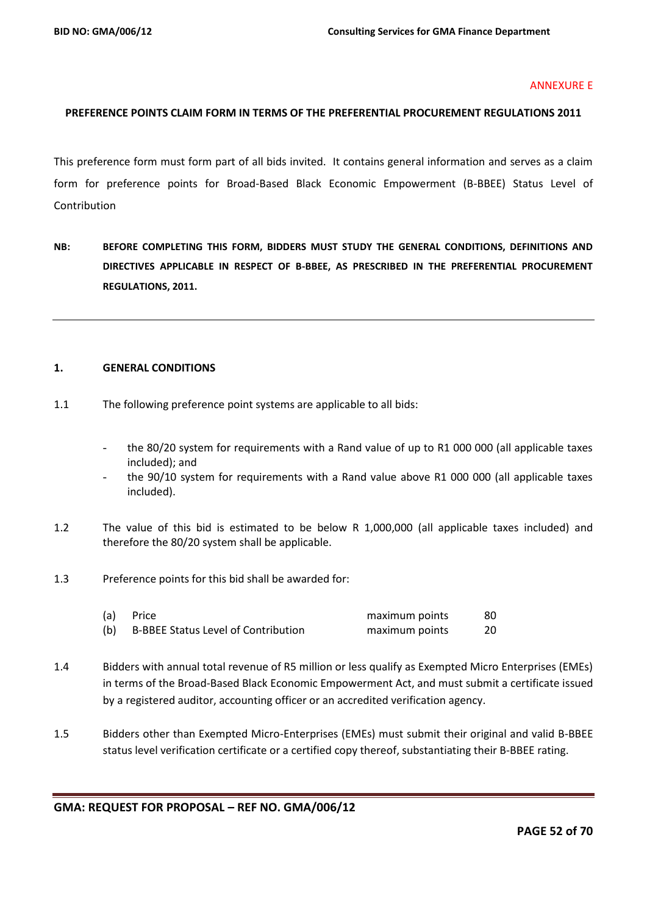#### ANNEXURE E

## **PREFERENCE POINTS CLAIM FORM IN TERMS OF THE PREFERENTIAL PROCUREMENT REGULATIONS 2011**

This preference form must form part of all bids invited. It contains general information and serves as a claim form for preference points for Broad-Based Black Economic Empowerment (B-BBEE) Status Level of Contribution

**NB: BEFORE COMPLETING THIS FORM, BIDDERS MUST STUDY THE GENERAL CONDITIONS, DEFINITIONS AND DIRECTIVES APPLICABLE IN RESPECT OF B-BBEE, AS PRESCRIBED IN THE PREFERENTIAL PROCUREMENT REGULATIONS, 2011.** 

#### **1. GENERAL CONDITIONS**

- 1.1 The following preference point systems are applicable to all bids:
	- the 80/20 system for requirements with a Rand value of up to R1 000 000 (all applicable taxes included); and
	- the 90/10 system for requirements with a Rand value above R1 000 000 (all applicable taxes included).
- 1.2 The value of this bid is estimated to be below R 1,000,000 (all applicable taxes included) and therefore the 80/20 system shall be applicable.
- 1.3 Preference points for this bid shall be awarded for:

| (a) | Price                                      | maximum points | 80 |
|-----|--------------------------------------------|----------------|----|
| (b) | <b>B-BBEE Status Level of Contribution</b> | maximum points | 20 |

- 1.4 Bidders with annual total revenue of R5 million or less qualify as Exempted Micro Enterprises (EMEs) in terms of the Broad-Based Black Economic Empowerment Act, and must submit a certificate issued by a registered auditor, accounting officer or an accredited verification agency.
- 1.5 Bidders other than Exempted Micro-Enterprises (EMEs) must submit their original and valid B-BBEE status level verification certificate or a certified copy thereof, substantiating their B-BBEE rating.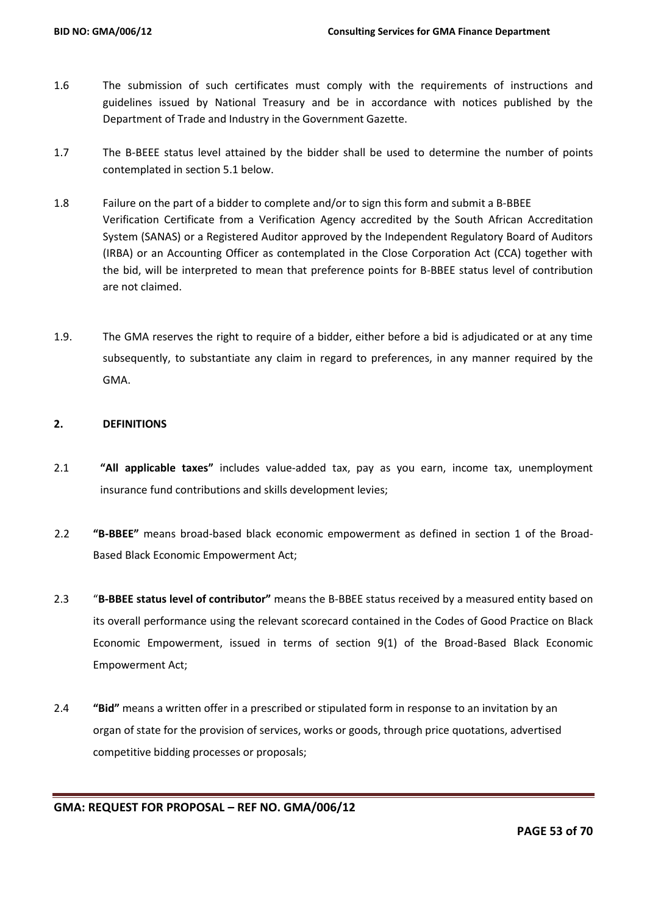- 1.6 The submission of such certificates must comply with the requirements of instructions and guidelines issued by National Treasury and be in accordance with notices published by the Department of Trade and Industry in the Government Gazette.
- 1.7 The B-BEEE status level attained by the bidder shall be used to determine the number of points contemplated in section 5.1 below.
- 1.8 Failure on the part of a bidder to complete and/or to sign this form and submit a B-BBEE Verification Certificate from a Verification Agency accredited by the South African Accreditation System (SANAS) or a Registered Auditor approved by the Independent Regulatory Board of Auditors (IRBA) or an Accounting Officer as contemplated in the Close Corporation Act (CCA) together with the bid, will be interpreted to mean that preference points for B-BBEE status level of contribution are not claimed.
- 1.9. The GMA reserves the right to require of a bidder, either before a bid is adjudicated or at any time subsequently, to substantiate any claim in regard to preferences, in any manner required by the GMA.

## **2. DEFINITIONS**

- 2.1 **"All applicable taxes"** includes value-added tax, pay as you earn, income tax, unemployment insurance fund contributions and skills development levies;
- 2.2 **"B-BBEE"** means broad-based black economic empowerment as defined in section 1 of the Broad-Based Black Economic Empowerment Act;
- 2.3 "**B-BBEE status level of contributor"** means the B-BBEE status received by a measured entity based on its overall performance using the relevant scorecard contained in the Codes of Good Practice on Black Economic Empowerment, issued in terms of section 9(1) of the Broad-Based Black Economic Empowerment Act;
- 2.4 **"Bid"** means a written offer in a prescribed or stipulated form in response to an invitation by an organ of state for the provision of services, works or goods, through price quotations, advertised competitive bidding processes or proposals;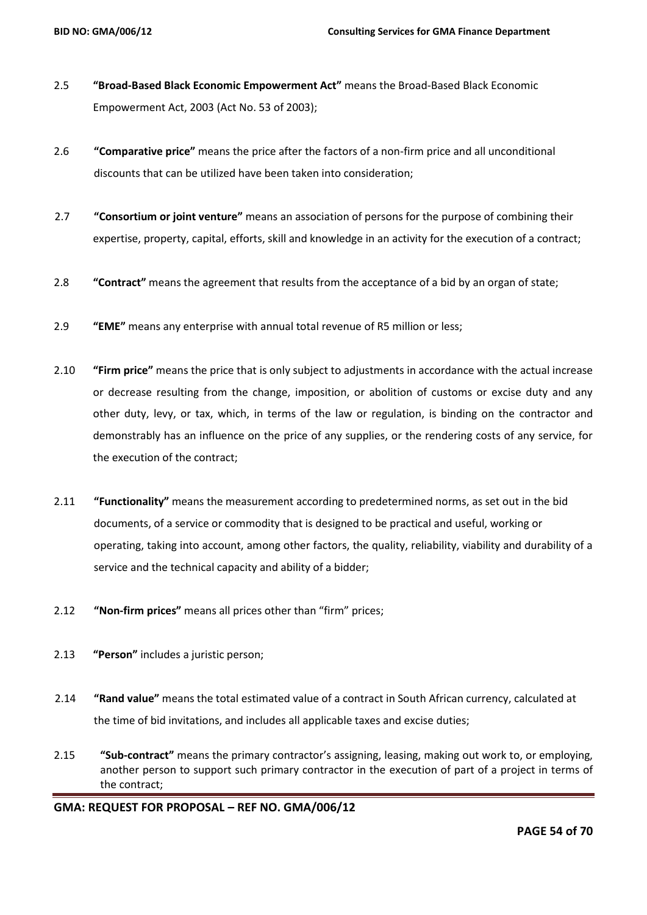- 2.5 **"Broad-Based Black Economic Empowerment Act"** means the Broad-Based Black Economic Empowerment Act, 2003 (Act No. 53 of 2003);
- 2.6 **"Comparative price"** means the price after the factors of a non-firm price and all unconditional discounts that can be utilized have been taken into consideration;
- 2.7 **"Consortium or joint venture"** means an association of persons for the purpose of combining their expertise, property, capital, efforts, skill and knowledge in an activity for the execution of a contract;
- 2.8 **"Contract"** means the agreement that results from the acceptance of a bid by an organ of state;
- 2.9 **"EME"** means any enterprise with annual total revenue of R5 million or less;
- 2.10 **"Firm price"** means the price that is only subject to adjustments in accordance with the actual increase or decrease resulting from the change, imposition, or abolition of customs or excise duty and any other duty, levy, or tax, which, in terms of the law or regulation, is binding on the contractor and demonstrably has an influence on the price of any supplies, or the rendering costs of any service, for the execution of the contract;
- 2.11 **"Functionality"** means the measurement according to predetermined norms, as set out in the bid documents, of a service or commodity that is designed to be practical and useful, working or operating, taking into account, among other factors, the quality, reliability, viability and durability of a service and the technical capacity and ability of a bidder;
- 2.12 **"Non-firm prices"** means all prices other than "firm" prices;
- 2.13 **"Person"** includes a juristic person;
- 2.14 **"Rand value"** means the total estimated value of a contract in South African currency, calculated at the time of bid invitations, and includes all applicable taxes and excise duties;
- 2.15 **"Sub-contract"** means the primary contractor's assigning, leasing, making out work to, or employing, another person to support such primary contractor in the execution of part of a project in terms of the contract;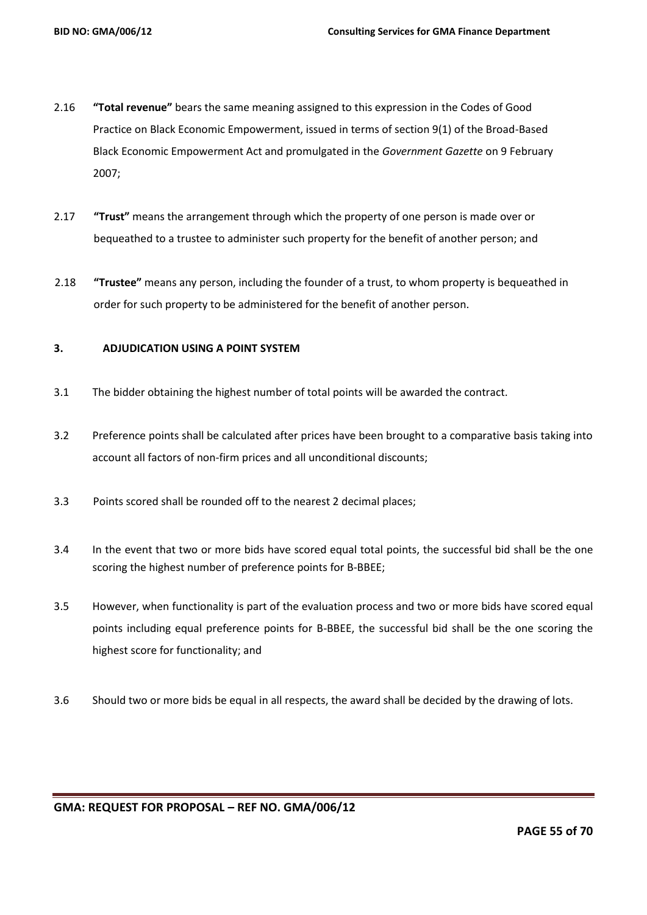- 2.16 **"Total revenue"** bears the same meaning assigned to this expression in the Codes of Good Practice on Black Economic Empowerment, issued in terms of section 9(1) of the Broad-Based Black Economic Empowerment Act and promulgated in the *Government Gazette* on 9 February 2007;
- 2.17 **"Trust"** means the arrangement through which the property of one person is made over or bequeathed to a trustee to administer such property for the benefit of another person; and
- 2.18 **"Trustee"** means any person, including the founder of a trust, to whom property is bequeathed in order for such property to be administered for the benefit of another person.

#### **3. ADJUDICATION USING A POINT SYSTEM**

- 3.1 The bidder obtaining the highest number of total points will be awarded the contract.
- 3.2 Preference points shall be calculated after prices have been brought to a comparative basis taking into account all factors of non-firm prices and all unconditional discounts;
- 3.3 Points scored shall be rounded off to the nearest 2 decimal places;
- 3.4 In the event that two or more bids have scored equal total points, the successful bid shall be the one scoring the highest number of preference points for B-BBEE;
- 3.5 However, when functionality is part of the evaluation process and two or more bids have scored equal points including equal preference points for B-BBEE, the successful bid shall be the one scoring the highest score for functionality; and
- 3.6 Should two or more bids be equal in all respects, the award shall be decided by the drawing of lots.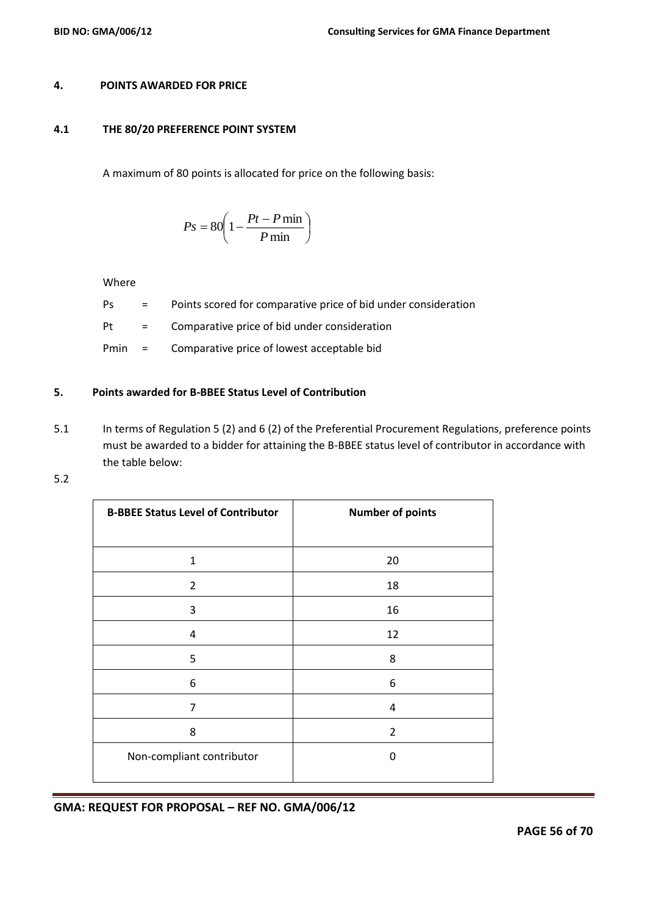#### **4. POINTS AWARDED FOR PRICE**

### **4.1 THE 80/20 PREFERENCE POINT SYSTEM**

A maximum of 80 points is allocated for price on the following basis:

$$
Ps = 80 \left( 1 - \frac{Pt - P \min}{P \min} \right)
$$

Where

- Ps = Points scored for comparative price of bid under consideration
- Pt = Comparative price of bid under consideration
- Pmin = Comparative price of lowest acceptable bid

## **5. Points awarded for B-BBEE Status Level of Contribution**

- 5.1 In terms of Regulation 5 (2) and 6 (2) of the Preferential Procurement Regulations, preference points must be awarded to a bidder for attaining the B-BBEE status level of contributor in accordance with the table below:
- 5.2

| <b>B-BBEE Status Level of Contributor</b> | <b>Number of points</b> |
|-------------------------------------------|-------------------------|
|                                           |                         |
| 1                                         | 20                      |
| $\overline{2}$                            | 18                      |
| 3                                         | 16                      |
| 4                                         | 12                      |
| 5                                         | 8                       |
| 6                                         | 6                       |
| 7                                         | 4                       |
| 8                                         | $\overline{2}$          |
| Non-compliant contributor                 | 0                       |
|                                           |                         |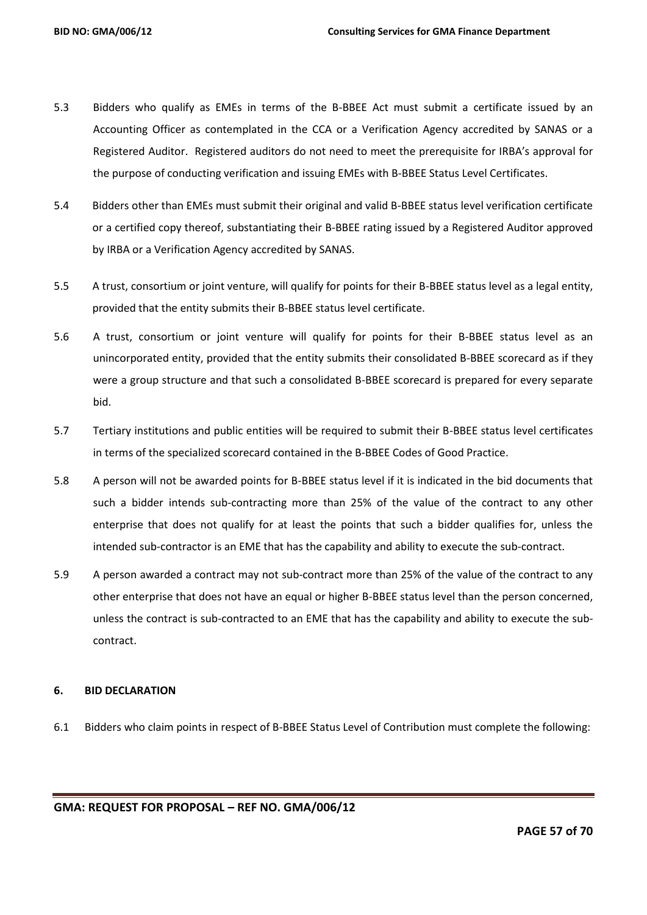- 5.3 Bidders who qualify as EMEs in terms of the B-BBEE Act must submit a certificate issued by an Accounting Officer as contemplated in the CCA or a Verification Agency accredited by SANAS or a Registered Auditor. Registered auditors do not need to meet the prerequisite for IRBA's approval for the purpose of conducting verification and issuing EMEs with B-BBEE Status Level Certificates.
- 5.4 Bidders other than EMEs must submit their original and valid B-BBEE status level verification certificate or a certified copy thereof, substantiating their B-BBEE rating issued by a Registered Auditor approved by IRBA or a Verification Agency accredited by SANAS.
- 5.5 A trust, consortium or joint venture, will qualify for points for their B-BBEE status level as a legal entity, provided that the entity submits their B-BBEE status level certificate.
- 5.6 A trust, consortium or joint venture will qualify for points for their B-BBEE status level as an unincorporated entity, provided that the entity submits their consolidated B-BBEE scorecard as if they were a group structure and that such a consolidated B-BBEE scorecard is prepared for every separate bid.
- 5.7 Tertiary institutions and public entities will be required to submit their B-BBEE status level certificates in terms of the specialized scorecard contained in the B-BBEE Codes of Good Practice.
- 5.8 A person will not be awarded points for B-BBEE status level if it is indicated in the bid documents that such a bidder intends sub-contracting more than 25% of the value of the contract to any other enterprise that does not qualify for at least the points that such a bidder qualifies for, unless the intended sub-contractor is an EME that has the capability and ability to execute the sub-contract.
- 5.9 A person awarded a contract may not sub-contract more than 25% of the value of the contract to any other enterprise that does not have an equal or higher B-BBEE status level than the person concerned, unless the contract is sub-contracted to an EME that has the capability and ability to execute the subcontract.

## **6. BID DECLARATION**

6.1 Bidders who claim points in respect of B-BBEE Status Level of Contribution must complete the following: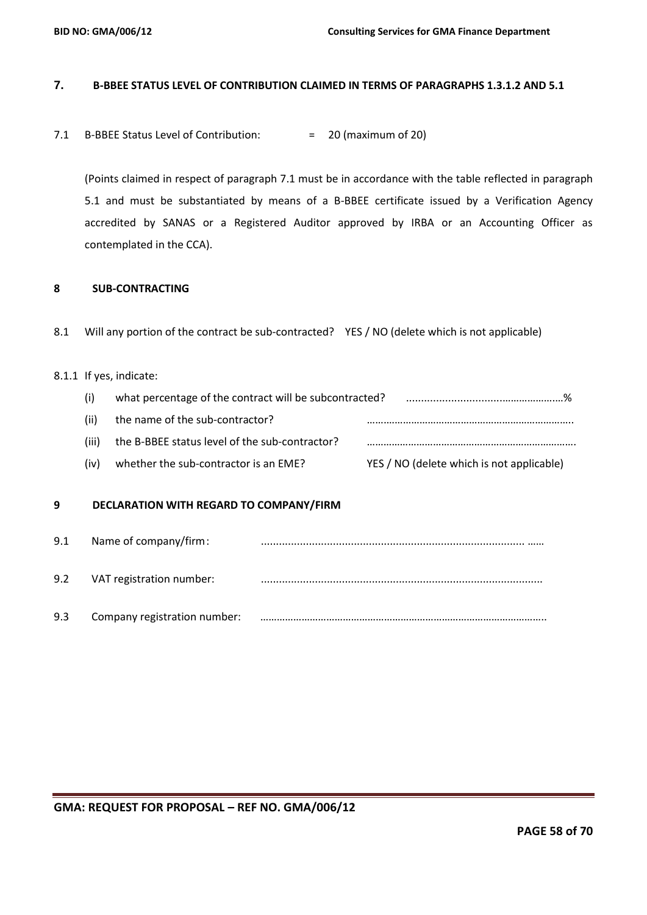## **7. B-BBEE STATUS LEVEL OF CONTRIBUTION CLAIMED IN TERMS OF PARAGRAPHS 1.3.1.2 AND 5.1**

7.1 B-BBEE Status Level of Contribution: = 20 (maximum of 20)

(Points claimed in respect of paragraph 7.1 must be in accordance with the table reflected in paragraph 5.1 and must be substantiated by means of a B-BBEE certificate issued by a Verification Agency accredited by SANAS or a Registered Auditor approved by IRBA or an Accounting Officer as contemplated in the CCA).

## **8 SUB-CONTRACTING**

8.1 Will any portion of the contract be sub-contracted? YES / NO (delete which is not applicable)

## 8.1.1 If yes, indicate:

- (i) what percentage of the contract will be subcontracted? ................................……………….…%
- (ii) the name of the sub-contractor? …….………………………………………………………….. (iii) the B-BBEE status level of the sub-contractor? ………………………………………………………………….
- (iv) whether the sub-contractor is an EME? YES / NO (delete which is not applicable)

## **9 DECLARATION WITH REGARD TO COMPANY/FIRM**

| 9.1 | Name of company/firm:        |  |
|-----|------------------------------|--|
| 9.2 | VAT registration number:     |  |
| 9.3 | Company registration number: |  |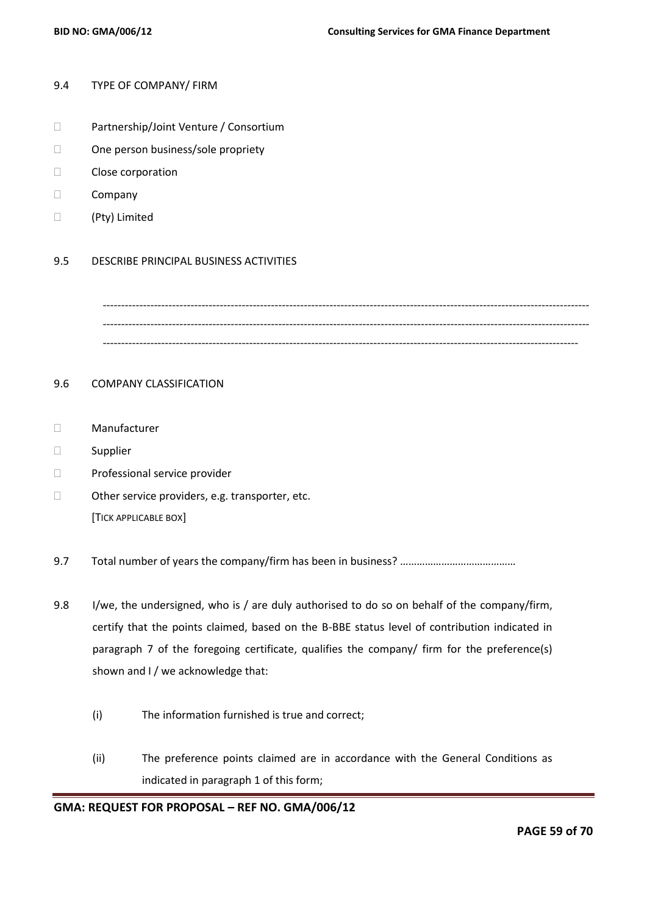#### 9.4 TYPE OF COMPANY/ FIRM

- □ Partnership/Joint Venture / Consortium
- □ One person business/sole propriety
- Close corporation
- D Company
- (Pty) Limited

#### 9.5 DESCRIBE PRINCIPAL BUSINESS ACTIVITIES

------------------------------------------------------------------------------------------------------------------------------------- ------------------------------------------------------------------------------------------------------------------------------------- ----------------------------------------------------------------------------------------------------------------------------------

#### 9.6 COMPANY CLASSIFICATION

- Manufacturer
- □ Supplier
- D Professional service provider
- □ Other service providers, e.g. transporter, etc. [TICK APPLICABLE BOX]
- 9.7 Total number of years the company/firm has been in business? ………………………………………
- 9.8 I/we, the undersigned, who is / are duly authorised to do so on behalf of the company/firm, certify that the points claimed, based on the B-BBE status level of contribution indicated in paragraph 7 of the foregoing certificate, qualifies the company/ firm for the preference(s) shown and I / we acknowledge that:
	- (i) The information furnished is true and correct;
	- (ii) The preference points claimed are in accordance with the General Conditions as indicated in paragraph 1 of this form;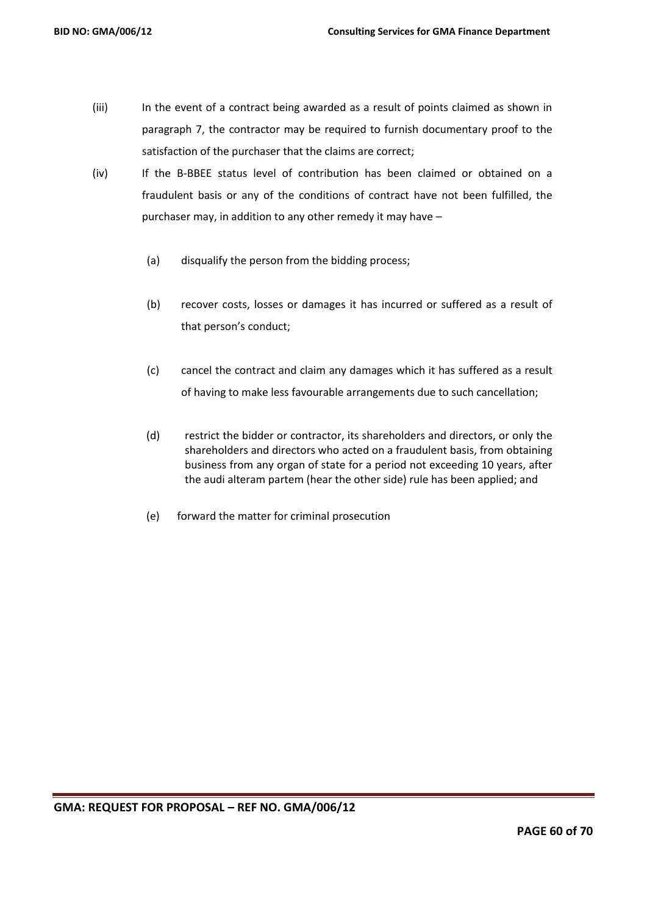- (iii) In the event of a contract being awarded as a result of points claimed as shown in paragraph 7, the contractor may be required to furnish documentary proof to the satisfaction of the purchaser that the claims are correct;
- (iv) If the B-BBEE status level of contribution has been claimed or obtained on a fraudulent basis or any of the conditions of contract have not been fulfilled, the purchaser may, in addition to any other remedy it may have –
	- (a) disqualify the person from the bidding process;
	- (b) recover costs, losses or damages it has incurred or suffered as a result of that person's conduct;
	- (c) cancel the contract and claim any damages which it has suffered as a result of having to make less favourable arrangements due to such cancellation;
	- (d) restrict the bidder or contractor, its shareholders and directors, or only the shareholders and directors who acted on a fraudulent basis, from obtaining business from any organ of state for a period not exceeding 10 years, after the audi alteram partem (hear the other side) rule has been applied; and
	- (e) forward the matter for criminal prosecution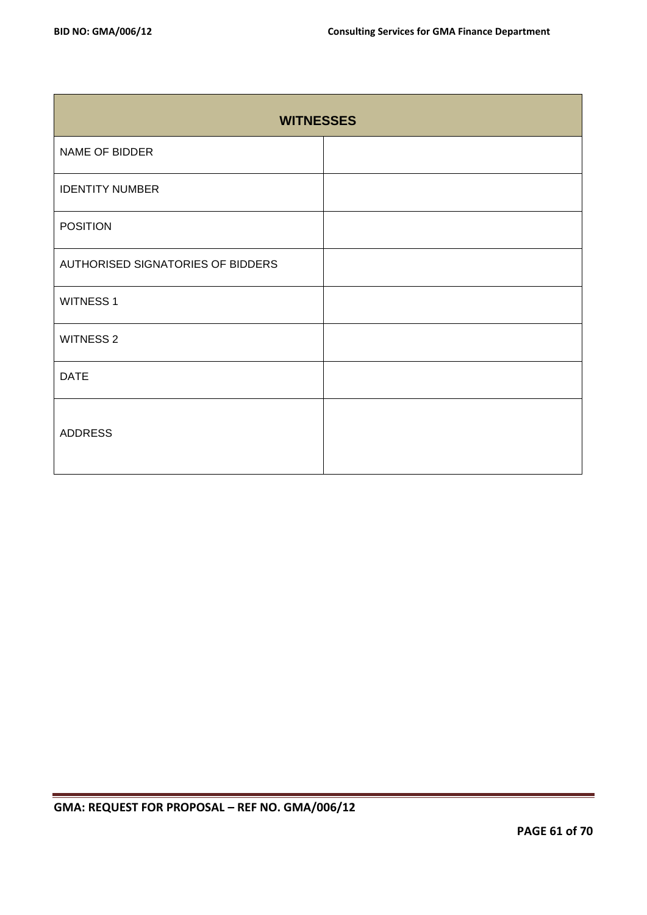| <b>WITNESSES</b>                  |  |  |  |  |
|-----------------------------------|--|--|--|--|
| NAME OF BIDDER                    |  |  |  |  |
| <b>IDENTITY NUMBER</b>            |  |  |  |  |
| <b>POSITION</b>                   |  |  |  |  |
| AUTHORISED SIGNATORIES OF BIDDERS |  |  |  |  |
| <b>WITNESS 1</b>                  |  |  |  |  |
| <b>WITNESS 2</b>                  |  |  |  |  |
| <b>DATE</b>                       |  |  |  |  |
| <b>ADDRESS</b>                    |  |  |  |  |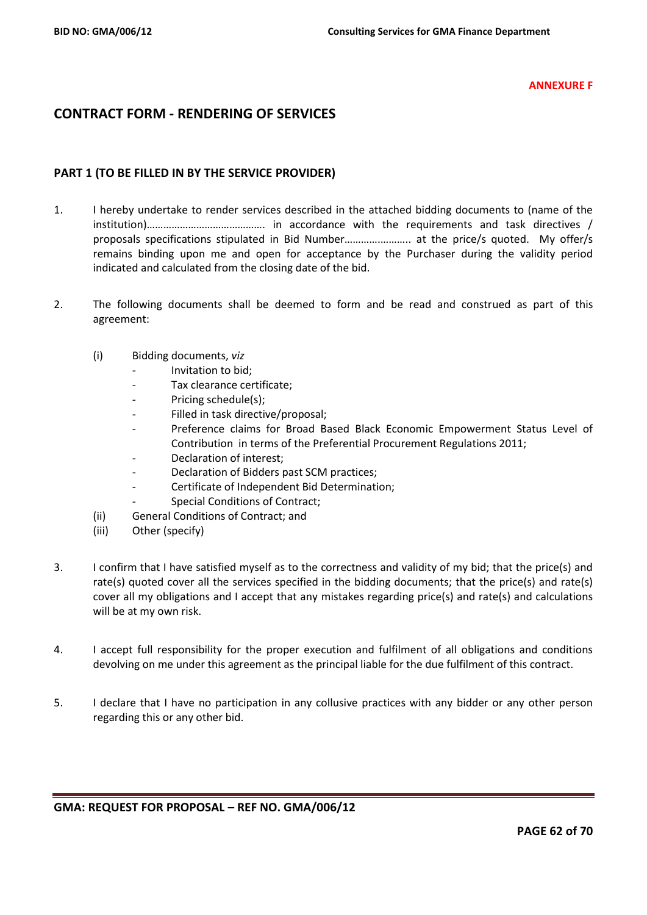#### **ANNEXURE F**

# **CONTRACT FORM - RENDERING OF SERVICES**

## **PART 1 (TO BE FILLED IN BY THE SERVICE PROVIDER)**

- 1. I hereby undertake to render services described in the attached bidding documents to (name of the institution)……………………………………. in accordance with the requirements and task directives / proposals specifications stipulated in Bid Number………….……….. at the price/s quoted. My offer/s remains binding upon me and open for acceptance by the Purchaser during the validity period indicated and calculated from the closing date of the bid.
- 2. The following documents shall be deemed to form and be read and construed as part of this agreement:
	- (i) Bidding documents, *viz*
		- *-* Invitation to bid;
		- *-* Tax clearance certificate;
		- Pricing schedule(s);
		- *-* Filled in task directive/proposal;
		- *-* Preference claims for Broad Based Black Economic Empowerment Status Level of Contribution in terms of the Preferential Procurement Regulations 2011;
		- *-* Declaration of interest;
		- *-* Declaration of Bidders past SCM practices;
		- *-* Certificate of Independent Bid Determination;
		- **Special Conditions of Contract;**
	- (ii) General Conditions of Contract; and
	- (iii) Other (specify)
- 3. I confirm that I have satisfied myself as to the correctness and validity of my bid; that the price(s) and rate(s) quoted cover all the services specified in the bidding documents; that the price(s) and rate(s) cover all my obligations and I accept that any mistakes regarding price(s) and rate(s) and calculations will be at my own risk.
- 4. I accept full responsibility for the proper execution and fulfilment of all obligations and conditions devolving on me under this agreement as the principal liable for the due fulfilment of this contract.
- 5. I declare that I have no participation in any collusive practices with any bidder or any other person regarding this or any other bid.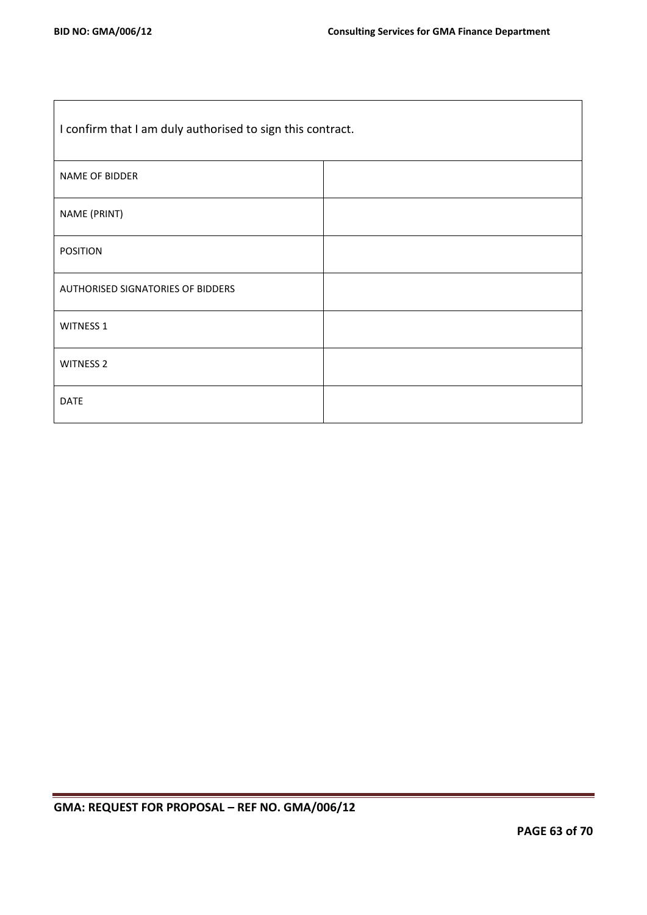| I confirm that I am duly authorised to sign this contract. |  |  |  |
|------------------------------------------------------------|--|--|--|
| NAME OF BIDDER                                             |  |  |  |
| NAME (PRINT)                                               |  |  |  |
| <b>POSITION</b>                                            |  |  |  |
| AUTHORISED SIGNATORIES OF BIDDERS                          |  |  |  |
| <b>WITNESS 1</b>                                           |  |  |  |
| <b>WITNESS 2</b>                                           |  |  |  |
| <b>DATE</b>                                                |  |  |  |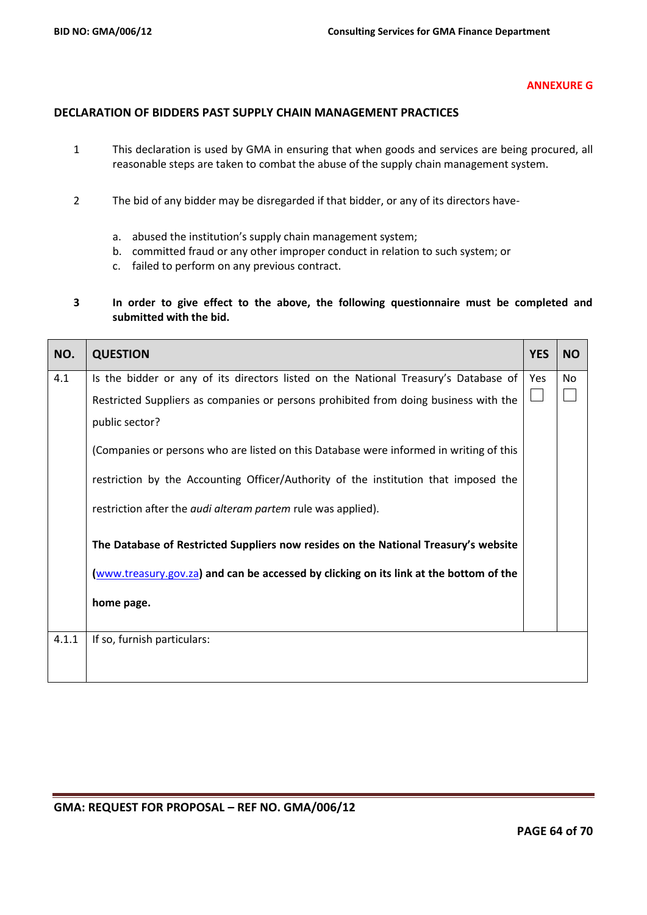#### **ANNEXURE G**

## **DECLARATION OF BIDDERS PAST SUPPLY CHAIN MANAGEMENT PRACTICES**

- 1 This declaration is used by GMA in ensuring that when goods and services are being procured, all reasonable steps are taken to combat the abuse of the supply chain management system.
- 2 The bid of any bidder may be disregarded if that bidder, or any of its directors have
	- a. abused the institution's supply chain management system;
	- b. committed fraud or any other improper conduct in relation to such system; or
	- c. failed to perform on any previous contract.
- **3 In order to give effect to the above, the following questionnaire must be completed and submitted with the bid.**

| NO.   | <b>QUESTION</b>                                                                        | <b>YES</b> | <b>NO</b> |
|-------|----------------------------------------------------------------------------------------|------------|-----------|
| 4.1   | Is the bidder or any of its directors listed on the National Treasury's Database of    | <b>Yes</b> | No.       |
|       | Restricted Suppliers as companies or persons prohibited from doing business with the   |            |           |
|       | public sector?                                                                         |            |           |
|       | (Companies or persons who are listed on this Database were informed in writing of this |            |           |
|       | restriction by the Accounting Officer/Authority of the institution that imposed the    |            |           |
|       | restriction after the <i>audi alteram partem</i> rule was applied).                    |            |           |
|       | The Database of Restricted Suppliers now resides on the National Treasury's website    |            |           |
|       | (www.treasury.gov.za) and can be accessed by clicking on its link at the bottom of the |            |           |
|       | home page.                                                                             |            |           |
| 4.1.1 | If so, furnish particulars:                                                            |            |           |
|       |                                                                                        |            |           |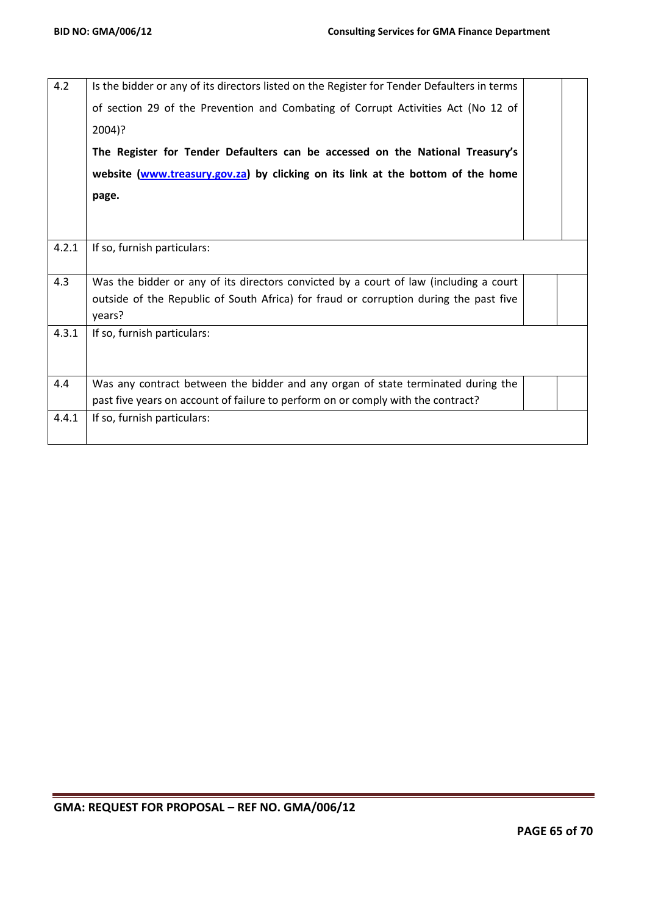| 4.2   | Is the bidder or any of its directors listed on the Register for Tender Defaulters in terms |  |
|-------|---------------------------------------------------------------------------------------------|--|
|       | of section 29 of the Prevention and Combating of Corrupt Activities Act (No 12 of           |  |
|       | 2004)?                                                                                      |  |
|       | The Register for Tender Defaulters can be accessed on the National Treasury's               |  |
|       | website (www.treasury.gov.za) by clicking on its link at the bottom of the home             |  |
|       | page.                                                                                       |  |
|       |                                                                                             |  |
|       |                                                                                             |  |
| 4.2.1 | If so, furnish particulars:                                                                 |  |
| 4.3   | Was the bidder or any of its directors convicted by a court of law (including a court       |  |
|       | outside of the Republic of South Africa) for fraud or corruption during the past five       |  |
|       | years?                                                                                      |  |
| 4.3.1 | If so, furnish particulars:                                                                 |  |
|       |                                                                                             |  |
|       |                                                                                             |  |
| 4.4   | Was any contract between the bidder and any organ of state terminated during the            |  |
|       | past five years on account of failure to perform on or comply with the contract?            |  |
| 4.4.1 | If so, furnish particulars:                                                                 |  |
|       |                                                                                             |  |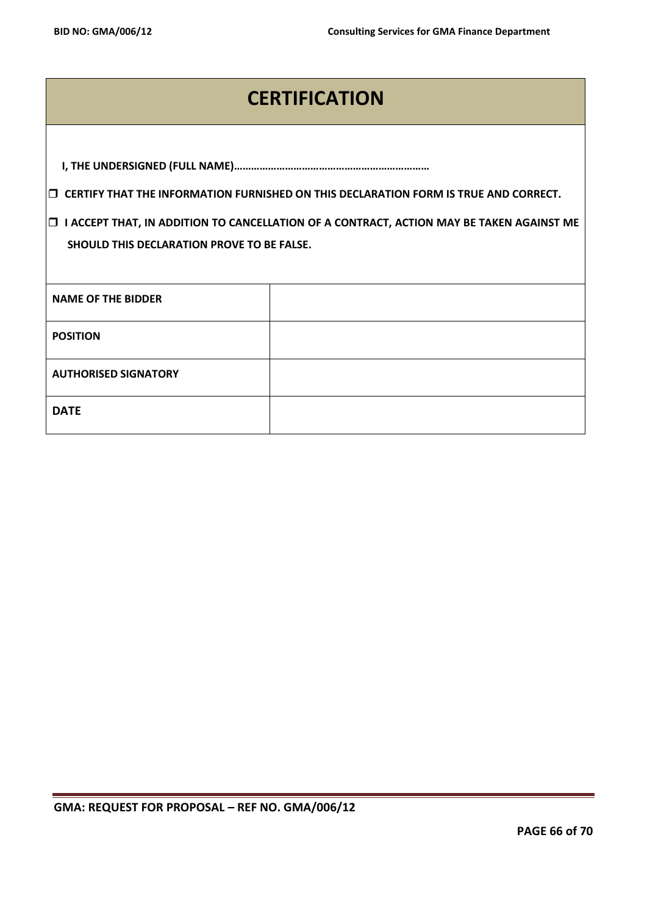# **CERTIFICATION**

|                                                                                                                                                    | $\Box$ CERTIFY THAT THE INFORMATION FURNISHED ON THIS DECLARATION FORM IS TRUE AND CORRECT. |  |  |  |
|----------------------------------------------------------------------------------------------------------------------------------------------------|---------------------------------------------------------------------------------------------|--|--|--|
| I ACCEPT THAT, IN ADDITION TO CANCELLATION OF A CONTRACT, ACTION MAY BE TAKEN AGAINST ME<br>O<br><b>SHOULD THIS DECLARATION PROVE TO BE FALSE.</b> |                                                                                             |  |  |  |
| <b>NAME OF THE BIDDER</b>                                                                                                                          |                                                                                             |  |  |  |
| <b>POSITION</b>                                                                                                                                    |                                                                                             |  |  |  |
| <b>AUTHORISED SIGNATORY</b>                                                                                                                        |                                                                                             |  |  |  |
| <b>DATE</b>                                                                                                                                        |                                                                                             |  |  |  |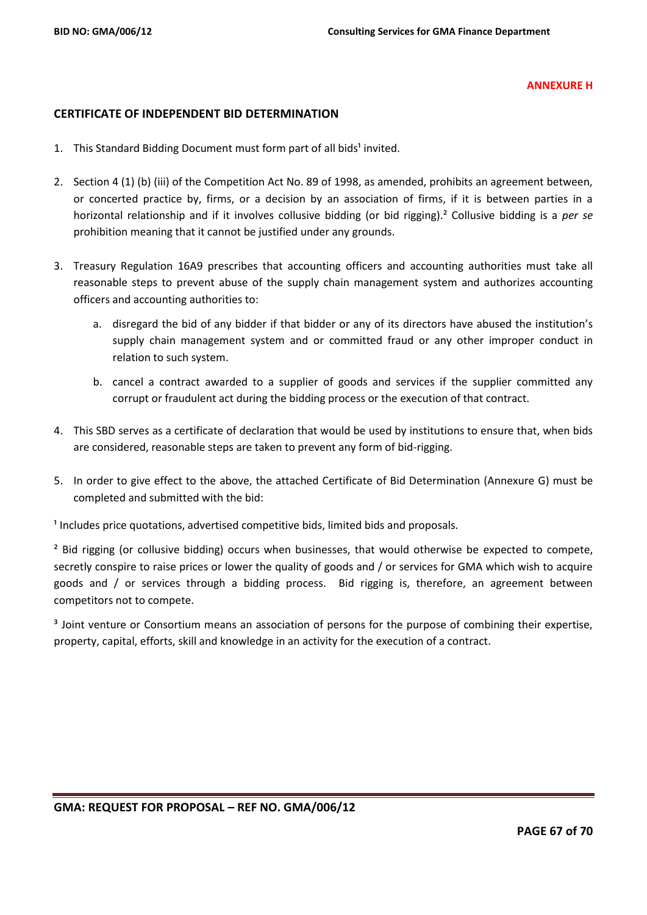#### **ANNEXURE H**

### **CERTIFICATE OF INDEPENDENT BID DETERMINATION**

- 1. This Standard Bidding Document must form part of all bids<sup>1</sup> invited.
- 2. Section 4 (1) (b) (iii) of the Competition Act No. 89 of 1998, as amended, prohibits an agreement between, or concerted practice by, firms, or a decision by an association of firms, if it is between parties in a horizontal relationship and if it involves collusive bidding (or bid rigging).² Collusive bidding is a *per se* prohibition meaning that it cannot be justified under any grounds.
- 3. Treasury Regulation 16A9 prescribes that accounting officers and accounting authorities must take all reasonable steps to prevent abuse of the supply chain management system and authorizes accounting officers and accounting authorities to:
	- a. disregard the bid of any bidder if that bidder or any of its directors have abused the institution's supply chain management system and or committed fraud or any other improper conduct in relation to such system.
	- b. cancel a contract awarded to a supplier of goods and services if the supplier committed any corrupt or fraudulent act during the bidding process or the execution of that contract.
- 4. This SBD serves as a certificate of declaration that would be used by institutions to ensure that, when bids are considered, reasonable steps are taken to prevent any form of bid-rigging.
- 5. In order to give effect to the above, the attached Certificate of Bid Determination (Annexure G) must be completed and submitted with the bid:

<sup>1</sup> Includes price quotations, advertised competitive bids, limited bids and proposals.

<sup>2</sup> Bid rigging (or collusive bidding) occurs when businesses, that would otherwise be expected to compete, secretly conspire to raise prices or lower the quality of goods and / or services for GMA which wish to acquire goods and / or services through a bidding process. Bid rigging is, therefore, an agreement between competitors not to compete.

<sup>3</sup> Joint venture or Consortium means an association of persons for the purpose of combining their expertise, property, capital, efforts, skill and knowledge in an activity for the execution of a contract.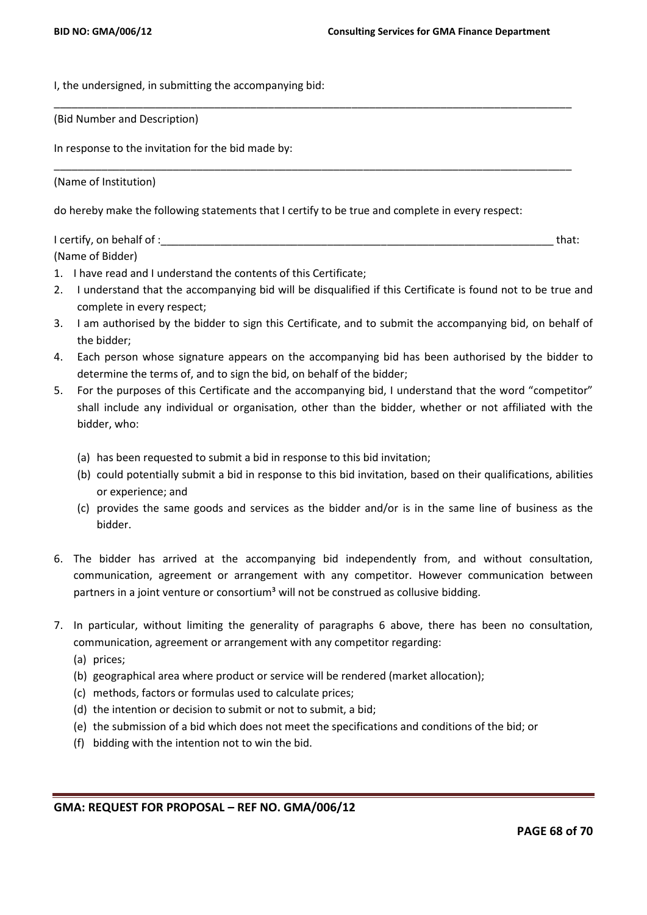I, the undersigned, in submitting the accompanying bid:

(Bid Number and Description)

In response to the invitation for the bid made by:

(Name of Institution)

do hereby make the following statements that I certify to be true and complete in every respect:

I certify, on behalf of :\_\_\_\_\_\_\_\_\_\_\_\_\_\_\_\_\_\_\_\_\_\_\_\_\_\_\_\_\_\_\_\_\_\_\_\_\_\_\_\_\_\_\_\_\_\_\_\_\_\_\_\_\_\_\_\_\_\_\_\_\_\_\_\_\_\_ that: (Name of Bidder)

\_\_\_\_\_\_\_\_\_\_\_\_\_\_\_\_\_\_\_\_\_\_\_\_\_\_\_\_\_\_\_\_\_\_\_\_\_\_\_\_\_\_\_\_\_\_\_\_\_\_\_\_\_\_\_\_\_\_\_\_\_\_\_\_\_\_\_\_\_\_\_\_\_\_\_\_\_\_\_\_\_\_\_\_\_\_\_

\_\_\_\_\_\_\_\_\_\_\_\_\_\_\_\_\_\_\_\_\_\_\_\_\_\_\_\_\_\_\_\_\_\_\_\_\_\_\_\_\_\_\_\_\_\_\_\_\_\_\_\_\_\_\_\_\_\_\_\_\_\_\_\_\_\_\_\_\_\_\_\_\_\_\_\_\_\_\_\_\_\_\_\_\_\_\_

- 1. I have read and I understand the contents of this Certificate;
- 2. I understand that the accompanying bid will be disqualified if this Certificate is found not to be true and complete in every respect;
- 3. I am authorised by the bidder to sign this Certificate, and to submit the accompanying bid, on behalf of the bidder;
- 4. Each person whose signature appears on the accompanying bid has been authorised by the bidder to determine the terms of, and to sign the bid, on behalf of the bidder;
- 5. For the purposes of this Certificate and the accompanying bid, I understand that the word "competitor" shall include any individual or organisation, other than the bidder, whether or not affiliated with the bidder, who:
	- (a) has been requested to submit a bid in response to this bid invitation;
	- (b) could potentially submit a bid in response to this bid invitation, based on their qualifications, abilities or experience; and
	- (c) provides the same goods and services as the bidder and/or is in the same line of business as the bidder.
- 6. The bidder has arrived at the accompanying bid independently from, and without consultation, communication, agreement or arrangement with any competitor. However communication between partners in a joint venture or consortium<sup>3</sup> will not be construed as collusive bidding.
- 7. In particular, without limiting the generality of paragraphs 6 above, there has been no consultation, communication, agreement or arrangement with any competitor regarding:
	- (a) prices;
	- (b) geographical area where product or service will be rendered (market allocation);
	- (c) methods, factors or formulas used to calculate prices;
	- (d) the intention or decision to submit or not to submit, a bid;
	- (e) the submission of a bid which does not meet the specifications and conditions of the bid; or
	- (f) bidding with the intention not to win the bid.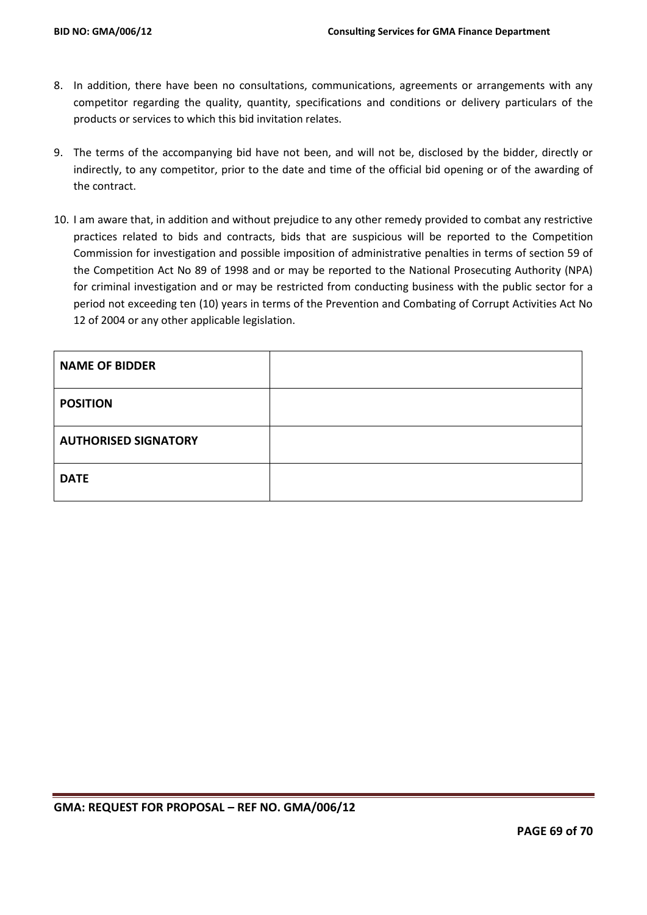- 8. In addition, there have been no consultations, communications, agreements or arrangements with any competitor regarding the quality, quantity, specifications and conditions or delivery particulars of the products or services to which this bid invitation relates.
- 9. The terms of the accompanying bid have not been, and will not be, disclosed by the bidder, directly or indirectly, to any competitor, prior to the date and time of the official bid opening or of the awarding of the contract.
- 10. I am aware that, in addition and without prejudice to any other remedy provided to combat any restrictive practices related to bids and contracts, bids that are suspicious will be reported to the Competition Commission for investigation and possible imposition of administrative penalties in terms of section 59 of the Competition Act No 89 of 1998 and or may be reported to the National Prosecuting Authority (NPA) for criminal investigation and or may be restricted from conducting business with the public sector for a period not exceeding ten (10) years in terms of the Prevention and Combating of Corrupt Activities Act No 12 of 2004 or any other applicable legislation.

| <b>NAME OF BIDDER</b>       |  |
|-----------------------------|--|
| <b>POSITION</b>             |  |
| <b>AUTHORISED SIGNATORY</b> |  |
| <b>DATE</b>                 |  |